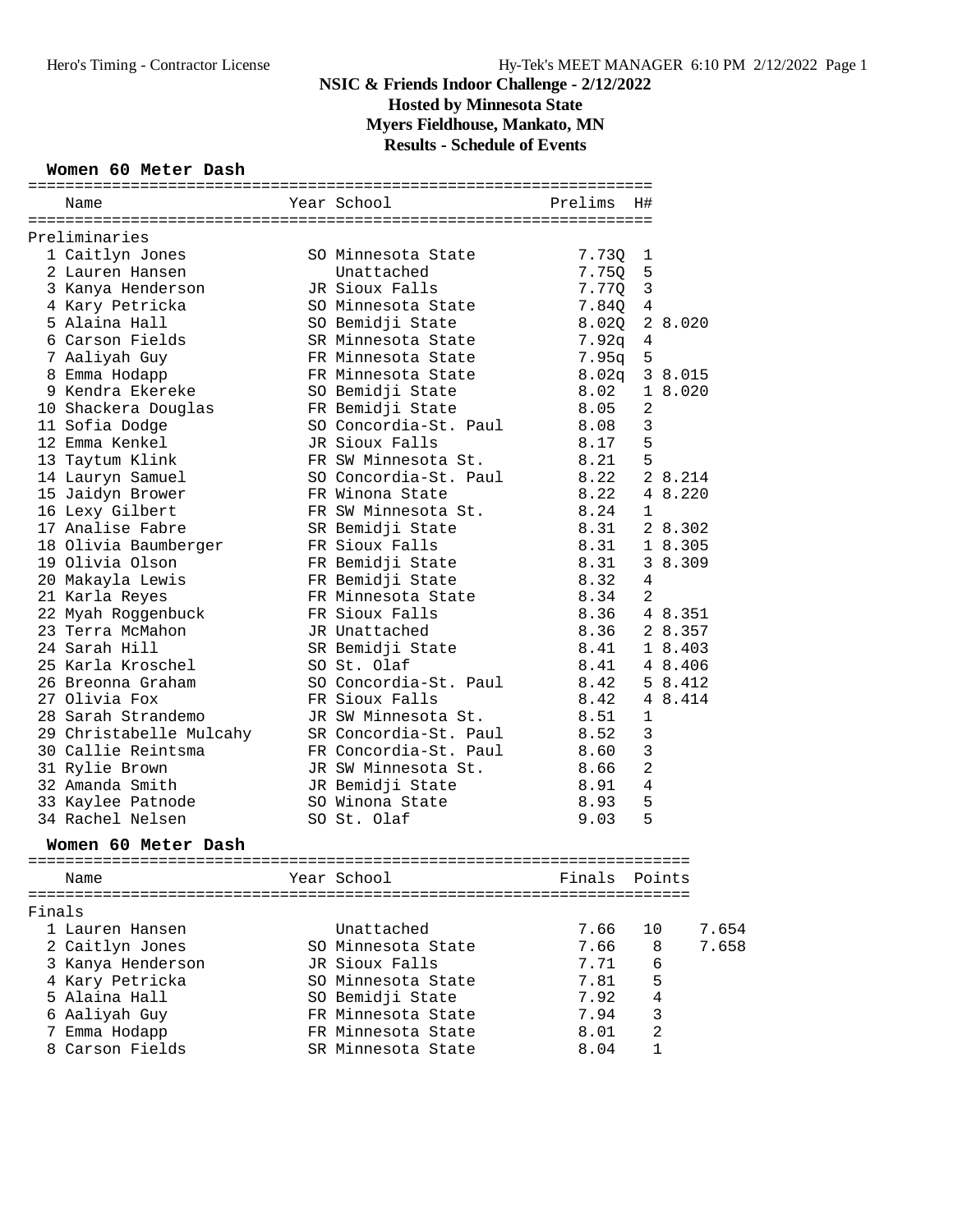## **NSIC & Friends Indoor Challenge - 2/12/2022 Hosted by Minnesota State**

**Myers Fieldhouse, Mankato, MN**

**Results - Schedule of Events**

#### **Women 60 Meter Dash**

|        | Name                                 | Year School Prelims               | H#                      |                |
|--------|--------------------------------------|-----------------------------------|-------------------------|----------------|
|        |                                      |                                   |                         |                |
|        | Preliminaries                        |                                   |                         |                |
|        | 1 Caitlyn Jones                      | SO Minnesota State                | 7.730<br>$\mathbf{1}$   |                |
|        | 2 Lauren Hansen                      | Unattached                        | 7.75Q<br>5              |                |
|        | 3 Kanya Henderson<br>4 Karv Petricka | JR Sioux Falls                    | $\overline{3}$<br>7.77Q |                |
|        | 4 Kary Petricka                      | SO Minnesota State                | 7.84Q 4                 |                |
|        | 5 Alaina Hall                        | SO Bemidji State                  | 8.02Q 2 8.020           |                |
|        | 6 Carson Fields                      | SR Minnesota State                | 7.92q                   | 4              |
|        | 7 Aaliyah Guy                        | FR Minnesota State                | 5<br>7.95q              |                |
|        | 8 Emma Hodapp                        | FR Minnesota State                | $8.02q$ 3 8.015         |                |
|        | 9 Kendra Ekereke                     | SO Bemidji State                  | 8.02                    | 1 8.020        |
|        | 10 Shackera Douglas                  | FR Bemidji State                  | 8.05                    | 2              |
|        | 11 Sofia Dodge                       | SO Concordia-St. Paul 8.08        |                         | $\mathfrak{Z}$ |
|        | 12 Emma Kenkel                       | JR Sioux Falls                    | 8.17                    | 5              |
|        | 13 Taytum Klink                      | FR SW Minnesota St.               | 8.21                    | 5              |
|        | 14 Lauryn Samuel                     | SO Concordia-St. Paul             | 8.22                    | 2 8.214        |
|        | 15 Jaidyn Brower                     | FR Winona State                   | 8.22                    | 4 8.220        |
|        | 16 Lexy Gilbert                      | FR SW Minnesota St. 8.24          |                         | $\mathbf{1}$   |
|        | 17 Analise Fabre                     | SR Bemidji State                  | 8.31                    | 2 8.302        |
|        | 18 Olivia Baumberger                 | FR Sioux Falls                    | 8.31                    | 1 8.305        |
|        | 19 Olivia Olson                      | FR Bemidji State                  | 8.31                    | 3 8.309        |
|        | 20 Makayla Lewis                     | FR Bemidji State                  | 8.32                    | $\overline{4}$ |
|        | 21 Karla Reyes                       | FR Minnesota State                | 8.34                    | 2              |
|        | 22 Myah Roggenbuck                   | FR Sioux Falls                    | 8.36                    | 4 8.351        |
|        | 23 Terra McMahon                     | JR Unattached                     | 8.36                    | 2 8.357        |
|        | 24 Sarah Hill                        | SR Bemidji State                  | 8.41                    | 1 8.403        |
|        | 25 Karla Kroschel                    | SO St. Olaf                       | 8.41                    | 4 8.406        |
|        | 26 Breonna Graham                    | SO Concordia-St. Paul             | 8.42                    | 5 8.412        |
|        | 27 Olivia Fox                        | FR Sioux Falls                    | 8.42                    | 4 8.414        |
|        | 28 Sarah Strandemo                   | JR SW Minnesota St. 8.51          |                         | 1              |
|        | 29 Christabelle Mulcahy              | SR Concordia-St. Paul 8.52        |                         | 3              |
|        | 30 Callie Reintsma                   | FR Concordia-St. Paul 8.60        |                         | $\mathbf{3}$   |
|        | 31 Rylie Brown                       | JR SW Minnesota St.               | 8.66                    | $\overline{2}$ |
|        | 32 Amanda Smith                      | JR Bemidji State                  | 8.91                    | $\overline{4}$ |
|        | 33 Kaylee Patnode                    | SO Winona State                   | 8.93                    | 5              |
|        | 34 Rachel Nelsen                     | SO St. Olaf                       | 9.03                    | 5              |
|        |                                      |                                   |                         |                |
|        | Women 60 Meter Dash                  |                                   |                         |                |
|        | Name                                 | Year School <a> Finals Points</a> |                         |                |
|        |                                      |                                   |                         |                |
| Finals |                                      |                                   |                         |                |
|        | 1 Lauren Hansen                      | Unattached                        | 7.66                    | 10<br>7.654    |
|        | 2 Caitlyn Jones                      | SO Minnesota State                | 7.66                    | 7.658<br>8     |
|        | 3 Kanya Henderson                    | JR Sioux Falls                    | 7.71                    | 6              |
|        | 4 Kary Petricka                      | SO Minnesota State                | 7.81                    | 5              |
|        | 5 Alaina Hall                        | SO Bemidji State                  | 7.92                    | 4              |
|        | 6 Aaliyah Guy                        | FR Minnesota State                | 7.94                    | 3              |
|        | 7 Emma Hodapp                        | FR Minnesota State                | 8.01                    | 2              |
|        | 8 Carson Fields                      | SR Minnesota State                | 8.04                    | 1              |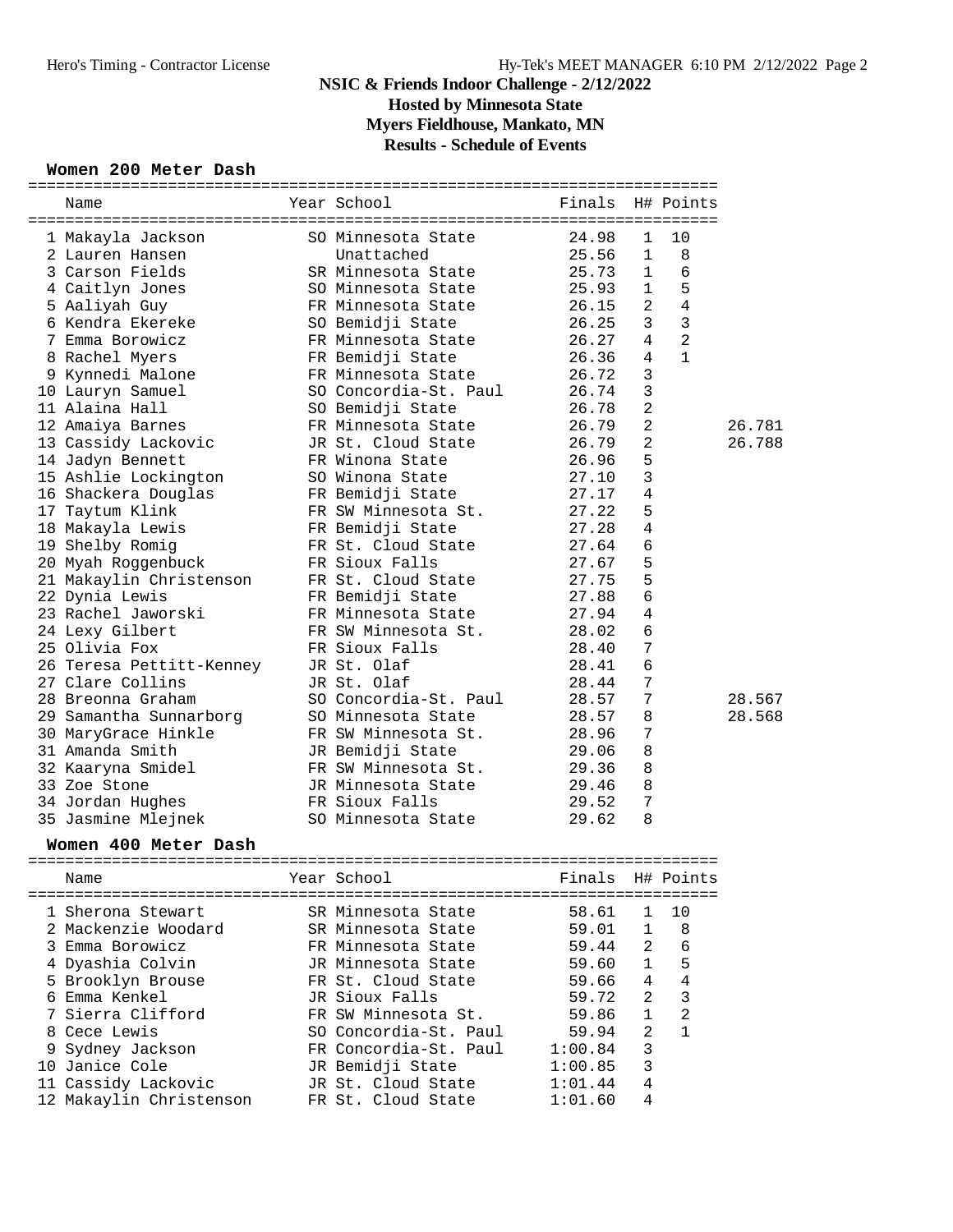# **NSIC & Friends Indoor Challenge - 2/12/2022 Hosted by Minnesota State**

**Myers Fieldhouse, Mankato, MN**

### **Results - Schedule of Events**

### **Women 200 Meter Dash**

| Name |                                                                                                                                                                                                                                                                                                                                                                                                                                                                                                                                                                                                                                                                                                                                                                                                                                                                                                                                                                                                                           | Finals                                                                                                                                                                                                                                                                                                                                                                                                                                                                                                                                                                                                                                                                                                                                                                                                                                                                                                                                                                                                                                                    |                                                                                                                                                                                                                                                                                       |                                                                                                                                                                     |                                                                                                                                                                               |
|------|---------------------------------------------------------------------------------------------------------------------------------------------------------------------------------------------------------------------------------------------------------------------------------------------------------------------------------------------------------------------------------------------------------------------------------------------------------------------------------------------------------------------------------------------------------------------------------------------------------------------------------------------------------------------------------------------------------------------------------------------------------------------------------------------------------------------------------------------------------------------------------------------------------------------------------------------------------------------------------------------------------------------------|-----------------------------------------------------------------------------------------------------------------------------------------------------------------------------------------------------------------------------------------------------------------------------------------------------------------------------------------------------------------------------------------------------------------------------------------------------------------------------------------------------------------------------------------------------------------------------------------------------------------------------------------------------------------------------------------------------------------------------------------------------------------------------------------------------------------------------------------------------------------------------------------------------------------------------------------------------------------------------------------------------------------------------------------------------------|---------------------------------------------------------------------------------------------------------------------------------------------------------------------------------------------------------------------------------------------------------------------------------------|---------------------------------------------------------------------------------------------------------------------------------------------------------------------|-------------------------------------------------------------------------------------------------------------------------------------------------------------------------------|
|      |                                                                                                                                                                                                                                                                                                                                                                                                                                                                                                                                                                                                                                                                                                                                                                                                                                                                                                                                                                                                                           |                                                                                                                                                                                                                                                                                                                                                                                                                                                                                                                                                                                                                                                                                                                                                                                                                                                                                                                                                                                                                                                           |                                                                                                                                                                                                                                                                                       |                                                                                                                                                                     |                                                                                                                                                                               |
|      |                                                                                                                                                                                                                                                                                                                                                                                                                                                                                                                                                                                                                                                                                                                                                                                                                                                                                                                                                                                                                           |                                                                                                                                                                                                                                                                                                                                                                                                                                                                                                                                                                                                                                                                                                                                                                                                                                                                                                                                                                                                                                                           |                                                                                                                                                                                                                                                                                       |                                                                                                                                                                     |                                                                                                                                                                               |
|      |                                                                                                                                                                                                                                                                                                                                                                                                                                                                                                                                                                                                                                                                                                                                                                                                                                                                                                                                                                                                                           |                                                                                                                                                                                                                                                                                                                                                                                                                                                                                                                                                                                                                                                                                                                                                                                                                                                                                                                                                                                                                                                           |                                                                                                                                                                                                                                                                                       |                                                                                                                                                                     |                                                                                                                                                                               |
|      |                                                                                                                                                                                                                                                                                                                                                                                                                                                                                                                                                                                                                                                                                                                                                                                                                                                                                                                                                                                                                           |                                                                                                                                                                                                                                                                                                                                                                                                                                                                                                                                                                                                                                                                                                                                                                                                                                                                                                                                                                                                                                                           |                                                                                                                                                                                                                                                                                       |                                                                                                                                                                     |                                                                                                                                                                               |
|      |                                                                                                                                                                                                                                                                                                                                                                                                                                                                                                                                                                                                                                                                                                                                                                                                                                                                                                                                                                                                                           |                                                                                                                                                                                                                                                                                                                                                                                                                                                                                                                                                                                                                                                                                                                                                                                                                                                                                                                                                                                                                                                           |                                                                                                                                                                                                                                                                                       |                                                                                                                                                                     |                                                                                                                                                                               |
|      |                                                                                                                                                                                                                                                                                                                                                                                                                                                                                                                                                                                                                                                                                                                                                                                                                                                                                                                                                                                                                           |                                                                                                                                                                                                                                                                                                                                                                                                                                                                                                                                                                                                                                                                                                                                                                                                                                                                                                                                                                                                                                                           |                                                                                                                                                                                                                                                                                       |                                                                                                                                                                     |                                                                                                                                                                               |
|      |                                                                                                                                                                                                                                                                                                                                                                                                                                                                                                                                                                                                                                                                                                                                                                                                                                                                                                                                                                                                                           |                                                                                                                                                                                                                                                                                                                                                                                                                                                                                                                                                                                                                                                                                                                                                                                                                                                                                                                                                                                                                                                           | 4                                                                                                                                                                                                                                                                                     |                                                                                                                                                                     |                                                                                                                                                                               |
|      |                                                                                                                                                                                                                                                                                                                                                                                                                                                                                                                                                                                                                                                                                                                                                                                                                                                                                                                                                                                                                           |                                                                                                                                                                                                                                                                                                                                                                                                                                                                                                                                                                                                                                                                                                                                                                                                                                                                                                                                                                                                                                                           |                                                                                                                                                                                                                                                                                       | $\mathbf{1}$                                                                                                                                                        |                                                                                                                                                                               |
|      |                                                                                                                                                                                                                                                                                                                                                                                                                                                                                                                                                                                                                                                                                                                                                                                                                                                                                                                                                                                                                           |                                                                                                                                                                                                                                                                                                                                                                                                                                                                                                                                                                                                                                                                                                                                                                                                                                                                                                                                                                                                                                                           |                                                                                                                                                                                                                                                                                       |                                                                                                                                                                     |                                                                                                                                                                               |
|      |                                                                                                                                                                                                                                                                                                                                                                                                                                                                                                                                                                                                                                                                                                                                                                                                                                                                                                                                                                                                                           |                                                                                                                                                                                                                                                                                                                                                                                                                                                                                                                                                                                                                                                                                                                                                                                                                                                                                                                                                                                                                                                           |                                                                                                                                                                                                                                                                                       |                                                                                                                                                                     |                                                                                                                                                                               |
|      |                                                                                                                                                                                                                                                                                                                                                                                                                                                                                                                                                                                                                                                                                                                                                                                                                                                                                                                                                                                                                           |                                                                                                                                                                                                                                                                                                                                                                                                                                                                                                                                                                                                                                                                                                                                                                                                                                                                                                                                                                                                                                                           |                                                                                                                                                                                                                                                                                       |                                                                                                                                                                     |                                                                                                                                                                               |
|      |                                                                                                                                                                                                                                                                                                                                                                                                                                                                                                                                                                                                                                                                                                                                                                                                                                                                                                                                                                                                                           |                                                                                                                                                                                                                                                                                                                                                                                                                                                                                                                                                                                                                                                                                                                                                                                                                                                                                                                                                                                                                                                           |                                                                                                                                                                                                                                                                                       |                                                                                                                                                                     | 26.781                                                                                                                                                                        |
|      |                                                                                                                                                                                                                                                                                                                                                                                                                                                                                                                                                                                                                                                                                                                                                                                                                                                                                                                                                                                                                           |                                                                                                                                                                                                                                                                                                                                                                                                                                                                                                                                                                                                                                                                                                                                                                                                                                                                                                                                                                                                                                                           |                                                                                                                                                                                                                                                                                       |                                                                                                                                                                     | 26.788                                                                                                                                                                        |
|      |                                                                                                                                                                                                                                                                                                                                                                                                                                                                                                                                                                                                                                                                                                                                                                                                                                                                                                                                                                                                                           |                                                                                                                                                                                                                                                                                                                                                                                                                                                                                                                                                                                                                                                                                                                                                                                                                                                                                                                                                                                                                                                           |                                                                                                                                                                                                                                                                                       |                                                                                                                                                                     |                                                                                                                                                                               |
|      |                                                                                                                                                                                                                                                                                                                                                                                                                                                                                                                                                                                                                                                                                                                                                                                                                                                                                                                                                                                                                           |                                                                                                                                                                                                                                                                                                                                                                                                                                                                                                                                                                                                                                                                                                                                                                                                                                                                                                                                                                                                                                                           |                                                                                                                                                                                                                                                                                       |                                                                                                                                                                     |                                                                                                                                                                               |
|      |                                                                                                                                                                                                                                                                                                                                                                                                                                                                                                                                                                                                                                                                                                                                                                                                                                                                                                                                                                                                                           |                                                                                                                                                                                                                                                                                                                                                                                                                                                                                                                                                                                                                                                                                                                                                                                                                                                                                                                                                                                                                                                           |                                                                                                                                                                                                                                                                                       |                                                                                                                                                                     |                                                                                                                                                                               |
|      |                                                                                                                                                                                                                                                                                                                                                                                                                                                                                                                                                                                                                                                                                                                                                                                                                                                                                                                                                                                                                           |                                                                                                                                                                                                                                                                                                                                                                                                                                                                                                                                                                                                                                                                                                                                                                                                                                                                                                                                                                                                                                                           |                                                                                                                                                                                                                                                                                       |                                                                                                                                                                     |                                                                                                                                                                               |
|      |                                                                                                                                                                                                                                                                                                                                                                                                                                                                                                                                                                                                                                                                                                                                                                                                                                                                                                                                                                                                                           |                                                                                                                                                                                                                                                                                                                                                                                                                                                                                                                                                                                                                                                                                                                                                                                                                                                                                                                                                                                                                                                           |                                                                                                                                                                                                                                                                                       |                                                                                                                                                                     |                                                                                                                                                                               |
|      |                                                                                                                                                                                                                                                                                                                                                                                                                                                                                                                                                                                                                                                                                                                                                                                                                                                                                                                                                                                                                           |                                                                                                                                                                                                                                                                                                                                                                                                                                                                                                                                                                                                                                                                                                                                                                                                                                                                                                                                                                                                                                                           |                                                                                                                                                                                                                                                                                       |                                                                                                                                                                     |                                                                                                                                                                               |
|      |                                                                                                                                                                                                                                                                                                                                                                                                                                                                                                                                                                                                                                                                                                                                                                                                                                                                                                                                                                                                                           | 27.67                                                                                                                                                                                                                                                                                                                                                                                                                                                                                                                                                                                                                                                                                                                                                                                                                                                                                                                                                                                                                                                     |                                                                                                                                                                                                                                                                                       |                                                                                                                                                                     |                                                                                                                                                                               |
|      |                                                                                                                                                                                                                                                                                                                                                                                                                                                                                                                                                                                                                                                                                                                                                                                                                                                                                                                                                                                                                           |                                                                                                                                                                                                                                                                                                                                                                                                                                                                                                                                                                                                                                                                                                                                                                                                                                                                                                                                                                                                                                                           |                                                                                                                                                                                                                                                                                       |                                                                                                                                                                     |                                                                                                                                                                               |
|      |                                                                                                                                                                                                                                                                                                                                                                                                                                                                                                                                                                                                                                                                                                                                                                                                                                                                                                                                                                                                                           |                                                                                                                                                                                                                                                                                                                                                                                                                                                                                                                                                                                                                                                                                                                                                                                                                                                                                                                                                                                                                                                           | 6                                                                                                                                                                                                                                                                                     |                                                                                                                                                                     |                                                                                                                                                                               |
|      |                                                                                                                                                                                                                                                                                                                                                                                                                                                                                                                                                                                                                                                                                                                                                                                                                                                                                                                                                                                                                           |                                                                                                                                                                                                                                                                                                                                                                                                                                                                                                                                                                                                                                                                                                                                                                                                                                                                                                                                                                                                                                                           | 4                                                                                                                                                                                                                                                                                     |                                                                                                                                                                     |                                                                                                                                                                               |
|      |                                                                                                                                                                                                                                                                                                                                                                                                                                                                                                                                                                                                                                                                                                                                                                                                                                                                                                                                                                                                                           |                                                                                                                                                                                                                                                                                                                                                                                                                                                                                                                                                                                                                                                                                                                                                                                                                                                                                                                                                                                                                                                           | 6                                                                                                                                                                                                                                                                                     |                                                                                                                                                                     |                                                                                                                                                                               |
|      |                                                                                                                                                                                                                                                                                                                                                                                                                                                                                                                                                                                                                                                                                                                                                                                                                                                                                                                                                                                                                           | 28.40                                                                                                                                                                                                                                                                                                                                                                                                                                                                                                                                                                                                                                                                                                                                                                                                                                                                                                                                                                                                                                                     | 7                                                                                                                                                                                                                                                                                     |                                                                                                                                                                     |                                                                                                                                                                               |
|      |                                                                                                                                                                                                                                                                                                                                                                                                                                                                                                                                                                                                                                                                                                                                                                                                                                                                                                                                                                                                                           | 28.41                                                                                                                                                                                                                                                                                                                                                                                                                                                                                                                                                                                                                                                                                                                                                                                                                                                                                                                                                                                                                                                     | 6                                                                                                                                                                                                                                                                                     |                                                                                                                                                                     |                                                                                                                                                                               |
|      |                                                                                                                                                                                                                                                                                                                                                                                                                                                                                                                                                                                                                                                                                                                                                                                                                                                                                                                                                                                                                           | 28.44                                                                                                                                                                                                                                                                                                                                                                                                                                                                                                                                                                                                                                                                                                                                                                                                                                                                                                                                                                                                                                                     | 7                                                                                                                                                                                                                                                                                     |                                                                                                                                                                     |                                                                                                                                                                               |
|      |                                                                                                                                                                                                                                                                                                                                                                                                                                                                                                                                                                                                                                                                                                                                                                                                                                                                                                                                                                                                                           | 28.57                                                                                                                                                                                                                                                                                                                                                                                                                                                                                                                                                                                                                                                                                                                                                                                                                                                                                                                                                                                                                                                     | 7                                                                                                                                                                                                                                                                                     |                                                                                                                                                                     | 28.567                                                                                                                                                                        |
|      |                                                                                                                                                                                                                                                                                                                                                                                                                                                                                                                                                                                                                                                                                                                                                                                                                                                                                                                                                                                                                           | 28.57                                                                                                                                                                                                                                                                                                                                                                                                                                                                                                                                                                                                                                                                                                                                                                                                                                                                                                                                                                                                                                                     | 8                                                                                                                                                                                                                                                                                     |                                                                                                                                                                     | 28.568                                                                                                                                                                        |
|      |                                                                                                                                                                                                                                                                                                                                                                                                                                                                                                                                                                                                                                                                                                                                                                                                                                                                                                                                                                                                                           | 28.96                                                                                                                                                                                                                                                                                                                                                                                                                                                                                                                                                                                                                                                                                                                                                                                                                                                                                                                                                                                                                                                     | 7                                                                                                                                                                                                                                                                                     |                                                                                                                                                                     |                                                                                                                                                                               |
|      |                                                                                                                                                                                                                                                                                                                                                                                                                                                                                                                                                                                                                                                                                                                                                                                                                                                                                                                                                                                                                           | 29.06                                                                                                                                                                                                                                                                                                                                                                                                                                                                                                                                                                                                                                                                                                                                                                                                                                                                                                                                                                                                                                                     | 8                                                                                                                                                                                                                                                                                     |                                                                                                                                                                     |                                                                                                                                                                               |
|      |                                                                                                                                                                                                                                                                                                                                                                                                                                                                                                                                                                                                                                                                                                                                                                                                                                                                                                                                                                                                                           | 29.36                                                                                                                                                                                                                                                                                                                                                                                                                                                                                                                                                                                                                                                                                                                                                                                                                                                                                                                                                                                                                                                     | 8                                                                                                                                                                                                                                                                                     |                                                                                                                                                                     |                                                                                                                                                                               |
|      |                                                                                                                                                                                                                                                                                                                                                                                                                                                                                                                                                                                                                                                                                                                                                                                                                                                                                                                                                                                                                           | 29.46                                                                                                                                                                                                                                                                                                                                                                                                                                                                                                                                                                                                                                                                                                                                                                                                                                                                                                                                                                                                                                                     | 8                                                                                                                                                                                                                                                                                     |                                                                                                                                                                     |                                                                                                                                                                               |
|      |                                                                                                                                                                                                                                                                                                                                                                                                                                                                                                                                                                                                                                                                                                                                                                                                                                                                                                                                                                                                                           | 29.52                                                                                                                                                                                                                                                                                                                                                                                                                                                                                                                                                                                                                                                                                                                                                                                                                                                                                                                                                                                                                                                     | 7                                                                                                                                                                                                                                                                                     |                                                                                                                                                                     |                                                                                                                                                                               |
|      |                                                                                                                                                                                                                                                                                                                                                                                                                                                                                                                                                                                                                                                                                                                                                                                                                                                                                                                                                                                                                           | 29.62                                                                                                                                                                                                                                                                                                                                                                                                                                                                                                                                                                                                                                                                                                                                                                                                                                                                                                                                                                                                                                                     | 8                                                                                                                                                                                                                                                                                     |                                                                                                                                                                     |                                                                                                                                                                               |
|      |                                                                                                                                                                                                                                                                                                                                                                                                                                                                                                                                                                                                                                                                                                                                                                                                                                                                                                                                                                                                                           |                                                                                                                                                                                                                                                                                                                                                                                                                                                                                                                                                                                                                                                                                                                                                                                                                                                                                                                                                                                                                                                           |                                                                                                                                                                                                                                                                                       |                                                                                                                                                                     |                                                                                                                                                                               |
|      |                                                                                                                                                                                                                                                                                                                                                                                                                                                                                                                                                                                                                                                                                                                                                                                                                                                                                                                                                                                                                           |                                                                                                                                                                                                                                                                                                                                                                                                                                                                                                                                                                                                                                                                                                                                                                                                                                                                                                                                                                                                                                                           |                                                                                                                                                                                                                                                                                       |                                                                                                                                                                     |                                                                                                                                                                               |
| Name |                                                                                                                                                                                                                                                                                                                                                                                                                                                                                                                                                                                                                                                                                                                                                                                                                                                                                                                                                                                                                           | Finals                                                                                                                                                                                                                                                                                                                                                                                                                                                                                                                                                                                                                                                                                                                                                                                                                                                                                                                                                                                                                                                    |                                                                                                                                                                                                                                                                                       |                                                                                                                                                                     |                                                                                                                                                                               |
|      |                                                                                                                                                                                                                                                                                                                                                                                                                                                                                                                                                                                                                                                                                                                                                                                                                                                                                                                                                                                                                           |                                                                                                                                                                                                                                                                                                                                                                                                                                                                                                                                                                                                                                                                                                                                                                                                                                                                                                                                                                                                                                                           |                                                                                                                                                                                                                                                                                       |                                                                                                                                                                     |                                                                                                                                                                               |
|      |                                                                                                                                                                                                                                                                                                                                                                                                                                                                                                                                                                                                                                                                                                                                                                                                                                                                                                                                                                                                                           |                                                                                                                                                                                                                                                                                                                                                                                                                                                                                                                                                                                                                                                                                                                                                                                                                                                                                                                                                                                                                                                           |                                                                                                                                                                                                                                                                                       |                                                                                                                                                                     |                                                                                                                                                                               |
|      |                                                                                                                                                                                                                                                                                                                                                                                                                                                                                                                                                                                                                                                                                                                                                                                                                                                                                                                                                                                                                           |                                                                                                                                                                                                                                                                                                                                                                                                                                                                                                                                                                                                                                                                                                                                                                                                                                                                                                                                                                                                                                                           |                                                                                                                                                                                                                                                                                       |                                                                                                                                                                     |                                                                                                                                                                               |
|      |                                                                                                                                                                                                                                                                                                                                                                                                                                                                                                                                                                                                                                                                                                                                                                                                                                                                                                                                                                                                                           |                                                                                                                                                                                                                                                                                                                                                                                                                                                                                                                                                                                                                                                                                                                                                                                                                                                                                                                                                                                                                                                           |                                                                                                                                                                                                                                                                                       |                                                                                                                                                                     |                                                                                                                                                                               |
|      |                                                                                                                                                                                                                                                                                                                                                                                                                                                                                                                                                                                                                                                                                                                                                                                                                                                                                                                                                                                                                           |                                                                                                                                                                                                                                                                                                                                                                                                                                                                                                                                                                                                                                                                                                                                                                                                                                                                                                                                                                                                                                                           |                                                                                                                                                                                                                                                                                       |                                                                                                                                                                     |                                                                                                                                                                               |
|      |                                                                                                                                                                                                                                                                                                                                                                                                                                                                                                                                                                                                                                                                                                                                                                                                                                                                                                                                                                                                                           |                                                                                                                                                                                                                                                                                                                                                                                                                                                                                                                                                                                                                                                                                                                                                                                                                                                                                                                                                                                                                                                           |                                                                                                                                                                                                                                                                                       |                                                                                                                                                                     |                                                                                                                                                                               |
|      |                                                                                                                                                                                                                                                                                                                                                                                                                                                                                                                                                                                                                                                                                                                                                                                                                                                                                                                                                                                                                           |                                                                                                                                                                                                                                                                                                                                                                                                                                                                                                                                                                                                                                                                                                                                                                                                                                                                                                                                                                                                                                                           |                                                                                                                                                                                                                                                                                       |                                                                                                                                                                     |                                                                                                                                                                               |
|      |                                                                                                                                                                                                                                                                                                                                                                                                                                                                                                                                                                                                                                                                                                                                                                                                                                                                                                                                                                                                                           | 59.86                                                                                                                                                                                                                                                                                                                                                                                                                                                                                                                                                                                                                                                                                                                                                                                                                                                                                                                                                                                                                                                     | $\mathbf 1$                                                                                                                                                                                                                                                                           |                                                                                                                                                                     |                                                                                                                                                                               |
|      |                                                                                                                                                                                                                                                                                                                                                                                                                                                                                                                                                                                                                                                                                                                                                                                                                                                                                                                                                                                                                           |                                                                                                                                                                                                                                                                                                                                                                                                                                                                                                                                                                                                                                                                                                                                                                                                                                                                                                                                                                                                                                                           |                                                                                                                                                                                                                                                                                       |                                                                                                                                                                     |                                                                                                                                                                               |
|      |                                                                                                                                                                                                                                                                                                                                                                                                                                                                                                                                                                                                                                                                                                                                                                                                                                                                                                                                                                                                                           | 1:00.84                                                                                                                                                                                                                                                                                                                                                                                                                                                                                                                                                                                                                                                                                                                                                                                                                                                                                                                                                                                                                                                   | 3                                                                                                                                                                                                                                                                                     |                                                                                                                                                                     |                                                                                                                                                                               |
|      |                                                                                                                                                                                                                                                                                                                                                                                                                                                                                                                                                                                                                                                                                                                                                                                                                                                                                                                                                                                                                           | 1:00.85                                                                                                                                                                                                                                                                                                                                                                                                                                                                                                                                                                                                                                                                                                                                                                                                                                                                                                                                                                                                                                                   | 3                                                                                                                                                                                                                                                                                     |                                                                                                                                                                     |                                                                                                                                                                               |
|      |                                                                                                                                                                                                                                                                                                                                                                                                                                                                                                                                                                                                                                                                                                                                                                                                                                                                                                                                                                                                                           | 1:01.44                                                                                                                                                                                                                                                                                                                                                                                                                                                                                                                                                                                                                                                                                                                                                                                                                                                                                                                                                                                                                                                   | 4                                                                                                                                                                                                                                                                                     |                                                                                                                                                                     |                                                                                                                                                                               |
|      |                                                                                                                                                                                                                                                                                                                                                                                                                                                                                                                                                                                                                                                                                                                                                                                                                                                                                                                                                                                                                           |                                                                                                                                                                                                                                                                                                                                                                                                                                                                                                                                                                                                                                                                                                                                                                                                                                                                                                                                                                                                                                                           | 4                                                                                                                                                                                                                                                                                     |                                                                                                                                                                     |                                                                                                                                                                               |
|      | 1 Makayla Jackson<br>2 Lauren Hansen<br>3 Carson Fields<br>4 Caitlyn Jones<br>5 Aaliyah Guy<br>6 Kendra Ekereke<br>7 Emma Borowicz<br>8 Rachel Myers<br>9 Kynnedi Malone<br>10 Lauryn Samuel<br>11 Alaina Hall<br>12 Amaiya Barnes<br>13 Cassidy Lackovic<br>14 Jadyn Bennett<br>15 Ashlie Lockington<br>16 Shackera Douglas<br>17 Taytum Klink<br>18 Makayla Lewis<br>19 Shelby Romig<br>20 Myah Roggenbuck<br>21 Makaylin Christenson<br>22 Dynia Lewis<br>23 Rachel Jaworski<br>24 Lexy Gilbert<br>25 Olivia Fox<br>26 Teresa Pettitt-Kenney<br>27 Clare Collins<br>28 Breonna Graham<br>29 Samantha Sunnarborg<br>30 MaryGrace Hinkle<br>31 Amanda Smith<br>32 Kaaryna Smidel<br>33 Zoe Stone<br>34 Jordan Hughes<br>35 Jasmine Mlejnek<br>Women 400 Meter Dash<br>1 Sherona Stewart<br>2 Mackenzie Woodard<br>3 Emma Borowicz<br>4 Dyashia Colvin<br>5 Brooklyn Brouse<br>6 Emma Kenkel<br>7 Sierra Clifford<br>8 Cece Lewis<br>9 Sydney Jackson<br>10 Janice Cole<br>11 Cassidy Lackovic<br>12 Makaylin Christenson | Year School<br>SO Minnesota State<br>Unattached<br>SR Minnesota State<br>SO Minnesota State<br>FR Minnesota State<br>SO Bemidji State<br>FR Minnesota State<br>FR Bemidji State<br>FR Minnesota State<br>SO Concordia-St. Paul<br>SO Bemidji State<br>FR Minnesota State<br>JR St. Cloud State<br>FR Winona State<br>SO Winona State<br>FR Bemidji State<br>FR SW Minnesota St.<br>FR Bemidji State<br>FR St. Cloud State<br>FR Sioux Falls<br>FR St. Cloud State<br>FR Bemidji State<br>FR Minnesota State<br>FR SW Minnesota St.<br>FR Sioux Falls<br>JR St. Olaf<br>JR St. Olaf<br>SO Concordia-St. Paul<br>SO Minnesota State<br>FR SW Minnesota St.<br>JR Bemidji State<br>FR SW Minnesota St.<br>JR Minnesota State<br>FR Sioux Falls<br>SO Minnesota State<br>Year School<br>SR Minnesota State<br>SR Minnesota State<br>FR Minnesota State<br>JR Minnesota State<br>FR St. Cloud State<br>JR Sioux Falls<br>FR SW Minnesota St.<br>SO Concordia-St. Paul<br>FR Concordia-St. Paul<br>JR Bemidji State<br>JR St. Cloud State<br>FR St. Cloud State | 24.98<br>25.56<br>25.73<br>25.93<br>26.15<br>26.25<br>26.27<br>26.36<br>26.72<br>26.74<br>26.78<br>26.79<br>26.79<br>26.96<br>27.10<br>27.17<br>27.22<br>27.28<br>27.64<br>27.75<br>27.88<br>27.94<br>28.02<br>58.61<br>59.01<br>59.44<br>59.60<br>59.66<br>59.72<br>59.94<br>1:01.60 | $\mathbf{1}$<br>$\mathbf{1}$<br>1<br>1<br>2<br>3<br>4<br>3<br>3<br>2<br>2<br>2<br>5<br>3<br>4<br>5<br>4<br>6<br>5<br>5<br>1<br>$\mathbf 1$<br>2<br>1<br>4<br>2<br>2 | H# Points<br>10<br>8<br>6<br>5<br>$\overline{4}$<br>$\mathbf{3}$<br>$\overline{a}$<br>H# Points<br>10<br>8<br>6<br>5<br>$\overline{4}$<br>3<br>$\overline{2}$<br>$\mathbf{1}$ |

==========================================================================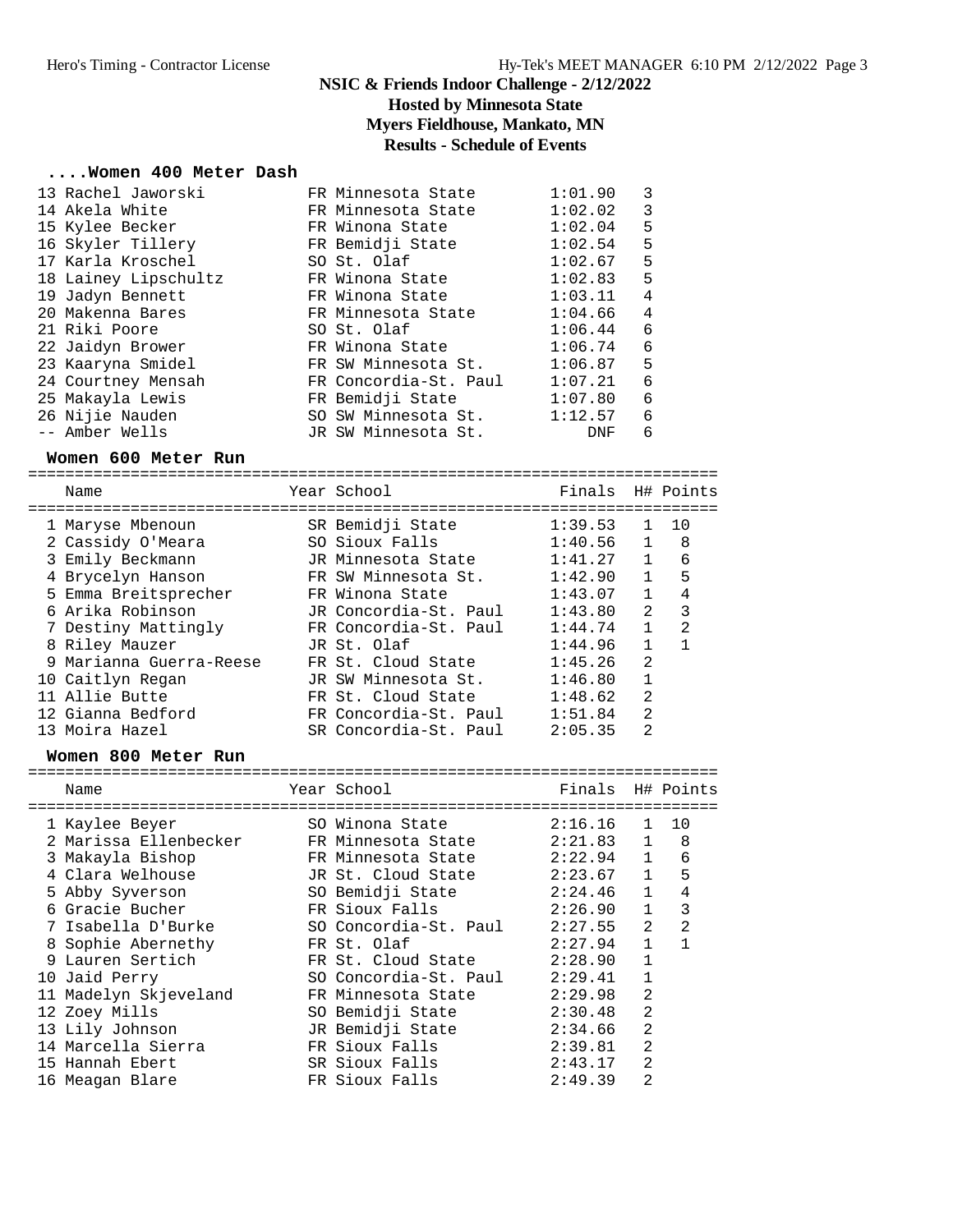### **NSIC & Friends Indoor Challenge - 2/12/2022 Hosted by Minnesota State Myers Fieldhouse, Mankato, MN Results - Schedule of Events**

#### **....Women 400 Meter Dash**

| 13 Rachel Jaworski   | FR Minnesota State    | 1:01.90    | 3              |
|----------------------|-----------------------|------------|----------------|
| 14 Akela White       | FR Minnesota State    | 1:02.02    | 3              |
| 15 Kylee Becker      | FR Winona State       | 1:02.04    | 5              |
| 16 Skyler Tillery    | FR Bemidji State      | 1:02.54    | 5              |
| 17 Karla Kroschel    | SO St. Olaf           | 1:02.67    | 5              |
| 18 Lainey Lipschultz | FR Winona State       | 1:02.83    | 5              |
| 19 Jadyn Bennett     | FR Winona State       | 1:03.11    | $\overline{4}$ |
| 20 Makenna Bares     | FR Minnesota State    | 1:04.66    | $\overline{4}$ |
| 21 Riki Poore        | SO St. Olaf           | 1:06.44    | - 6            |
| 22 Jaidyn Brower     | FR Winona State       | 1:06.74    | 6              |
| 23 Kaaryna Smidel    | FR SW Minnesota St.   | 1:06.87    | 5              |
| 24 Courtney Mensah   | FR Concordia-St. Paul | 1:07.21    | 6              |
| 25 Makayla Lewis     | FR Bemidji State      | 1:07.80    | 6              |
| 26 Nijie Nauden      | SO SW Minnesota St.   | 1:12.57    | 6              |
| -- Amber Wells       | JR SW Minnesota St.   | <b>DNF</b> | 6              |

#### **Women 600 Meter Run**

========================================================================== Name The Year School Team Points H# Points ========================================================================== 1 Maryse Mbenoun SR Bemidji State 1:39.53 1 10 2 Cassidy O'Meara SO Sioux Falls 1:40.56 1 8 3 Emily Beckmann JR Minnesota State 1:41.27 1 6 4 Brycelyn Hanson FR SW Minnesota St. 1:42.90 1 5 5 Emma Breitsprecher FR Winona State 1:43.07 1 4 6 Arika Robinson JR Concordia-St. Paul 1:43.80 2 3 7 Destiny Mattingly FR Concordia-St. Paul 1:44.74 1 2 8 Riley Mauzer JR St. Olaf 1:44.96 1 1 9 Marianna Guerra-Reese FR St. Cloud State 1:45.26 2 10 Caitlyn Regan JR SW Minnesota St. 1:46.80 1 11 Allie Butte FR St. Cloud State 1:48.62 2 12 Gianna Bedford FR Concordia-St. Paul 1:51.84 2 13 Moira Hazel SR Concordia-St. Paul 2:05.35 2

#### **Women 800 Meter Run**

| Name                  | Year School           | Finals H# Points |                |    |
|-----------------------|-----------------------|------------------|----------------|----|
|                       | SO Winona State       | 2:16.16          | $\mathbf{1}$   | 10 |
| 1 Kaylee Beyer        |                       |                  |                |    |
| 2 Marissa Ellenbecker | FR Minnesota State    | 2:21.83          | $\mathbf{1}$   | 8  |
| 3 Makayla Bishop      | FR Minnesota State    | 2:22.94          | 1              | 6  |
| 4 Clara Welhouse      | JR St. Cloud State    | 2:23.67          | $\mathbf{1}$   | 5  |
| 5 Abby Syverson       | SO Bemidji State      | 2:24.46          | $\mathbf{1}$   | 4  |
| 6 Gracie Bucher       | FR Sioux Falls        | 2:26.90          | $\mathbf{1}$   | 3  |
| 7 Isabella D'Burke    | SO Concordia-St. Paul | 2:27.55          | $\overline{2}$ | 2  |
| 8 Sophie Abernethy    | FR St. Olaf           | 2:27.94          | $\mathbf{1}$   |    |
| 9 Lauren Sertich      | FR St. Cloud State    | 2:28.90          | $\mathbf{1}$   |    |
| 10 Jaid Perry         | SO Concordia-St. Paul | 2:29.41          |                |    |
| 11 Madelyn Skjeveland | FR Minnesota State    | 2:29.98          | 2              |    |
| 12 Zoey Mills         | SO Bemidji State      | 2:30.48          | 2              |    |
| 13 Lily Johnson       | JR Bemidji State      | 2:34.66          | $\mathfrak{D}$ |    |
| 14 Marcella Sierra    | FR Sioux Falls        | 2:39.81          | 2              |    |
| 15 Hannah Ebert       | SR Sioux Falls        | 2:43.17          | $\mathfrak{D}$ |    |
| 16 Meagan Blare       | FR Sioux Falls        | 2:49.39          | 2              |    |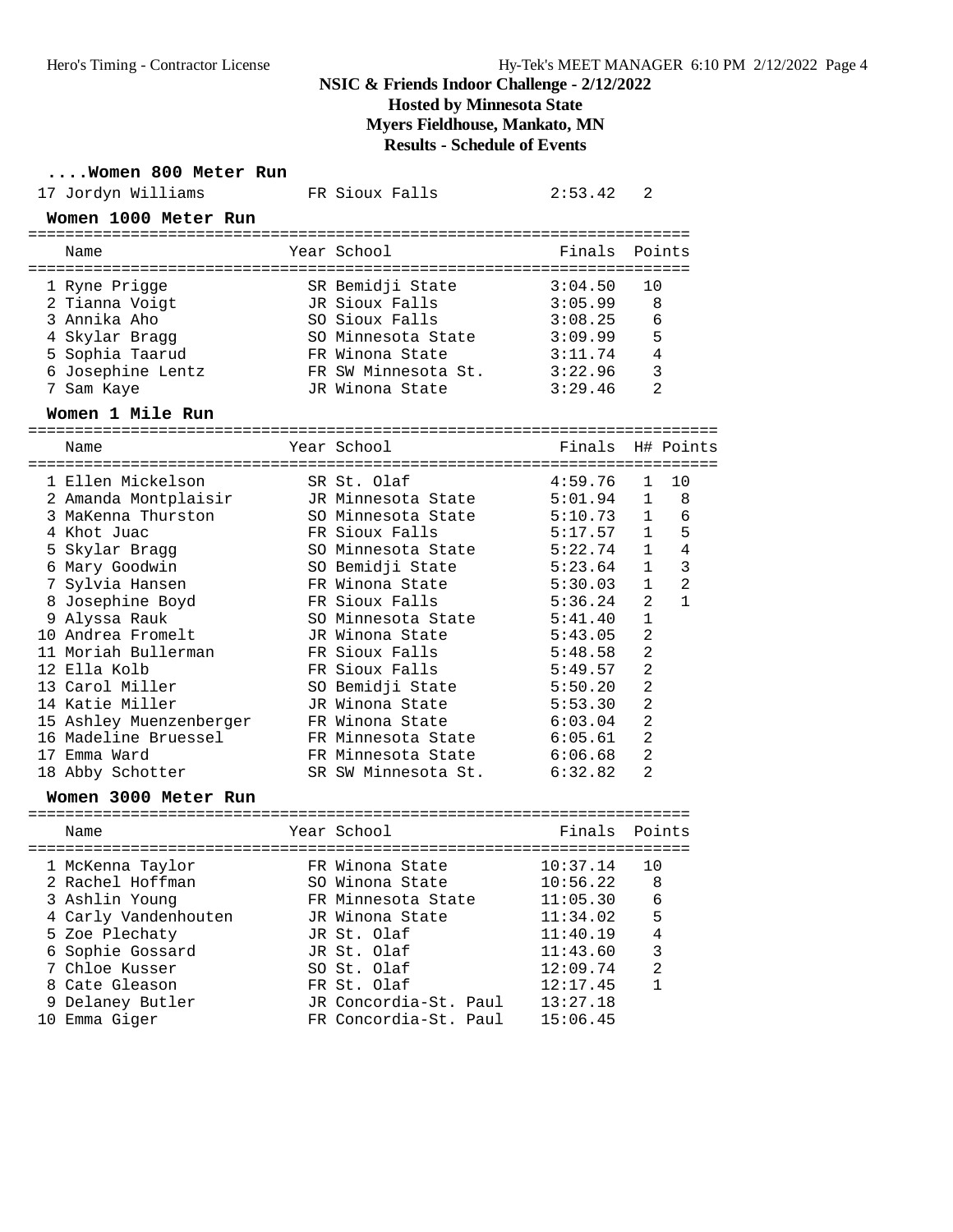**Hosted by Minnesota State**

**Myers Fieldhouse, Mankato, MN**

# **Results - Schedule of Events**

**....Women 800 Meter Run**

| 17 Jordyn Williams      | FR Sioux Falls             | 2:53.42  | 2                              |
|-------------------------|----------------------------|----------|--------------------------------|
| Women 1000 Meter Run    |                            |          |                                |
| Name                    | Year School                | Finals   | Points                         |
| 1 Ryne Prigge           | SR Bemidji State           | 3:04.50  | 10                             |
| 2 Tianna Voigt          | JR Sioux Falls             | 3:05.99  | 8                              |
| 3 Annika Aho            | SO Sioux Falls             | 3:08.25  | 6                              |
| 4 Skylar Bragg          | SO Minnesota State         | 3:09.99  | 5                              |
| 5 Sophia Taarud         | FR Winona State            | 3:11.74  | 4                              |
| 6 Josephine Lentz       | FR SW Minnesota St.        | 3:22.96  | 3                              |
| 7 Sam Kaye              | JR Winona State            | 3:29.46  | $\overline{2}$                 |
| Women 1 Mile Run        |                            |          |                                |
| Name                    | Year School                |          | Finals H# Points               |
| 1 Ellen Mickelson       | SR St. Olaf                | 4:59.76  | 10<br>1                        |
| 2 Amanda Montplaisir    | JR Minnesota State         | 5:01.94  | 8<br>1                         |
| 3 MaKenna Thurston      | SO Minnesota State         | 5:10.73  | 1<br>6                         |
| 4 Khot Juac             | FR Sioux Falls             | 5:17.57  | 5<br>$\mathbf{1}$              |
| 5 Skylar Bragg          | SO Minnesota State         | 5:22.74  | $\sqrt{4}$<br>$\mathbf{1}$     |
| 6 Mary Goodwin          | SO Bemidji State           | 5:23.64  | $\mathbf{1}$<br>3              |
| 7 Sylvia Hansen         | FR Winona State            | 5:30.03  | $\overline{2}$<br>$\mathbf{1}$ |
| 8 Josephine Boyd        | FR Sioux Falls             | 5:36.24  | 2<br>$\mathbf{1}$              |
| 9 Alyssa Rauk           | SO Minnesota State         | 5:41.40  | $\mathbf{1}$                   |
| 10 Andrea Fromelt       | JR Winona State            | 5:43.05  | $\overline{2}$                 |
| 11 Moriah Bullerman     | FR Sioux Falls             | 5:48.58  | $\overline{2}$                 |
| 12 Ella Kolb            | FR Sioux Falls             | 5:49.57  | $\overline{a}$                 |
| 13 Carol Miller         | SO Bemidji State           | 5:50.20  | $\overline{2}$                 |
| 14 Katie Miller         | JR Winona State            | 5:53.30  | 2                              |
| 15 Ashley Muenzenberger | FR Winona State            | 6:03.04  | 2                              |
| 16 Madeline Bruessel    | FR Minnesota State         | 6:05.61  | 2                              |
| 17 Emma Ward            | FR Minnesota State         | 6:06.68  | $\overline{2}$                 |
| 18 Abby Schotter        | SR SW Minnesota St.        | 6:32.82  | 2                              |
| Women 3000 Meter Run    |                            |          |                                |
| Name                    | Year School                | Finals   | Points                         |
| 1 McKenna Taylor        | FR Winona State            | 10:37.14 | 10                             |
| 2 Rachel Hoffman        | SO Winona State 10:56.22 8 |          |                                |
| 3 Ashlin Younq          | FR Minnesota State         | 11:05.30 | 6                              |
| 4 Carly Vandenhouten    | JR Winona State            | 11:34.02 | 5                              |
| 5 Zoe Plechaty          | JR St. Olaf                | 11:40.19 | $\,4$                          |
| 6 Sophie Gossard        | JR St. Olaf                | 11:43.60 | 3                              |
| 7 Chloe Kusser          | SO St. Olaf                | 12:09.74 | 2                              |
| 8 Cate Gleason          | FR St. Olaf                | 12:17.45 | 1                              |
| 9 Delaney Butler        | JR Concordia-St. Paul      | 13:27.18 |                                |
| 10 Emma Giger           | FR Concordia-St. Paul      | 15:06.45 |                                |
|                         |                            |          |                                |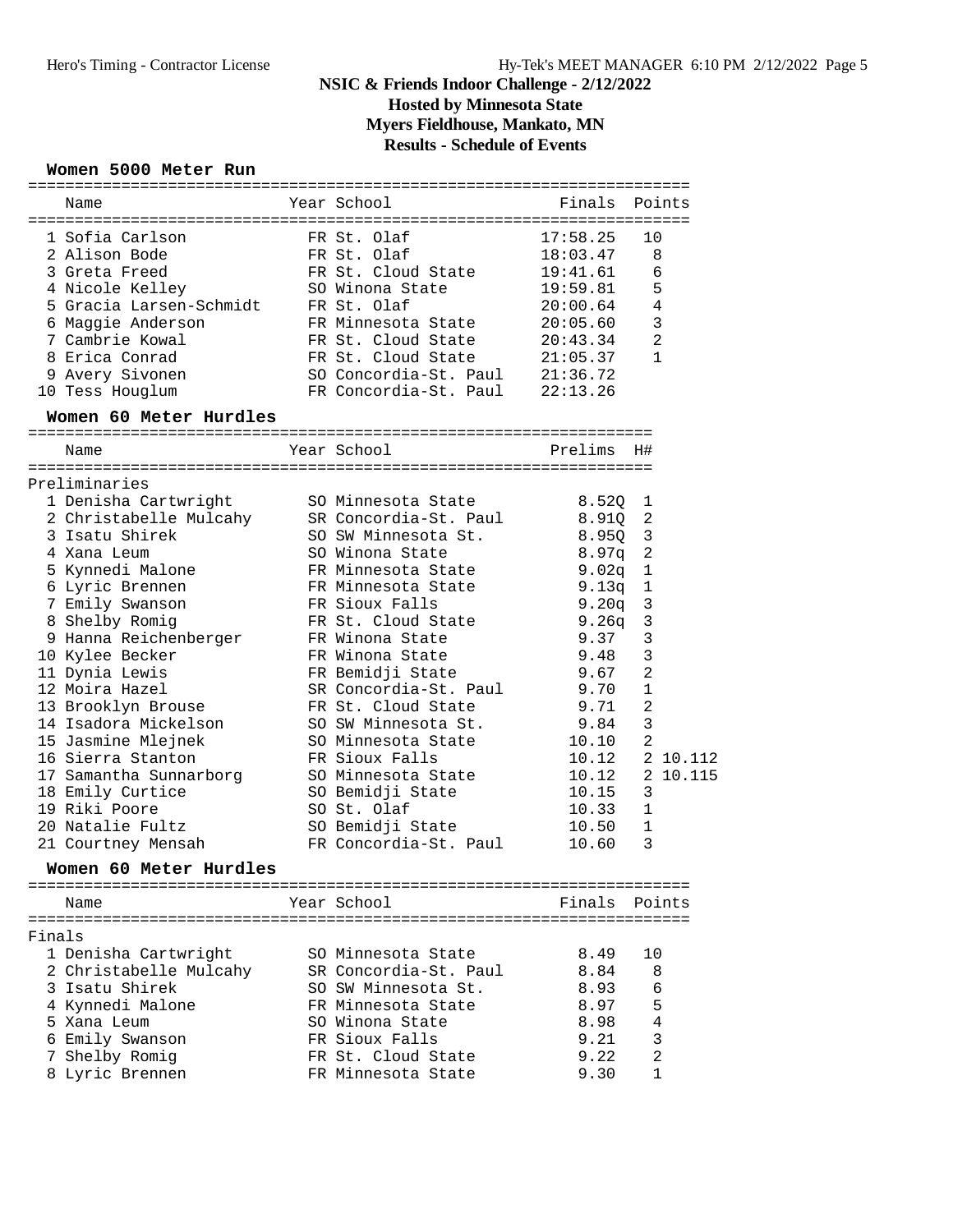# **NSIC & Friends Indoor Challenge - 2/12/2022 Hosted by Minnesota State Myers Fieldhouse, Mankato, MN**

# **Results - Schedule of Events**

### **Women 5000 Meter Run**

| Year School<br>Finals Points<br>Name<br>1 Sofia Carlson<br>FR St. Olaf<br>17:58.25<br>10<br>2 Alison Bode<br>FR St. Olaf<br>18:03.47<br>8<br>3 Greta Freed<br>FR St. Cloud State<br>19:41.61<br>6<br>5<br>4 Nicole Kelley<br>SO Winona State<br>19:59.81<br>$\overline{4}$<br>5 Gracia Larsen-Schmidt<br>FR St. Olaf<br>20:00.64<br>3<br>6 Maggie Anderson<br>FR Minnesota State<br>20:05.60<br>FR St. Cloud State<br>2<br>7 Cambrie Kowal<br>20:43.34<br>8 Erica Conrad<br>FR St. Cloud State<br>1<br>21:05.37<br>9 Avery Sivonen<br>SO Concordia-St. Paul 21:36.72<br>FR Concordia-St. Paul<br>10 Tess Houglum<br>22:13.26<br>Women 60 Meter Hurdles<br>Year School<br>Prelims<br>H#<br>Name<br>Preliminaries<br>1 Denisha Cartwright<br>SO Minnesota State<br>8.52Q<br>1<br>2 Christabelle Mulcahy<br>SR Concordia-St. Paul<br>8.91Q<br>2<br>3 Isatu Shirek<br>SO SW Minnesota St.<br>8.950 3<br>$\overline{c}$<br>4 Xana Leum<br>SO Winona State<br>8.97q<br>5 Kynnedi Malone<br>FR Minnesota State<br>$\mathbf 1$<br>9.02q<br>6 Lyric Brennen<br>$\mathbf{1}$<br>FR Minnesota State<br>9.13q<br>$\mathbf{3}$<br>7 Emily Swanson<br>FR Sioux Falls<br>9.20q<br>$\mathbf{3}$<br>8 Shelby Romig<br>FR St. Cloud State<br>9.26q<br>3<br>9 Hanna Reichenberger<br>9.37<br>FR Winona State<br>3<br>10 Kylee Becker<br>FR Winona State<br>9.48<br>$\overline{2}$<br>11 Dynia Lewis<br>FR Bemidji State<br>9.67<br>$\mathbf{1}$<br>12 Moira Hazel<br>SR Concordia-St. Paul<br>9.70<br>$\overline{a}$<br>FR St. Cloud State<br>9.71<br>13 Brooklyn Brouse<br>$\mathbf{3}$<br>14 Isadora Mickelson<br>SO SW Minnesota St.<br>9.84<br>$\overline{a}$<br>15 Jasmine Mlejnek<br>SO Minnesota State<br>10.10<br>16 Sierra Stanton<br>FR Sioux Falls<br>10.12<br>SO Minnesota State<br>17 Samantha Sunnarborg<br>10.12<br>18 Emily Curtice<br>3<br>SO Bemidji State<br>10.15<br>SO St. Olaf<br>19 Riki Poore<br>10.33<br>1<br>20 Natalie Fultz<br>SO Bemidji State<br>1<br>10.50<br>3<br>FR Concordia-St. Paul<br>10.60<br>21 Courtney Mensah<br>Women 60 Meter Hurdles<br>Year School<br>Finals<br>Points<br>Name<br>Finals<br>1 Denisha Cartwright<br>SO Minnesota State<br>8.49<br>10<br>2 Christabelle Mulcahy<br>SR Concordia-St. Paul<br>8.84<br>8<br>3 Isatu Shirek<br>SO SW Minnesota St.<br>6<br>8.93<br>5<br>4 Kynnedi Malone<br>FR Minnesota State<br>8.97<br>4<br>5 Xana Leum<br>SO Winona State<br>8.98<br>3<br>6 Emily Swanson<br>FR Sioux Falls<br>9.21<br>2<br>FR St. Cloud State<br>Shelby Romig<br>9.22<br>8 Lyric Brennen<br>1<br>FR Minnesota State<br>9.30 |  |  |  |
|-----------------------------------------------------------------------------------------------------------------------------------------------------------------------------------------------------------------------------------------------------------------------------------------------------------------------------------------------------------------------------------------------------------------------------------------------------------------------------------------------------------------------------------------------------------------------------------------------------------------------------------------------------------------------------------------------------------------------------------------------------------------------------------------------------------------------------------------------------------------------------------------------------------------------------------------------------------------------------------------------------------------------------------------------------------------------------------------------------------------------------------------------------------------------------------------------------------------------------------------------------------------------------------------------------------------------------------------------------------------------------------------------------------------------------------------------------------------------------------------------------------------------------------------------------------------------------------------------------------------------------------------------------------------------------------------------------------------------------------------------------------------------------------------------------------------------------------------------------------------------------------------------------------------------------------------------------------------------------------------------------------------------------------------------------------------------------------------------------------------------------------------------------------------------------------------------------------------------------------------------------------------------------------------------------------------------------------------------------------------------------------------------------------------------------------------------------------------------------------------------------------------------------------------------------------------------|--|--|--|
|                                                                                                                                                                                                                                                                                                                                                                                                                                                                                                                                                                                                                                                                                                                                                                                                                                                                                                                                                                                                                                                                                                                                                                                                                                                                                                                                                                                                                                                                                                                                                                                                                                                                                                                                                                                                                                                                                                                                                                                                                                                                                                                                                                                                                                                                                                                                                                                                                                                                                                                                                                       |  |  |  |
|                                                                                                                                                                                                                                                                                                                                                                                                                                                                                                                                                                                                                                                                                                                                                                                                                                                                                                                                                                                                                                                                                                                                                                                                                                                                                                                                                                                                                                                                                                                                                                                                                                                                                                                                                                                                                                                                                                                                                                                                                                                                                                                                                                                                                                                                                                                                                                                                                                                                                                                                                                       |  |  |  |
| 2 10.112<br>2 10.115                                                                                                                                                                                                                                                                                                                                                                                                                                                                                                                                                                                                                                                                                                                                                                                                                                                                                                                                                                                                                                                                                                                                                                                                                                                                                                                                                                                                                                                                                                                                                                                                                                                                                                                                                                                                                                                                                                                                                                                                                                                                                                                                                                                                                                                                                                                                                                                                                                                                                                                                                  |  |  |  |
|                                                                                                                                                                                                                                                                                                                                                                                                                                                                                                                                                                                                                                                                                                                                                                                                                                                                                                                                                                                                                                                                                                                                                                                                                                                                                                                                                                                                                                                                                                                                                                                                                                                                                                                                                                                                                                                                                                                                                                                                                                                                                                                                                                                                                                                                                                                                                                                                                                                                                                                                                                       |  |  |  |
|                                                                                                                                                                                                                                                                                                                                                                                                                                                                                                                                                                                                                                                                                                                                                                                                                                                                                                                                                                                                                                                                                                                                                                                                                                                                                                                                                                                                                                                                                                                                                                                                                                                                                                                                                                                                                                                                                                                                                                                                                                                                                                                                                                                                                                                                                                                                                                                                                                                                                                                                                                       |  |  |  |
|                                                                                                                                                                                                                                                                                                                                                                                                                                                                                                                                                                                                                                                                                                                                                                                                                                                                                                                                                                                                                                                                                                                                                                                                                                                                                                                                                                                                                                                                                                                                                                                                                                                                                                                                                                                                                                                                                                                                                                                                                                                                                                                                                                                                                                                                                                                                                                                                                                                                                                                                                                       |  |  |  |
|                                                                                                                                                                                                                                                                                                                                                                                                                                                                                                                                                                                                                                                                                                                                                                                                                                                                                                                                                                                                                                                                                                                                                                                                                                                                                                                                                                                                                                                                                                                                                                                                                                                                                                                                                                                                                                                                                                                                                                                                                                                                                                                                                                                                                                                                                                                                                                                                                                                                                                                                                                       |  |  |  |
|                                                                                                                                                                                                                                                                                                                                                                                                                                                                                                                                                                                                                                                                                                                                                                                                                                                                                                                                                                                                                                                                                                                                                                                                                                                                                                                                                                                                                                                                                                                                                                                                                                                                                                                                                                                                                                                                                                                                                                                                                                                                                                                                                                                                                                                                                                                                                                                                                                                                                                                                                                       |  |  |  |
|                                                                                                                                                                                                                                                                                                                                                                                                                                                                                                                                                                                                                                                                                                                                                                                                                                                                                                                                                                                                                                                                                                                                                                                                                                                                                                                                                                                                                                                                                                                                                                                                                                                                                                                                                                                                                                                                                                                                                                                                                                                                                                                                                                                                                                                                                                                                                                                                                                                                                                                                                                       |  |  |  |
|                                                                                                                                                                                                                                                                                                                                                                                                                                                                                                                                                                                                                                                                                                                                                                                                                                                                                                                                                                                                                                                                                                                                                                                                                                                                                                                                                                                                                                                                                                                                                                                                                                                                                                                                                                                                                                                                                                                                                                                                                                                                                                                                                                                                                                                                                                                                                                                                                                                                                                                                                                       |  |  |  |
|                                                                                                                                                                                                                                                                                                                                                                                                                                                                                                                                                                                                                                                                                                                                                                                                                                                                                                                                                                                                                                                                                                                                                                                                                                                                                                                                                                                                                                                                                                                                                                                                                                                                                                                                                                                                                                                                                                                                                                                                                                                                                                                                                                                                                                                                                                                                                                                                                                                                                                                                                                       |  |  |  |
|                                                                                                                                                                                                                                                                                                                                                                                                                                                                                                                                                                                                                                                                                                                                                                                                                                                                                                                                                                                                                                                                                                                                                                                                                                                                                                                                                                                                                                                                                                                                                                                                                                                                                                                                                                                                                                                                                                                                                                                                                                                                                                                                                                                                                                                                                                                                                                                                                                                                                                                                                                       |  |  |  |
|                                                                                                                                                                                                                                                                                                                                                                                                                                                                                                                                                                                                                                                                                                                                                                                                                                                                                                                                                                                                                                                                                                                                                                                                                                                                                                                                                                                                                                                                                                                                                                                                                                                                                                                                                                                                                                                                                                                                                                                                                                                                                                                                                                                                                                                                                                                                                                                                                                                                                                                                                                       |  |  |  |
|                                                                                                                                                                                                                                                                                                                                                                                                                                                                                                                                                                                                                                                                                                                                                                                                                                                                                                                                                                                                                                                                                                                                                                                                                                                                                                                                                                                                                                                                                                                                                                                                                                                                                                                                                                                                                                                                                                                                                                                                                                                                                                                                                                                                                                                                                                                                                                                                                                                                                                                                                                       |  |  |  |
|                                                                                                                                                                                                                                                                                                                                                                                                                                                                                                                                                                                                                                                                                                                                                                                                                                                                                                                                                                                                                                                                                                                                                                                                                                                                                                                                                                                                                                                                                                                                                                                                                                                                                                                                                                                                                                                                                                                                                                                                                                                                                                                                                                                                                                                                                                                                                                                                                                                                                                                                                                       |  |  |  |
|                                                                                                                                                                                                                                                                                                                                                                                                                                                                                                                                                                                                                                                                                                                                                                                                                                                                                                                                                                                                                                                                                                                                                                                                                                                                                                                                                                                                                                                                                                                                                                                                                                                                                                                                                                                                                                                                                                                                                                                                                                                                                                                                                                                                                                                                                                                                                                                                                                                                                                                                                                       |  |  |  |
|                                                                                                                                                                                                                                                                                                                                                                                                                                                                                                                                                                                                                                                                                                                                                                                                                                                                                                                                                                                                                                                                                                                                                                                                                                                                                                                                                                                                                                                                                                                                                                                                                                                                                                                                                                                                                                                                                                                                                                                                                                                                                                                                                                                                                                                                                                                                                                                                                                                                                                                                                                       |  |  |  |
|                                                                                                                                                                                                                                                                                                                                                                                                                                                                                                                                                                                                                                                                                                                                                                                                                                                                                                                                                                                                                                                                                                                                                                                                                                                                                                                                                                                                                                                                                                                                                                                                                                                                                                                                                                                                                                                                                                                                                                                                                                                                                                                                                                                                                                                                                                                                                                                                                                                                                                                                                                       |  |  |  |
|                                                                                                                                                                                                                                                                                                                                                                                                                                                                                                                                                                                                                                                                                                                                                                                                                                                                                                                                                                                                                                                                                                                                                                                                                                                                                                                                                                                                                                                                                                                                                                                                                                                                                                                                                                                                                                                                                                                                                                                                                                                                                                                                                                                                                                                                                                                                                                                                                                                                                                                                                                       |  |  |  |
|                                                                                                                                                                                                                                                                                                                                                                                                                                                                                                                                                                                                                                                                                                                                                                                                                                                                                                                                                                                                                                                                                                                                                                                                                                                                                                                                                                                                                                                                                                                                                                                                                                                                                                                                                                                                                                                                                                                                                                                                                                                                                                                                                                                                                                                                                                                                                                                                                                                                                                                                                                       |  |  |  |
|                                                                                                                                                                                                                                                                                                                                                                                                                                                                                                                                                                                                                                                                                                                                                                                                                                                                                                                                                                                                                                                                                                                                                                                                                                                                                                                                                                                                                                                                                                                                                                                                                                                                                                                                                                                                                                                                                                                                                                                                                                                                                                                                                                                                                                                                                                                                                                                                                                                                                                                                                                       |  |  |  |
|                                                                                                                                                                                                                                                                                                                                                                                                                                                                                                                                                                                                                                                                                                                                                                                                                                                                                                                                                                                                                                                                                                                                                                                                                                                                                                                                                                                                                                                                                                                                                                                                                                                                                                                                                                                                                                                                                                                                                                                                                                                                                                                                                                                                                                                                                                                                                                                                                                                                                                                                                                       |  |  |  |
|                                                                                                                                                                                                                                                                                                                                                                                                                                                                                                                                                                                                                                                                                                                                                                                                                                                                                                                                                                                                                                                                                                                                                                                                                                                                                                                                                                                                                                                                                                                                                                                                                                                                                                                                                                                                                                                                                                                                                                                                                                                                                                                                                                                                                                                                                                                                                                                                                                                                                                                                                                       |  |  |  |
|                                                                                                                                                                                                                                                                                                                                                                                                                                                                                                                                                                                                                                                                                                                                                                                                                                                                                                                                                                                                                                                                                                                                                                                                                                                                                                                                                                                                                                                                                                                                                                                                                                                                                                                                                                                                                                                                                                                                                                                                                                                                                                                                                                                                                                                                                                                                                                                                                                                                                                                                                                       |  |  |  |
|                                                                                                                                                                                                                                                                                                                                                                                                                                                                                                                                                                                                                                                                                                                                                                                                                                                                                                                                                                                                                                                                                                                                                                                                                                                                                                                                                                                                                                                                                                                                                                                                                                                                                                                                                                                                                                                                                                                                                                                                                                                                                                                                                                                                                                                                                                                                                                                                                                                                                                                                                                       |  |  |  |
|                                                                                                                                                                                                                                                                                                                                                                                                                                                                                                                                                                                                                                                                                                                                                                                                                                                                                                                                                                                                                                                                                                                                                                                                                                                                                                                                                                                                                                                                                                                                                                                                                                                                                                                                                                                                                                                                                                                                                                                                                                                                                                                                                                                                                                                                                                                                                                                                                                                                                                                                                                       |  |  |  |
|                                                                                                                                                                                                                                                                                                                                                                                                                                                                                                                                                                                                                                                                                                                                                                                                                                                                                                                                                                                                                                                                                                                                                                                                                                                                                                                                                                                                                                                                                                                                                                                                                                                                                                                                                                                                                                                                                                                                                                                                                                                                                                                                                                                                                                                                                                                                                                                                                                                                                                                                                                       |  |  |  |
|                                                                                                                                                                                                                                                                                                                                                                                                                                                                                                                                                                                                                                                                                                                                                                                                                                                                                                                                                                                                                                                                                                                                                                                                                                                                                                                                                                                                                                                                                                                                                                                                                                                                                                                                                                                                                                                                                                                                                                                                                                                                                                                                                                                                                                                                                                                                                                                                                                                                                                                                                                       |  |  |  |
|                                                                                                                                                                                                                                                                                                                                                                                                                                                                                                                                                                                                                                                                                                                                                                                                                                                                                                                                                                                                                                                                                                                                                                                                                                                                                                                                                                                                                                                                                                                                                                                                                                                                                                                                                                                                                                                                                                                                                                                                                                                                                                                                                                                                                                                                                                                                                                                                                                                                                                                                                                       |  |  |  |
|                                                                                                                                                                                                                                                                                                                                                                                                                                                                                                                                                                                                                                                                                                                                                                                                                                                                                                                                                                                                                                                                                                                                                                                                                                                                                                                                                                                                                                                                                                                                                                                                                                                                                                                                                                                                                                                                                                                                                                                                                                                                                                                                                                                                                                                                                                                                                                                                                                                                                                                                                                       |  |  |  |
|                                                                                                                                                                                                                                                                                                                                                                                                                                                                                                                                                                                                                                                                                                                                                                                                                                                                                                                                                                                                                                                                                                                                                                                                                                                                                                                                                                                                                                                                                                                                                                                                                                                                                                                                                                                                                                                                                                                                                                                                                                                                                                                                                                                                                                                                                                                                                                                                                                                                                                                                                                       |  |  |  |
|                                                                                                                                                                                                                                                                                                                                                                                                                                                                                                                                                                                                                                                                                                                                                                                                                                                                                                                                                                                                                                                                                                                                                                                                                                                                                                                                                                                                                                                                                                                                                                                                                                                                                                                                                                                                                                                                                                                                                                                                                                                                                                                                                                                                                                                                                                                                                                                                                                                                                                                                                                       |  |  |  |
|                                                                                                                                                                                                                                                                                                                                                                                                                                                                                                                                                                                                                                                                                                                                                                                                                                                                                                                                                                                                                                                                                                                                                                                                                                                                                                                                                                                                                                                                                                                                                                                                                                                                                                                                                                                                                                                                                                                                                                                                                                                                                                                                                                                                                                                                                                                                                                                                                                                                                                                                                                       |  |  |  |
|                                                                                                                                                                                                                                                                                                                                                                                                                                                                                                                                                                                                                                                                                                                                                                                                                                                                                                                                                                                                                                                                                                                                                                                                                                                                                                                                                                                                                                                                                                                                                                                                                                                                                                                                                                                                                                                                                                                                                                                                                                                                                                                                                                                                                                                                                                                                                                                                                                                                                                                                                                       |  |  |  |
|                                                                                                                                                                                                                                                                                                                                                                                                                                                                                                                                                                                                                                                                                                                                                                                                                                                                                                                                                                                                                                                                                                                                                                                                                                                                                                                                                                                                                                                                                                                                                                                                                                                                                                                                                                                                                                                                                                                                                                                                                                                                                                                                                                                                                                                                                                                                                                                                                                                                                                                                                                       |  |  |  |
|                                                                                                                                                                                                                                                                                                                                                                                                                                                                                                                                                                                                                                                                                                                                                                                                                                                                                                                                                                                                                                                                                                                                                                                                                                                                                                                                                                                                                                                                                                                                                                                                                                                                                                                                                                                                                                                                                                                                                                                                                                                                                                                                                                                                                                                                                                                                                                                                                                                                                                                                                                       |  |  |  |
|                                                                                                                                                                                                                                                                                                                                                                                                                                                                                                                                                                                                                                                                                                                                                                                                                                                                                                                                                                                                                                                                                                                                                                                                                                                                                                                                                                                                                                                                                                                                                                                                                                                                                                                                                                                                                                                                                                                                                                                                                                                                                                                                                                                                                                                                                                                                                                                                                                                                                                                                                                       |  |  |  |
|                                                                                                                                                                                                                                                                                                                                                                                                                                                                                                                                                                                                                                                                                                                                                                                                                                                                                                                                                                                                                                                                                                                                                                                                                                                                                                                                                                                                                                                                                                                                                                                                                                                                                                                                                                                                                                                                                                                                                                                                                                                                                                                                                                                                                                                                                                                                                                                                                                                                                                                                                                       |  |  |  |
|                                                                                                                                                                                                                                                                                                                                                                                                                                                                                                                                                                                                                                                                                                                                                                                                                                                                                                                                                                                                                                                                                                                                                                                                                                                                                                                                                                                                                                                                                                                                                                                                                                                                                                                                                                                                                                                                                                                                                                                                                                                                                                                                                                                                                                                                                                                                                                                                                                                                                                                                                                       |  |  |  |
|                                                                                                                                                                                                                                                                                                                                                                                                                                                                                                                                                                                                                                                                                                                                                                                                                                                                                                                                                                                                                                                                                                                                                                                                                                                                                                                                                                                                                                                                                                                                                                                                                                                                                                                                                                                                                                                                                                                                                                                                                                                                                                                                                                                                                                                                                                                                                                                                                                                                                                                                                                       |  |  |  |
|                                                                                                                                                                                                                                                                                                                                                                                                                                                                                                                                                                                                                                                                                                                                                                                                                                                                                                                                                                                                                                                                                                                                                                                                                                                                                                                                                                                                                                                                                                                                                                                                                                                                                                                                                                                                                                                                                                                                                                                                                                                                                                                                                                                                                                                                                                                                                                                                                                                                                                                                                                       |  |  |  |
|                                                                                                                                                                                                                                                                                                                                                                                                                                                                                                                                                                                                                                                                                                                                                                                                                                                                                                                                                                                                                                                                                                                                                                                                                                                                                                                                                                                                                                                                                                                                                                                                                                                                                                                                                                                                                                                                                                                                                                                                                                                                                                                                                                                                                                                                                                                                                                                                                                                                                                                                                                       |  |  |  |
|                                                                                                                                                                                                                                                                                                                                                                                                                                                                                                                                                                                                                                                                                                                                                                                                                                                                                                                                                                                                                                                                                                                                                                                                                                                                                                                                                                                                                                                                                                                                                                                                                                                                                                                                                                                                                                                                                                                                                                                                                                                                                                                                                                                                                                                                                                                                                                                                                                                                                                                                                                       |  |  |  |
|                                                                                                                                                                                                                                                                                                                                                                                                                                                                                                                                                                                                                                                                                                                                                                                                                                                                                                                                                                                                                                                                                                                                                                                                                                                                                                                                                                                                                                                                                                                                                                                                                                                                                                                                                                                                                                                                                                                                                                                                                                                                                                                                                                                                                                                                                                                                                                                                                                                                                                                                                                       |  |  |  |
|                                                                                                                                                                                                                                                                                                                                                                                                                                                                                                                                                                                                                                                                                                                                                                                                                                                                                                                                                                                                                                                                                                                                                                                                                                                                                                                                                                                                                                                                                                                                                                                                                                                                                                                                                                                                                                                                                                                                                                                                                                                                                                                                                                                                                                                                                                                                                                                                                                                                                                                                                                       |  |  |  |
|                                                                                                                                                                                                                                                                                                                                                                                                                                                                                                                                                                                                                                                                                                                                                                                                                                                                                                                                                                                                                                                                                                                                                                                                                                                                                                                                                                                                                                                                                                                                                                                                                                                                                                                                                                                                                                                                                                                                                                                                                                                                                                                                                                                                                                                                                                                                                                                                                                                                                                                                                                       |  |  |  |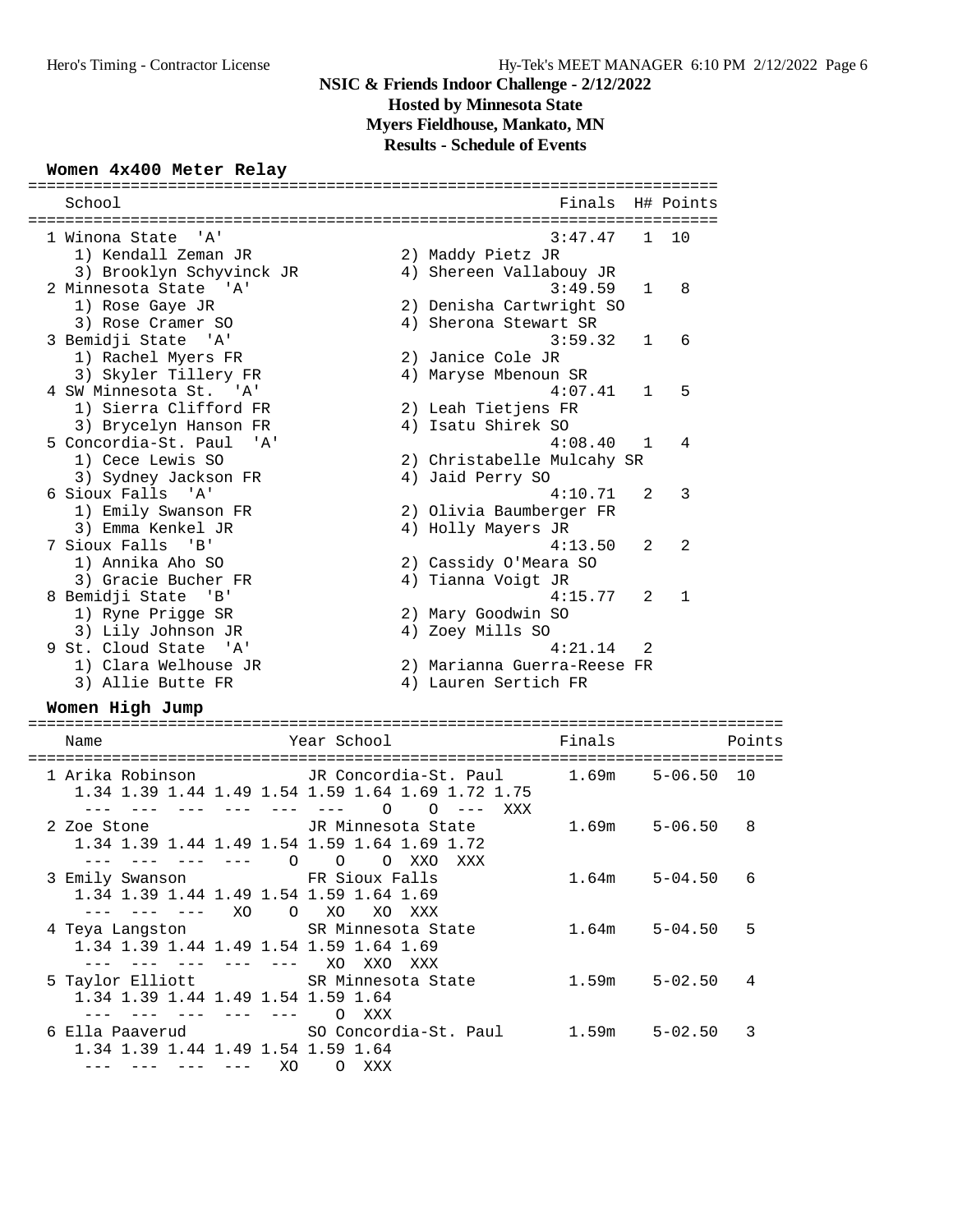# **NSIC & Friends Indoor Challenge - 2/12/2022 Hosted by Minnesota State Myers Fieldhouse, Mankato, MN**

**Results - Schedule of Events**

### **Women 4x400 Meter Relay**

|  | School                       |  | Finals H# Points<br>====================== |                |              |  |  |  |
|--|------------------------------|--|--------------------------------------------|----------------|--------------|--|--|--|
|  | 1 Winona State 'A'           |  | 3:47.47                                    |                | $1 \quad 10$ |  |  |  |
|  | 1) Kendall Zeman JR          |  | 2) Maddy Pietz JR                          |                |              |  |  |  |
|  | 3) Brooklyn Schyvinck JR     |  | 4) Shereen Vallabouy JR                    |                |              |  |  |  |
|  | 2 Minnesota State 'A'        |  | 3:49.59                                    | $\mathbf{1}$   | 8            |  |  |  |
|  | 1) Rose Gaye JR              |  | 2) Denisha Cartwright SO                   |                |              |  |  |  |
|  | 3) Rose Cramer SO            |  | 4) Sherona Stewart SR                      |                |              |  |  |  |
|  | 3 Bemidji State 'A'          |  | 3:59.32                                    | $\mathbf{1}$   | 6            |  |  |  |
|  | 1) Rachel Myers FR           |  | 2) Janice Cole JR                          |                |              |  |  |  |
|  | 3) Skyler Tillery FR         |  | 4) Maryse Mbenoun SR                       |                |              |  |  |  |
|  | 4 SW Minnesota St. 'A'       |  | 4:07.41                                    | $\mathbf{1}$   | 5            |  |  |  |
|  | 1) Sierra Clifford FR        |  | 2) Leah Tietjens FR                        |                |              |  |  |  |
|  | 3) Brycelyn Hanson FR        |  | 4) Isatu Shirek SO                         |                |              |  |  |  |
|  | 5 Concordia-St. Paul<br>' A' |  | 4:08.40                                    | $\mathbf{1}$   | 4            |  |  |  |
|  | 1) Cece Lewis SO             |  | 2) Christabelle Mulcahy SR                 |                |              |  |  |  |
|  | 3) Sydney Jackson FR         |  | 4) Jaid Perry SO                           |                |              |  |  |  |
|  | 6 Sioux Falls 'A'            |  | 4:10.71                                    | 2              | 3            |  |  |  |
|  | 1) Emily Swanson FR          |  | 2) Olivia Baumberger FR                    |                |              |  |  |  |
|  | 3) Emma Kenkel JR            |  | 4) Holly Mayers JR                         |                |              |  |  |  |
|  | 7 Sioux Falls 'B'            |  | 4:13.50                                    | $\mathfrak{D}$ | 2            |  |  |  |
|  | 1) Annika Aho SO             |  | 2) Cassidy O'Meara SO                      |                |              |  |  |  |
|  | 3) Gracie Bucher FR          |  | 4) Tianna Voigt JR                         |                |              |  |  |  |
|  | 8 Bemidji State 'B'          |  | 4:15.77                                    | 2              | $\mathbf{1}$ |  |  |  |
|  | 1) Ryne Prigge SR            |  | 2) Mary Goodwin SO                         |                |              |  |  |  |
|  | 3) Lily Johnson JR           |  | 4) Zoey Mills SO                           |                |              |  |  |  |
|  | 9 St. Cloud State 'A'        |  | 4:21.14                                    | $\mathfrak{D}$ |              |  |  |  |
|  | 1) Clara Welhouse JR         |  | 2) Marianna Guerra-Reese FR                |                |              |  |  |  |
|  | 3) Allie Butte FR            |  | 4) Lauren Sertich FR                       |                |              |  |  |  |
|  |                              |  |                                            |                |              |  |  |  |

### **Women High Jump**

| Name                                                                             | Year School                                                                                                                               | Finals            |                | Points       |
|----------------------------------------------------------------------------------|-------------------------------------------------------------------------------------------------------------------------------------------|-------------------|----------------|--------------|
|                                                                                  | 1 Arika Robinson           JR Concordia-St. Paul       1.69m<br>1.34 1.39 1.44 1.49 1.54 1.59 1.64 1.69 1.72 1.75<br>$\Omega$<br>XXX<br>∩ |                   | $5 - 06.50 10$ |              |
| 2 Zoe Stone<br>1.34 1.39 1.44 1.49 1.54 1.59 1.64 1.69 1.72<br>$\Omega$          | JR Minnesota State<br>$\Omega$<br>$\Omega$<br>XXO<br>xxx                                                                                  | 1.69m             | $5 - 06.50$    | $\mathsf{R}$ |
| 3 Emily Swanson TR Sioux Falls<br>1.34 1.39 1.44 1.49 1.54 1.59 1.64 1.69<br>XO. | $\Omega$<br>XO<br>XO.<br>xxx                                                                                                              | 1.64m             | $5 - 04.50$    | 6            |
| 4 Teya Langston SR Minnesota State<br>1.34 1.39 1.44 1.49 1.54 1.59 1.64 1.69    | XO.<br>XX O<br>xxx                                                                                                                        | $1.64m$ $5-04.50$ |                | 5            |
| 5 Taylor Elliott SR Minnesota State<br>1.34 1.39 1.44 1.49 1.54 1.59 1.64        | XXX                                                                                                                                       | 1.59m             | $5 - 02.50$    | 4            |
| 1.34 1.39 1.44 1.49 1.54 1.59 1.64<br>XO.                                        | XXX<br>∩                                                                                                                                  |                   | $5 - 02.50$    | 3            |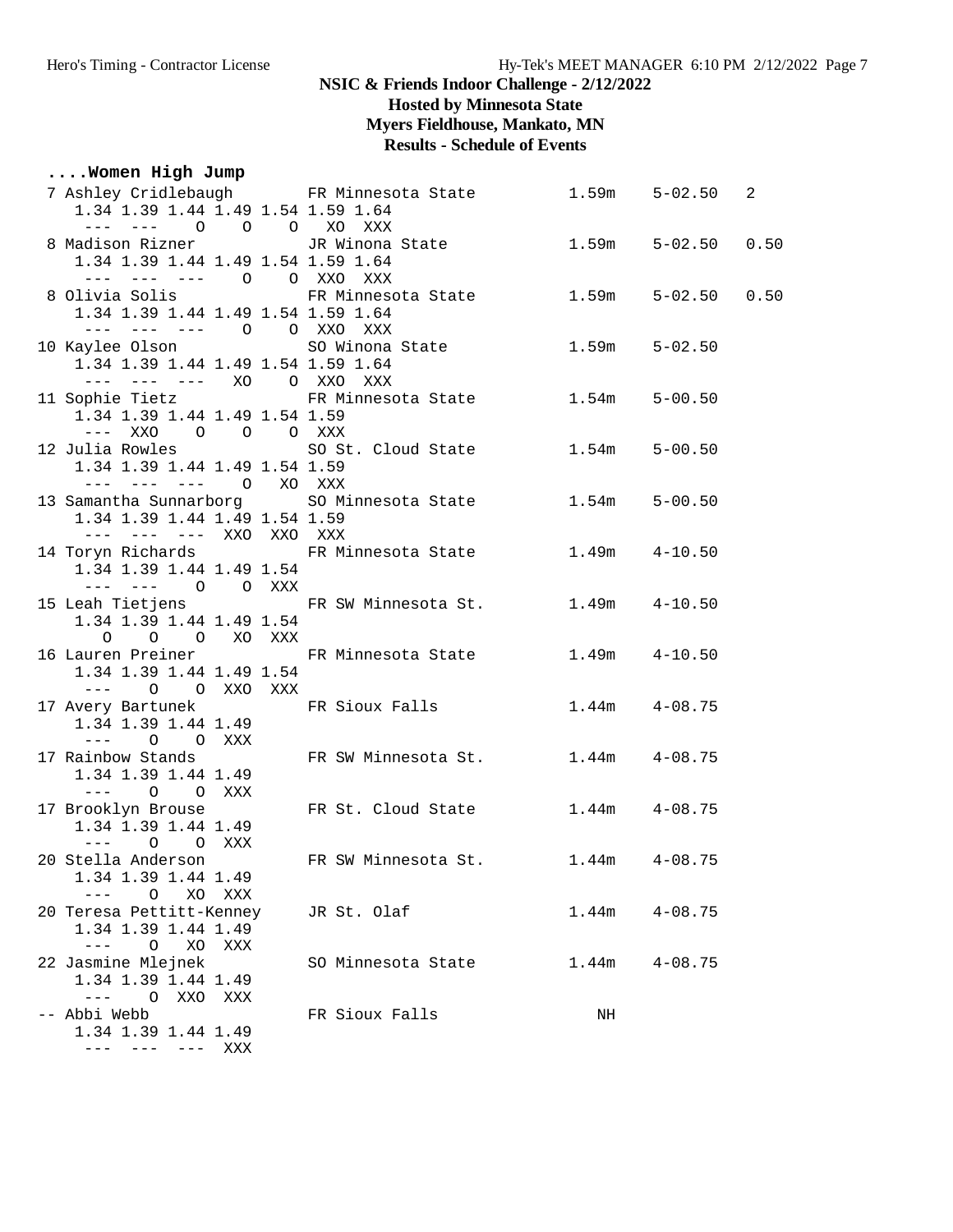**Hosted by Minnesota State**

**Myers Fieldhouse, Mankato, MN**

# **Results - Schedule of Events**

# **....Women High Jump**

| 1.34 1.39 1.44 1.49 1.54 1.59 1.64                                                                                                  | 7 Ashley Cridlebaugh FR Minnesota State                  | 1.59m             | $5 - 02.50$ | 2    |
|-------------------------------------------------------------------------------------------------------------------------------------|----------------------------------------------------------|-------------------|-------------|------|
| --- --- 0 0 0 XO XXX<br>8 Madison Rizner <a> JR Winona State</a>                                                                    |                                                          | 1.59m             | $5 - 02.50$ | 0.50 |
| 1.34 1.39 1.44 1.49 1.54 1.59 1.64<br>--- --- --- 0 0 XXO XXX                                                                       |                                                          |                   |             |      |
| 1.34 1.39 1.44 1.49 1.54 1.59 1.64                                                                                                  | 8 Olivia Solis 6 FR Minnesota State                      | 1.59m             | $5 - 02.50$ | 0.50 |
| --- --- --- 0 0 XXO XXX<br>10 Kaylee Olson SO Winona State                                                                          |                                                          | 1.59m             | $5 - 02.50$ |      |
| 1.34 1.39 1.44 1.49 1.54 1.59 1.64<br>--- --- --- XO O XXO XXX                                                                      |                                                          |                   |             |      |
| 1.34 1.39 1.44 1.49 1.54 1.59<br>$---$ XXO<br>O O O XXX                                                                             | 11 Sophie Tietz               FR Minnesota State         | 1.54m             | $5 - 00.50$ |      |
| 12 Julia Rowles 60 St. Cloud State<br>1.34 1.39 1.44 1.49 1.54 1.59<br>--- --- --- 0 XO XXX                                         |                                                          | 1.54m             | $5 - 00.50$ |      |
| 1.34 1.39 1.44 1.49 1.54 1.59                                                                                                       | 13 Samantha Sunnarborg<br>SO Minnesota State             | 1.54m             | $5 - 00.50$ |      |
| --- --- --- XXO XXO XXX<br>1.34 1.39 1.44 1.49 1.54<br>$--- \hspace{1.2cm}--- \hspace{1.2cm} 0 \hspace{1.2cm} 0 \hspace{1.2cm} XXX$ | 14 Toryn Richards               FR Minnesota State       | $1.49m$ $4-10.50$ |             |      |
| 15 Leah Tietjens<br>1.34 1.39 1.44 1.49 1.54<br>O O O XO XXX                                                                        | FR SW Minnesota St.                                      | $1.49m$ $4-10.50$ |             |      |
| 1.34 1.39 1.44 1.49 1.54<br>--- 0 0 XXO XXX                                                                                         | 16 Lauren Preiner                     FR Minnesota State | $1.49m$ $4-10.50$ |             |      |
| 17 Avery Bartunek 6 FR Sioux Falls<br>1.34 1.39 1.44 1.49<br>$---$ 0 0 XXX                                                          |                                                          | $1.44m$ $4-08.75$ |             |      |
| 17 Rainbow Stands<br>1.34 1.39 1.44 1.49<br>$--- 0 0  XXX$                                                                          | FR SW Minnesota St.                                      | $1.44m$ $4-08.75$ |             |      |
| 17 Brooklyn Brouse<br>1.34 1.39 1.44 1.49<br>$---$ 0 0 XXX                                                                          | FR St. Cloud State                                       | $1.44m$ $4-08.75$ |             |      |
| 20 Stella Anderson<br>1.34 1.39 1.44 1.49<br>XO XXX<br>O                                                                            | FR SW Minnesota St.                                      | $1.44m$ $4-08.75$ |             |      |
| 20 Teresa Pettitt-Kenney<br>1.34 1.39 1.44 1.49<br>O<br>XO<br>XXX<br>$---$                                                          | JR St. Olaf                                              | 1.44m             | $4 - 08.75$ |      |
| 22 Jasmine Mlejnek<br>1.34 1.39 1.44 1.49<br>$\qquad \qquad - -$<br>O XXO<br>XXX                                                    | SO Minnesota State                                       | 1.44m             | $4 - 08.75$ |      |
| -- Abbi Webb<br>1.34 1.39 1.44 1.49<br>--- --- XXX<br>$---$                                                                         | FR Sioux Falls                                           | NH                |             |      |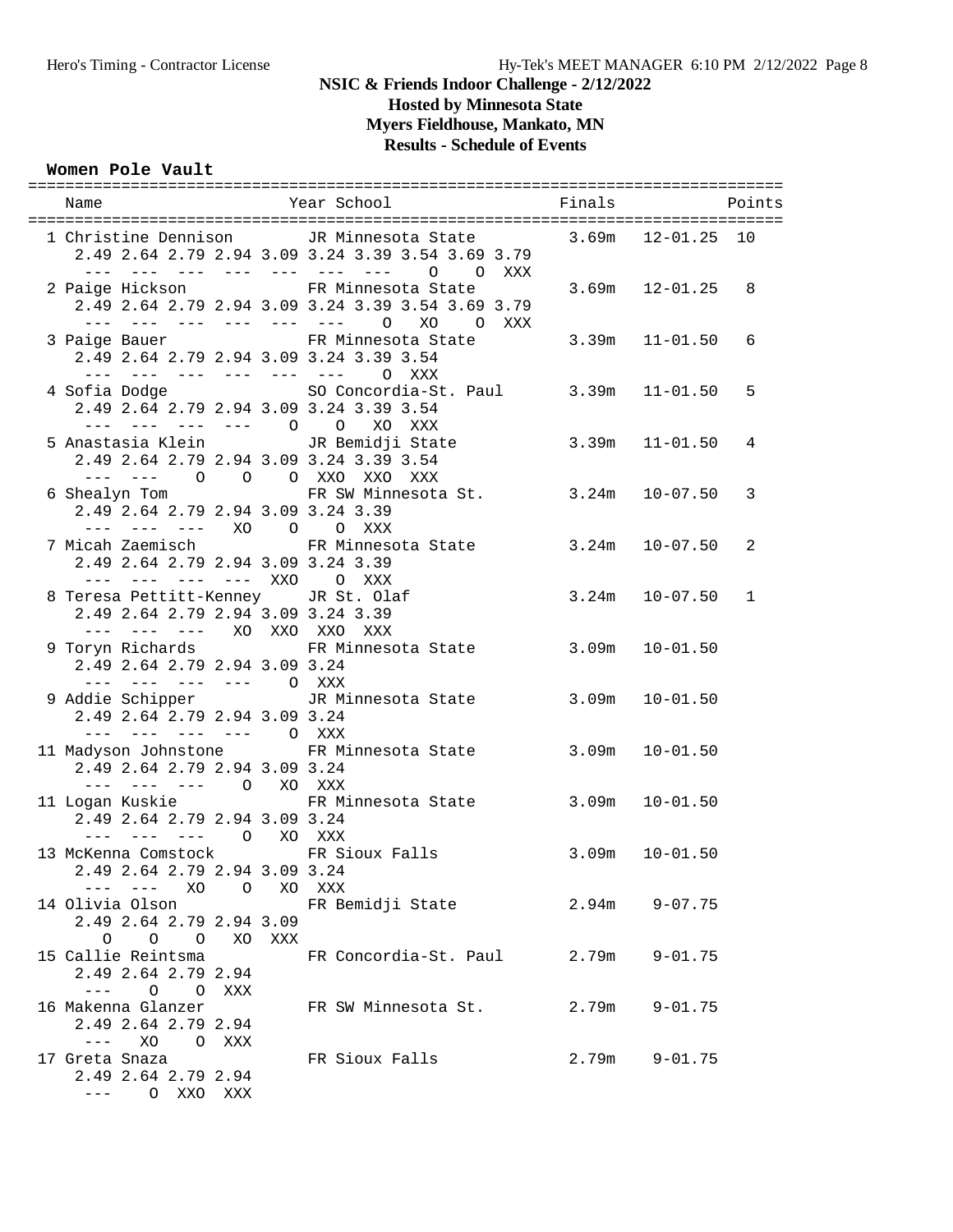**Hosted by Minnesota State**

**Myers Fieldhouse, Mankato, MN**

# **Results - Schedule of Events**

#### **Women Pole Vault**

| Name                                                                                                                                                                                                                                                                                                                                                                                                                                                                  |        | Year School Finals                                                                                                             |       |                    | Points       |
|-----------------------------------------------------------------------------------------------------------------------------------------------------------------------------------------------------------------------------------------------------------------------------------------------------------------------------------------------------------------------------------------------------------------------------------------------------------------------|--------|--------------------------------------------------------------------------------------------------------------------------------|-------|--------------------|--------------|
|                                                                                                                                                                                                                                                                                                                                                                                                                                                                       |        | 1 Christine Dennison JR Minnesota State 3.69m 12-01.25 10<br>2.49 2.64 2.79 2.94 3.09 3.24 3.39 3.54 3.69 3.79                 |       |                    |              |
|                                                                                                                                                                                                                                                                                                                                                                                                                                                                       |        | --- --- --- --- --- --- --- 0 0 XXX<br>2 Paige Hickson FR Minnesota State<br>2.49 2.64 2.79 2.94 3.09 3.24 3.39 3.54 3.69 3.79 |       | $3.69m$ $12-01.25$ | 8            |
| $--- ---- ---- ---- ---- 0$<br>2.49 2.64 2.79 2.94 3.09 3.24 3.39 3.54                                                                                                                                                                                                                                                                                                                                                                                                |        | XO<br>O XXX<br>3 Paige Bauer The State State State State                                                                       |       | $3.39m$ $11-01.50$ | 6            |
| --- --- --- --- --- --- 0 XXX<br>2.49 2.64 2.79 2.94 3.09 3.24 3.39 3.54                                                                                                                                                                                                                                                                                                                                                                                              |        | 4 Sofia Dodge SO Concordia-St. Paul 3.39m 11-01.50                                                                             |       |                    | 5            |
| --- --- --- --- 0 0 XO XXX<br>2.49 2.64 2.79 2.94 3.09 3.24 3.39 3.54                                                                                                                                                                                                                                                                                                                                                                                                 |        | 5 Anastasia Klein             JR Bemidji State                                                                                 |       | $3.39m$ $11-01.50$ | 4            |
| --- --- 0 0 0 XXO XXO XXX<br>2.49 2.64 2.79 2.94 3.09 3.24 3.39                                                                                                                                                                                                                                                                                                                                                                                                       |        | 6 Shealyn Tom FR SW Minnesota St. 3.24m 10-07.50                                                                               |       |                    | 3            |
| --- --- --- XO O O XXX<br>7 Micah Zaemisch<br>2.49 2.64 2.79 2.94 3.09 3.24 3.39                                                                                                                                                                                                                                                                                                                                                                                      |        | FR Minnesota State 3.24m 10-07.50                                                                                              |       |                    | 2            |
| --- --- --- --- XXO O XXX<br>8 Teresa Pettitt-Kenney JR St. Olaf<br>2.49 2.64 2.79 2.94 3.09 3.24 3.39                                                                                                                                                                                                                                                                                                                                                                |        |                                                                                                                                |       | $3.24m$ $10-07.50$ | $\mathbf{1}$ |
| --- --- --- XO XXO XXO XXX<br>2.49 2.64 2.79 2.94 3.09 3.24                                                                                                                                                                                                                                                                                                                                                                                                           |        | 9 Toryn Richards 6 6 FR Minnesota State                                                                                        | 3.09m | $10 - 01.50$       |              |
| --- --- --- --- O XXX<br>2.49 2.64 2.79 2.94 3.09 3.24                                                                                                                                                                                                                                                                                                                                                                                                                |        | 9 Addie Schipper TR Minnesota State                                                                                            |       | $3.09m$ $10-01.50$ |              |
| --- --- --- --- O XXX<br>2.49 2.64 2.79 2.94 3.09 3.24                                                                                                                                                                                                                                                                                                                                                                                                                |        | 11 Madyson Johnstone FR Minnesota State 3.09m                                                                                  |       | $10 - 01.50$       |              |
| --- --- --- 0 XO XXX<br>11 Logan Kuskie<br>2.49 2.64 2.79 2.94 3.09 3.24                                                                                                                                                                                                                                                                                                                                                                                              |        | FR Minnesota State 3.09m                                                                                                       |       | $10 - 01.50$       |              |
| --- --- --- 0 XO XXX<br>13 McKenna Comstock FR Sioux Falls<br>2.49 2.64 2.79 2.94 3.09 3.24                                                                                                                                                                                                                                                                                                                                                                           |        |                                                                                                                                | 3.09m | $10 - 01.50$       |              |
| ––– XO O<br>14 Olivia Olson<br>2.49 2.64 2.79 2.94 3.09                                                                                                                                                                                                                                                                                                                                                                                                               |        | XO XXX<br>FR Bemidji State                                                                                                     | 2.94m | $9 - 07.75$        |              |
| $0\qquad 0\qquad 0$<br>15 Callie Reintsma<br>2.49 2.64 2.79 2.94                                                                                                                                                                                                                                                                                                                                                                                                      | XO XXX | FR Concordia-St. Paul                                                                                                          | 2.79m | $9 - 01.75$        |              |
| $---$<br>O O XXX<br>16 Makenna Glanzer<br>2.49 2.64 2.79 2.94                                                                                                                                                                                                                                                                                                                                                                                                         |        | FR SW Minnesota St.                                                                                                            | 2.79m | $9 - 01.75$        |              |
| $\frac{1}{2} \frac{1}{2} \frac{1}{2} \frac{1}{2} \frac{1}{2} \frac{1}{2} \frac{1}{2} \frac{1}{2} \frac{1}{2} \frac{1}{2} \frac{1}{2} \frac{1}{2} \frac{1}{2} \frac{1}{2} \frac{1}{2} \frac{1}{2} \frac{1}{2} \frac{1}{2} \frac{1}{2} \frac{1}{2} \frac{1}{2} \frac{1}{2} \frac{1}{2} \frac{1}{2} \frac{1}{2} \frac{1}{2} \frac{1}{2} \frac{1}{2} \frac{1}{2} \frac{1}{2} \frac{1}{2} \frac{$<br>XO<br>O XXX<br>17 Greta Snaza<br>2.49 2.64 2.79 2.94<br>--- 0 XXO XXX |        | FR Sioux Falls                                                                                                                 | 2.79m | $9 - 01.75$        |              |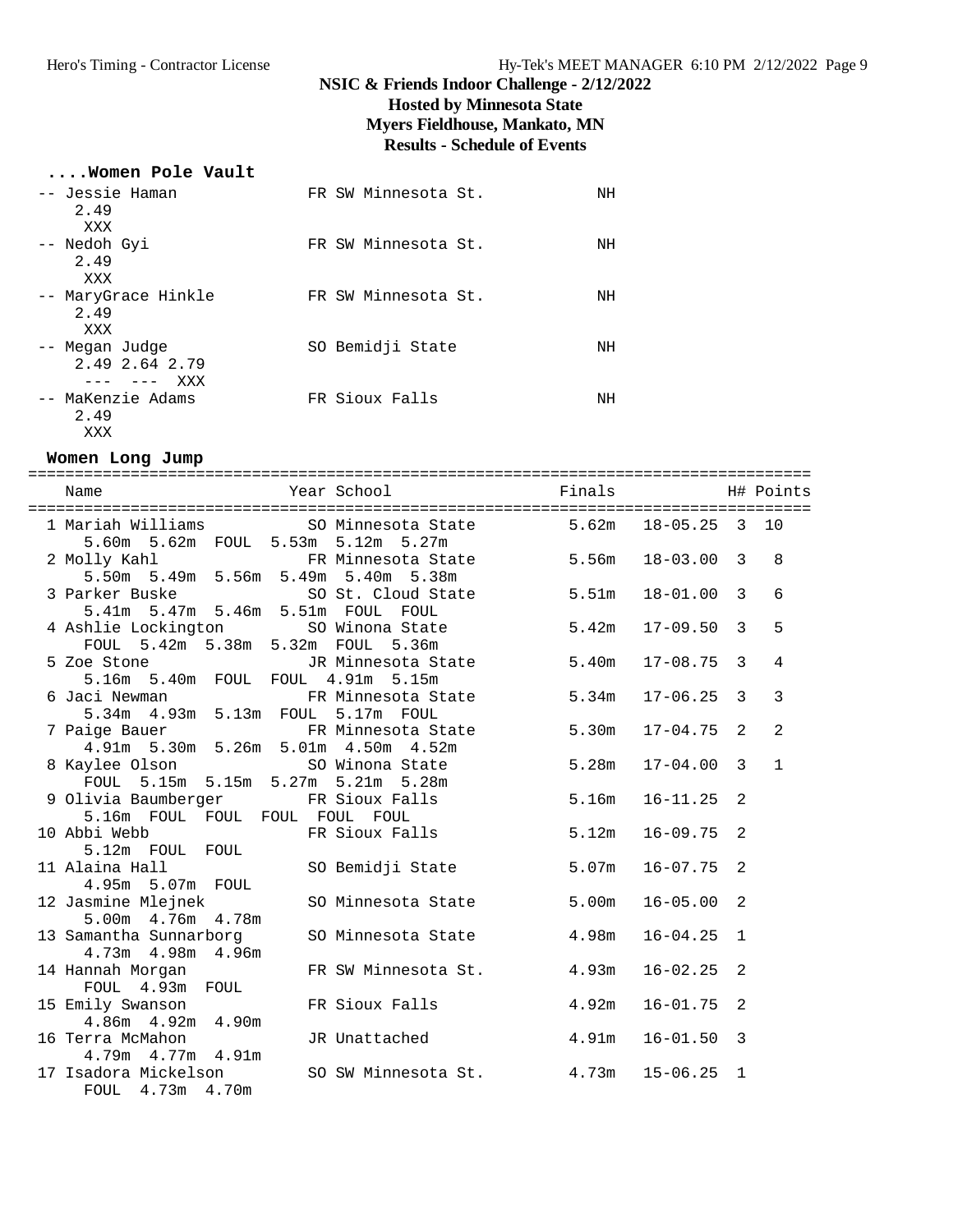# **NSIC & Friends Indoor Challenge - 2/12/2022 Hosted by Minnesota State Myers Fieldhouse, Mankato, MN Results - Schedule of Events**

### **....Women Pole Vault**

| -- Jessie Haman<br>2.49<br>XXX                               | FR SW Minnesota St. | NΗ |
|--------------------------------------------------------------|---------------------|----|
| -- Nedoh Gyi<br>2.49<br>XXX                                  | FR SW Minnesota St. | ΝH |
| -- MaryGrace Hinkle<br>2.49<br>XXX                           | FR SW Minnesota St. | ΝH |
| -- Megan Judge<br>2.49 2.64 2.79<br>XXX<br>$\qquad \qquad -$ | SO Bemidji State    | ΝH |
| -- MaKenzie Adams<br>2.49                                    | FR Sioux Falls      | ΝH |

### **Women Long Jump**

XXX

| Name                                                                 | Year School <b>Example 1</b> Finals Final H# Points      |       |                      |   |                |
|----------------------------------------------------------------------|----------------------------------------------------------|-------|----------------------|---|----------------|
| 5.60m 5.62m FOUL 5.53m 5.12m 5.27m                                   | 1 Mariah Williams SO Minnesota State 5.62m 18-05.25 3 10 |       |                      |   |                |
| 5.50m 5.49m 5.56m 5.49m 5.40m 5.38m                                  | 2 Molly Kahl FR Minnesota State 5.56m                    |       | $18 - 03.00$ 3       |   | 8              |
| 5.41m 5.47m 5.46m 5.51m FOUL FOUL                                    | 3 Parker Buske SO St. Cloud State 5.51m                  |       | $18 - 01.00$ 3       |   | 6              |
| 4 Ashlie Lockington<br>FOUL 5.42m 5.38m 5.32m FOUL 5.36m             | SO Winona State 5.42m                                    |       | $17 - 09.50$ 3       |   | 5              |
| 5 Zoe Stone<br>5.16m 5.40m FOUL FOUL 4.91m 5.15m                     | JR Minnesota State 5.40m                                 |       | $17 - 08.75$ 3       |   | $\overline{4}$ |
| 6 Jaci Newman<br>5.34m  4.93m  5.13m  FOUL  5.17m  FOUL              | FR Minnesota State 5.34m 17-06.25 3                      |       |                      |   | $\overline{3}$ |
| 7 Paige Bauer<br>4.91m 5.30m 5.26m 5.01m 4.50m 4.52m                 | FR Minnesota State 5.30m                                 |       | $17 - 04.75$ 2       |   | 2              |
| 8 Kaylee Olson SO Winona State<br>FOUL 5.15m 5.15m 5.27m 5.21m 5.28m |                                                          | 5.28m | $17 - 04.00$ 3       |   | $\mathbf{1}$   |
| 5.16m FOUL FOUL FOUL FOUL FOUL                                       | 9 Olivia Baumberger FR Sioux Falls                       | 5.16m | $16 - 11.25$         | 2 |                |
| 10 Abbi Webb<br>5.12m FOUL FOUL                                      | FR Sioux Falls                                           |       | $5.12m$ $16-09.75$   | 2 |                |
| 11 Alaina Hall<br>4.95m 5.07m FOUL                                   | SO Bemidji State                                         | 5.07m | 16-07.75             | 2 |                |
| 5.00m  4.76m  4.78m                                                  | 12 Jasmine Mlejnek 60 SO Minnesota State                 | 5.00m | $16 - 05.00$         | 2 |                |
| 4.73m  4.98m  4.96m                                                  | 13 Samantha Sunnarborg 50 Minnesota State                | 4.98m | $16 - 04.25$ 1       |   |                |
|                                                                      |                                                          |       | 16-02.25             | 2 |                |
| 15 Emily Swanson Manuel FR Sioux Falls<br>4.86m  4.92m  4.90m        |                                                          | 4.92m | $16 - 01.75$         | 2 |                |
| 16 Terra McMahon<br>4.79m  4.77m  4.91m                              | JR Unattached                                            |       | $4.91m$ $16-01.50$ 3 |   |                |
| FOUL 4.73m 4.70m                                                     | 17 Isadora Mickelson 50 SW Minnesota St. 4.73m 15-06.25  |       |                      | 1 |                |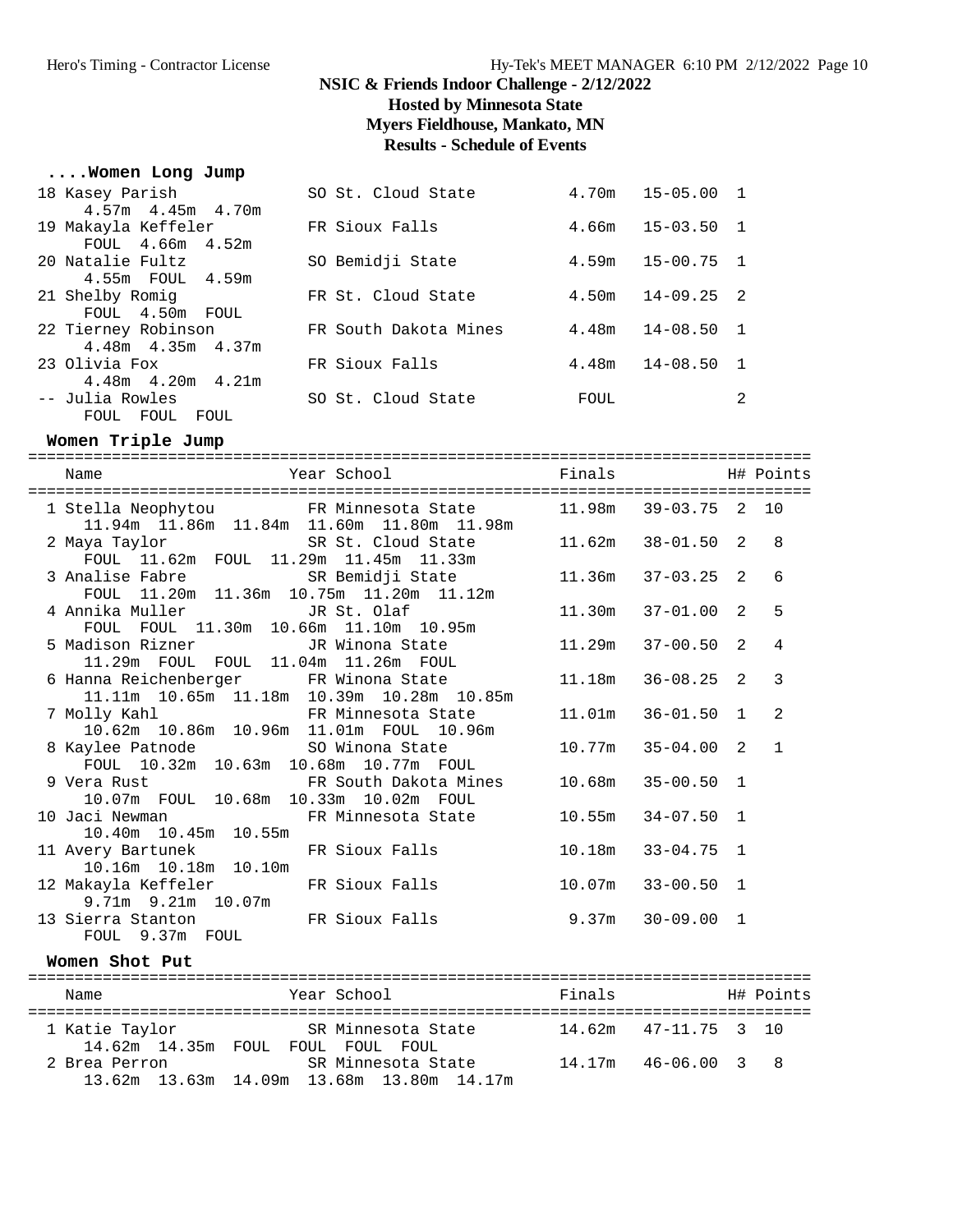**Hosted by Minnesota State**

**Myers Fieldhouse, Mankato, MN**

# **Results - Schedule of Events**

# **....Women Long Jump**

| 18 Kasey Parish         | SO St. Cloud State    |       | $4.70m$ $15-05.00$ 1 |   |
|-------------------------|-----------------------|-------|----------------------|---|
| $4.57m$ $4.45m$ $4.70m$ |                       |       |                      |   |
| 19 Makayla Keffeler     | FR Sioux Falls        |       | $4.66m$ $15-03.50$ 1 |   |
| FOUL 4.66m 4.52m        |                       |       |                      |   |
| 20 Natalie Fultz        | SO Bemidji State      |       | $4.59m$ $15-00.75$ 1 |   |
| 4.55m FOUL 4.59m        |                       |       |                      |   |
| 21 Shelby Romig         | FR St. Cloud State    |       | $4.50m$ $14-09.25$ 2 |   |
| FOUL 4.50m FOUL         |                       |       |                      |   |
| 22 Tierney Robinson     | FR South Dakota Mines | 4.48m | $14 - 08.50$ 1       |   |
| $4.48m$ $4.35m$ $4.37m$ |                       |       |                      |   |
| 23 Olivia Fox           | FR Sioux Falls        | 4.48m | $14 - 08.50$ 1       |   |
| $4.48m$ $4.20m$ $4.21m$ |                       |       |                      |   |
| -- Julia Rowles         | SO St. Cloud State    | FOUL  |                      | 2 |
| FOUL FOUL FOUL          |                       |       |                      |   |

### **Women Triple Jump**

| ==========================                                                                              |                       |                |              |
|---------------------------------------------------------------------------------------------------------|-----------------------|----------------|--------------|
| Name                                                                                                    |                       |                |              |
| 1 Stella Neophytou FR Minnesota State 11.98m 39-03.75 2 10<br>11.94m 11.86m 11.84m 11.60m 11.80m 11.98m |                       |                |              |
| 2 Maya Taylor SR St. Cloud State<br>FOUL 11.62m FOUL 11.29m 11.45m 11.33m                               | $11.62m$ $38-01.50$ 2 |                | $\mathsf{R}$ |
| 3 Analise Fabre 58 SR Bemidji State 11.36m 37-03.25 2<br>FOUL 11.20m 11.36m 10.75m 11.20m 11.12m        |                       |                | 6            |
| FOUL FOUL 11.30m 10.66m 11.10m 10.95m                                                                   | $11.30m$ $37-01.00$ 2 |                | 5            |
| 5 Madison Rizner             JR Winona State<br>11.29m FOUL FOUL 11.04m 11.26m FOUL                     | 11.29m                | $37 - 00.50$ 2 | 4            |
| 6 Hanna Reichenberger FR Winona State 11.18m<br>11.11m  10.65m  11.18m  10.39m  10.28m  10.85m          |                       | $36 - 08.25$ 2 | 3            |
| 7 Molly Kahl XX R Minnesota State<br>10.62m  10.86m  10.96m  11.01m  FOUL  10.96m                       | $11.01m$ $36-01.50$ 1 |                | 2            |
| 8 Kaylee Patnode SO Winona State 10.77m 35-04.00 2<br>FOUL 10.32m 10.63m 10.68m 10.77m FOUL             |                       |                | $\mathbf{1}$ |
| 9 Vera Rust                   FR South Dakota Mines<br>10.07m FOUL 10.68m 10.33m 10.02m FOUL            | $10.68m$ $35-00.50$ 1 |                |              |
| 10 Jaci Newman               FR Minnesota State<br>10.40m  10.45m  10.55m                               | $10.55m$ $34-07.50$ 1 |                |              |
| 11 Avery Bartunek FR Sioux Falls<br>10.16m  10.18m  10.10m                                              | 10.18m                | $33 - 04.75$ 1 |              |
| 12 Makayla Keffeler             FR Sioux Falls<br>$9.71m$ $9.21m$ $10.07m$                              | $10.07m$ 33-00.50 1   |                |              |
| 13 Sierra Stanton FR Sioux Falls 9.37m 30-09.00 1<br>FOUL 9.37m FOUL                                    |                       |                |              |
| $Woman$ $Shot$ $D11$ +                                                                                  |                       |                |              |

### **Women Shot Put**

| Name           | Year School                                                                 | Finals |                          | H# Points |
|----------------|-----------------------------------------------------------------------------|--------|--------------------------|-----------|
| 1 Katie Taylor | SR Minnesota State<br>14.62m 14.35m FOUL FOUL FOUL FOUL                     |        | $14.62m$ $47-11.75$ 3 10 |           |
| 2 Brea Perron  | SR Minnesota State<br>$13.62m$ $13.63m$ $14.09m$ $13.68m$ $13.80m$ $14.17m$ | 14.17m | 46-06.00 3 8             |           |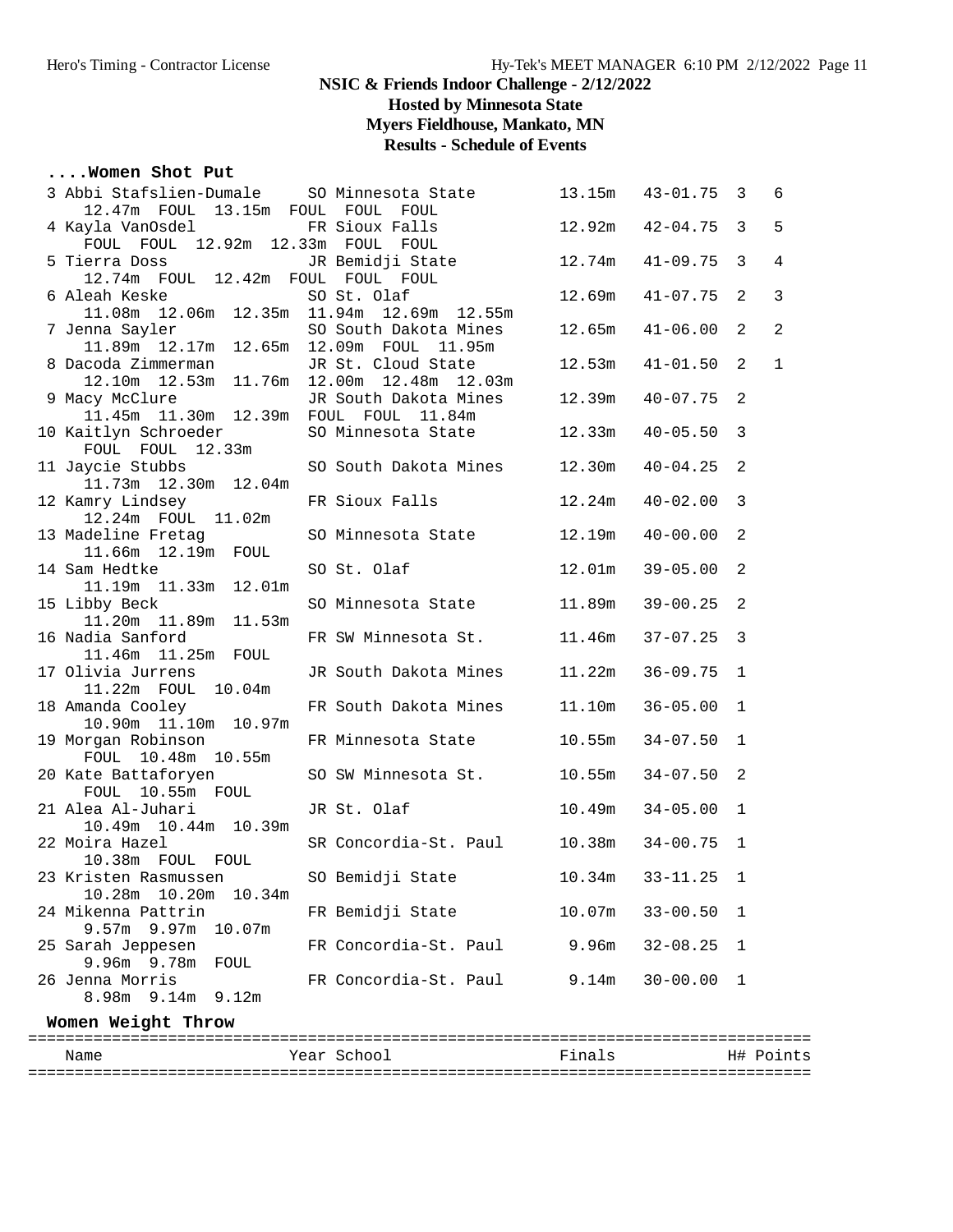**Hosted by Minnesota State**

**Myers Fieldhouse, Mankato, MN**

### **Results - Schedule of Events**

### **....Women Shot Put**

| 3 Abbi Stafslien-Dumale SO Minnesota State<br>12.47m FOUL 13.15m FOUL FOUL FOUL |                       | 13.15m | $43 - 01.75$ 3        |                | 6              |
|---------------------------------------------------------------------------------|-----------------------|--------|-----------------------|----------------|----------------|
| 4 Kayla VanOsdel 6 FR Sioux Falls                                               |                       | 12.92m | $42 - 04.75$          | $\overline{3}$ | 5              |
| FOUL FOUL 12.92m 12.33m FOUL FOUL                                               |                       |        |                       |                |                |
| 5 Tierra Doss<br>12.74m FOUL 12.42m FOUL FOUL FOUL                              | JR Bemidji State      | 12.74m | $41 - 09.75$          | 3              | $\overline{4}$ |
|                                                                                 |                       | 12.69m | $41 - 07.75$          | $\overline{2}$ | $\mathbf{3}$   |
|                                                                                 |                       |        |                       |                |                |
|                                                                                 | SO South Dakota Mines | 12.65m | 41-06.00              | $\overline{2}$ | 2              |
| 7 Jenna Sayler 50 South Dakota Mines<br>11.89m 12.17m 12.65m 12.09m FOUL 11.95m |                       |        |                       |                |                |
| 8 Dacoda Zimmerman                                                              | JR St. Cloud State    | 12.53m | $41 - 01.50$          | $\overline{2}$ | $\mathbf{1}$   |
| 12.10m  12.53m  11.76m  12.00m  12.48m  12.03m                                  |                       |        |                       |                |                |
| 9 Macy McClure                                                                  | JR South Dakota Mines | 12.39m | $40 - 07.75$          | 2              |                |
| 11.45m  11.30m  12.39m  FOUL  FOUL  11.84m                                      |                       |        |                       |                |                |
| 10 Kaitlyn Schroeder                                                            | SO Minnesota State    | 12.33m | $40 - 05.50$          | $\mathbf{3}$   |                |
| FOUL FOUL 12.33m                                                                |                       |        |                       |                |                |
| 11 Jaycie Stubbs                                                                | SO South Dakota Mines | 12.30m | $40 - 04.25$          | $\overline{a}$ |                |
| 11.73m  12.30m  12.04m                                                          |                       |        |                       |                |                |
| 12 Kamry Lindsey                                                                | FR Sioux Falls        | 12.24m | $40 - 02.00$          | 3              |                |
| 12.24m FOUL 11.02m                                                              |                       |        |                       |                |                |
| 13 Madeline Fretag                                                              | SO Minnesota State    | 12.19m | $40 - 00.00$          | 2              |                |
| 11.66m  12.19m  FOUL                                                            |                       |        |                       |                |                |
| 14 Sam Hedtke                                                                   | SO St. Olaf           | 12.01m | $39 - 05.00$          | 2              |                |
| 11.19m  11.33m  12.01m                                                          |                       |        |                       |                |                |
| 15 Libby Beck                                                                   | SO Minnesota State    | 11.89m | $39 - 00.25$          | 2              |                |
| 11.20m  11.89m  11.53m                                                          |                       |        |                       |                |                |
| 16 Nadia Sanford                                                                | FR SW Minnesota St.   | 11.46m | $37 - 07.25$          | $\overline{3}$ |                |
| 11.46m  11.25m  FOUL<br>17 Olivia Jurrens                                       | JR South Dakota Mines | 11.22m | $36 - 09.75$          | 1              |                |
| 11.22m FOUL 10.04m                                                              |                       |        |                       |                |                |
| 18 Amanda Cooley                                                                | FR South Dakota Mines | 11.10m | $36 - 05.00$          | 1              |                |
| 10.90m  11.10m  10.97m                                                          |                       |        |                       |                |                |
| 19 Morgan Robinson                                                              | FR Minnesota State    | 10.55m | $34 - 07.50$          | $\mathbf{1}$   |                |
| FOUL 10.48m 10.55m                                                              |                       |        |                       |                |                |
| 20 Kate Battaforyen                                                             | SO SW Minnesota St.   | 10.55m | $34 - 07.50$          | 2              |                |
| FOUL 10.55m FOUL                                                                |                       |        |                       |                |                |
| 21 Alea Al-Juhari                                                               | JR St. Olaf           | 10.49m | $34 - 05.00$          | $\mathbf 1$    |                |
| 10.49m  10.44m  10.39m                                                          |                       |        |                       |                |                |
| 22 Moira Hazel                                                                  | SR Concordia-St. Paul | 10.38m | $34 - 00.75$          | 1              |                |
| 10.38m FOUL FOUL                                                                |                       |        |                       |                |                |
|                                                                                 |                       |        | $10.34m$ $33-11.25$ 1 |                |                |
| 10.28m  10.20m  10.34m                                                          |                       |        |                       |                |                |
| 24 Mikenna Pattrin                                                              | FR Bemidji State      | 10.07m | $33 - 00.50$          | 1              |                |
| $9.57m$ 9.97m<br>10.07m                                                         |                       |        |                       |                |                |
| 25 Sarah Jeppesen                                                               | FR Concordia-St. Paul | 9.96m  | $32 - 08.25$          | 1              |                |
| 9.96m 9.78m<br>FOUL                                                             |                       |        |                       |                |                |
| 26 Jenna Morris                                                                 | FR Concordia-St. Paul | 9.14m  | $30 - 00.00$          | 1              |                |
| 8.98m 9.14m 9.12m                                                               |                       |        |                       |                |                |
| Women Weight Throw                                                              |                       |        |                       |                |                |

==================================================================================== Name The Year School The Finals H# Points ====================================================================================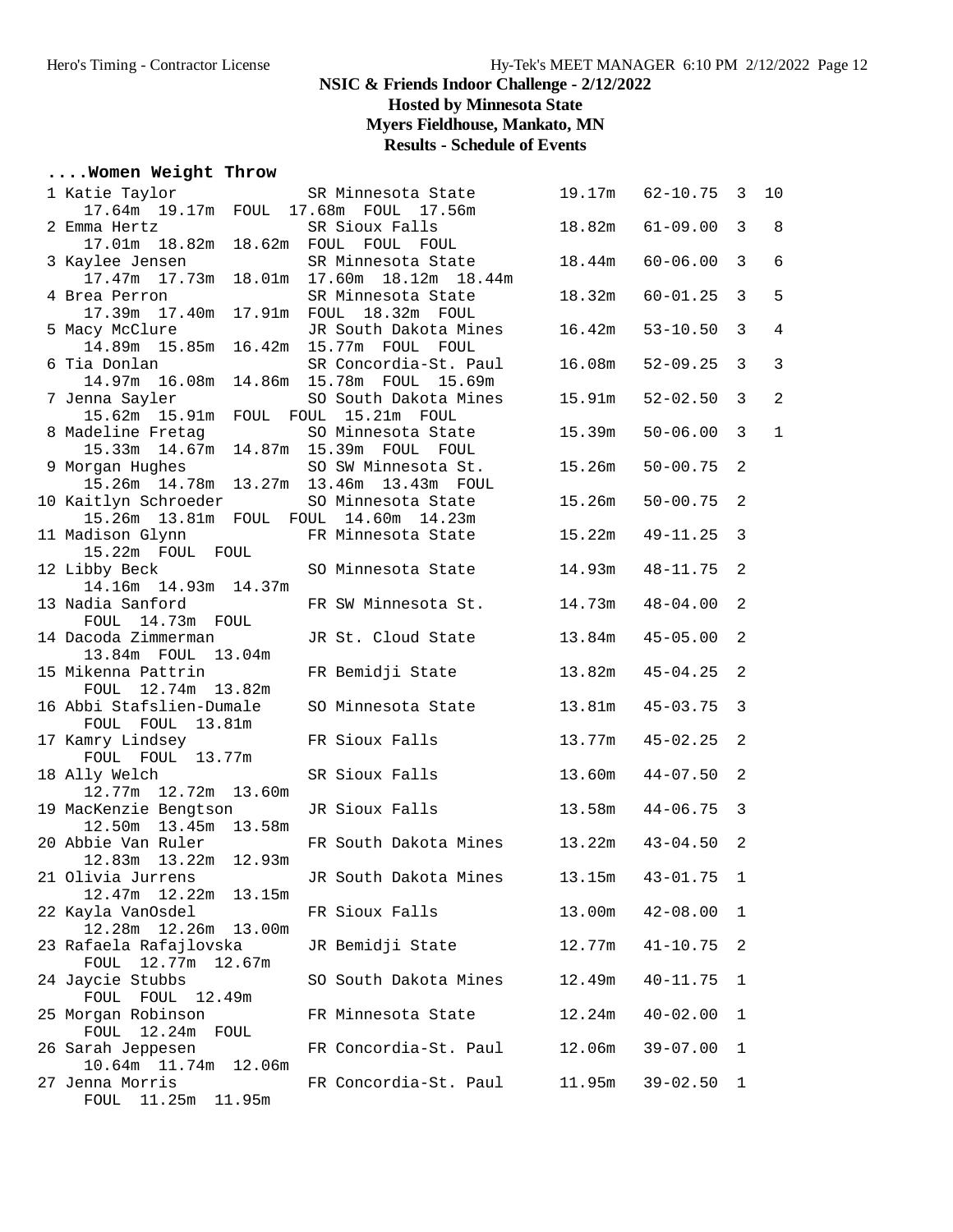**Hosted by Minnesota State**

**Myers Fieldhouse, Mankato, MN**

**Results - Schedule of Events**

### **....Women Weight Throw**

| 1 Katie Taylor                                          | SR Minnesota State                        | 19.17m | $62 - 10.75$ | 3              | 10             |
|---------------------------------------------------------|-------------------------------------------|--------|--------------|----------------|----------------|
| 17.64m  19.17m  FOUL  17.68m  FOUL  17.56m              |                                           |        |              |                |                |
| 2 Emma Hertz                                            | SR Sioux Falls                            | 18.82m | $61 - 09.00$ | 3              | 8              |
| 17.01m  18.82m  18.62m  FOUL  FOUL  FOUL                |                                           |        |              |                |                |
| 3 Kaylee Jensen                                         | SR Minnesota State                        | 18.44m | $60 - 06.00$ | 3              | 6              |
|                                                         | 17.47m 17.73m 18.01m 17.60m 18.12m 18.44m |        |              |                |                |
| 4 Brea Perron                                           | SR Minnesota State                        | 18.32m | $60 - 01.25$ | 3              | 5              |
| 17.39m  17.40m  17.91m  FOUL  18.32m  FOUL              |                                           |        |              |                |                |
| 5 Macy McClure                                          | JR South Dakota Mines                     | 16.42m | $53 - 10.50$ | 3              | $\overline{4}$ |
| 14.89m  15.85m  16.42m  15.77m  FOUL  FOUL              |                                           |        |              |                |                |
| 6 Tia Donlan<br>14.97m 16.08m 14.86m 15.78m FOUL 15.69m | SR Concordia-St. Paul                     | 16.08m | $52 - 09.25$ | $\overline{3}$ | 3              |
| 7 Jenna Sayler                                          | SO South Dakota Mines                     | 15.91m | $52 - 02.50$ | $\overline{3}$ | $\overline{a}$ |
| 15.62m 15.91m FOUL FOUL 15.21m FOUL                     |                                           |        |              |                |                |
| 8 Madeline Fretag                                       | SO Minnesota State                        | 15.39m | $50 - 06.00$ | 3              | $\mathbf{1}$   |
| 15.33m  14.67m  14.87m  15.39m  FOUL  FOUL              |                                           |        |              |                |                |
| 9 Morgan Hughes                                         | SO SW Minnesota St.                       | 15.26m | $50 - 00.75$ | -2             |                |
| 15.26m  14.78m  13.27m  13.46m  13.43m  FOUL            |                                           |        |              |                |                |
| 10 Kaitlyn Schroeder                                    | SO Minnesota State                        | 15.26m | $50 - 00.75$ | 2              |                |
| 15.26m  13.81m  FOUL  FOUL  14.60m  14.23m              |                                           |        |              |                |                |
| 11 Madison Glynn                                        | FR Minnesota State                        | 15.22m | $49 - 11.25$ | 3              |                |
| 15.22m FOUL FOUL                                        |                                           |        |              |                |                |
| 12 Libby Beck                                           | SO Minnesota State                        | 14.93m | 48-11.75     | $\overline{2}$ |                |
| 14.16m  14.93m  14.37m                                  |                                           |        |              |                |                |
| 13 Nadia Sanford                                        | FR SW Minnesota St.                       | 14.73m | $48 - 04.00$ | $\overline{2}$ |                |
| FOUL 14.73m FOUL                                        |                                           |        |              |                |                |
| 14 Dacoda Zimmerman                                     | JR St. Cloud State                        | 13.84m | $45 - 05.00$ | 2              |                |
| 13.84m FOUL 13.04m                                      |                                           |        |              |                |                |
| 15 Mikenna Pattrin<br>FOUL 12.74m 13.82m                | FR Bemidji State                          | 13.82m | $45 - 04.25$ | 2              |                |
| 16 Abbi Stafslien-Dumale                                | SO Minnesota State                        | 13.81m | $45 - 03.75$ | $\overline{3}$ |                |
| FOUL FOUL 13.81m                                        |                                           |        |              |                |                |
| 17 Kamry Lindsey                                        | FR Sioux Falls                            | 13.77m | $45 - 02.25$ | 2              |                |
| FOUL FOUL 13.77m                                        |                                           |        |              |                |                |
| 18 Ally Welch                                           | SR Sioux Falls                            | 13.60m | $44 - 07.50$ | -2             |                |
| 12.77m  12.72m  13.60m                                  |                                           |        |              |                |                |
| 19 MacKenzie Bengtson                                   | JR Sioux Falls                            | 13.58m | $44 - 06.75$ | $\overline{3}$ |                |
| 12.50m  13.45m  13.58m                                  |                                           |        |              |                |                |
| 20 Abbie Van Ruler                                      | FR South Dakota Mines                     | 13.22m | $43 - 04.50$ | 2              |                |
| 12.83m  13.22m  12.93m                                  |                                           |        |              |                |                |
| 21 Olivia Jurrens                                       | JR South Dakota Mines                     | 13.15m | $43 - 01.75$ | 1              |                |
| 12.22m<br>13.15m<br>12.47m                              |                                           |        |              |                |                |
| 22 Kayla VanOsdel<br>12.26m<br>13.00m                   | FR Sioux Falls                            | 13.00m | $42 - 08.00$ | 1              |                |
| 12.28m<br>23 Rafaela Rafajlovska                        | JR Bemidji State                          | 12.77m | $41 - 10.75$ | 2              |                |
| 12.77m<br>FOUL<br>12.67m                                |                                           |        |              |                |                |
| 24 Jaycie Stubbs                                        | SO South Dakota Mines                     | 12.49m | $40 - 11.75$ | 1              |                |
| FOUL FOUL 12.49m                                        |                                           |        |              |                |                |
| 25 Morgan Robinson                                      | FR Minnesota State                        | 12.24m | $40 - 02.00$ | 1              |                |
| FOUL 12.24m FOUL                                        |                                           |        |              |                |                |
| 26 Sarah Jeppesen                                       | FR Concordia-St. Paul                     | 12.06m | $39 - 07.00$ | 1              |                |
| 10.64m<br>11.74m<br>12.06m                              |                                           |        |              |                |                |
| 27 Jenna Morris                                         | FR Concordia-St. Paul                     | 11.95m | $39 - 02.50$ | 1              |                |
| FOUL 11.25m<br>11.95m                                   |                                           |        |              |                |                |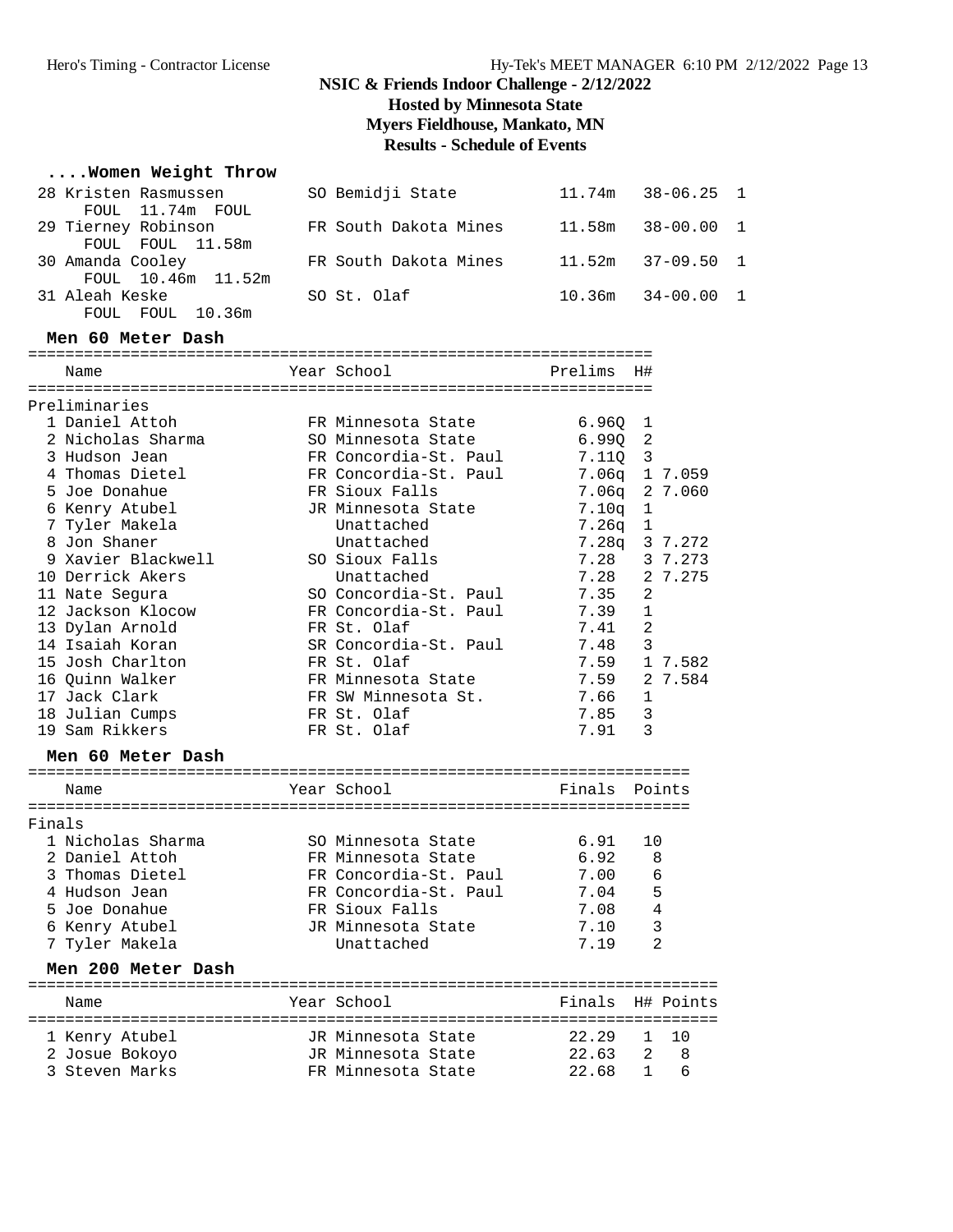### Hero's Timing - Contractor License Hy-Tek's MEET MANAGER 6:10 PM 2/12/2022 Page 13

### **NSIC & Friends Indoor Challenge - 2/12/2022**

**Hosted by Minnesota State**

**Myers Fieldhouse, Mankato, MN**

# **Results - Schedule of Events**

### **....Women Weight Throw**

| 28 Kristen Rasmussen                    | SO Bemidji State      | $11.74m$ $38-06.25$ 1 |  |
|-----------------------------------------|-----------------------|-----------------------|--|
| FOUL 11.74m FOUL                        |                       | $11.58m$ $38-00.00$ 1 |  |
| 29 Tierney Robinson<br>FOUL FOUL 11.58m | FR South Dakota Mines |                       |  |
| 30 Amanda Cooley                        | FR South Dakota Mines | $11.52m$ $37-09.50$ 1 |  |
| FOUL 10.46m 11.52m                      |                       |                       |  |
| 31 Aleah Keske                          | SO St. Olaf           | $10.36m$ $34-00.00$ 1 |  |
| FOUL FOUL 10.36m                        |                       |                       |  |

#### **Men 60 Meter Dash**

|        | Name               | Year School           | Prelims           | H#             |         |
|--------|--------------------|-----------------------|-------------------|----------------|---------|
|        |                    |                       |                   |                |         |
|        | Preliminaries      |                       |                   |                |         |
|        | 1 Daniel Attoh     | FR Minnesota State    | 6.96Q             | 1              |         |
|        | 2 Nicholas Sharma  | SO Minnesota State    | 6.99Q             | 2              |         |
|        | 3 Hudson Jean      | FR Concordia-St. Paul | 7.110             | 3              |         |
|        | 4 Thomas Dietel    | FR Concordia-St. Paul | 7.06q             |                | 1 7.059 |
|        | 5 Joe Donahue      | FR Sioux Falls        | 7.06q             |                | 2 7.060 |
|        | 6 Kenry Atubel     | JR Minnesota State    | 7.10 <sub>q</sub> | $\mathbf 1$    |         |
|        | 7 Tyler Makela     | Unattached            | 7.26q             | $\mathbf{1}$   |         |
|        | 8 Jon Shaner       | Unattached            | 7.28q             |                | 3 7.272 |
|        | 9 Xavier Blackwell | SO Sioux Falls        | 7.28              |                | 3 7.273 |
|        | 10 Derrick Akers   | Unattached            | 7.28              |                | 2 7.275 |
|        | 11 Nate Segura     | SO Concordia-St. Paul | 7.35              | 2              |         |
|        | 12 Jackson Klocow  | FR Concordia-St. Paul | 7.39              | $\mathbf{1}$   |         |
|        | 13 Dylan Arnold    | FR St. Olaf           | 7.41              | $\overline{2}$ |         |
|        | 14 Isaiah Koran    | SR Concordia-St. Paul | 7.48              | 3              |         |
|        | 15 Josh Charlton   | FR St. Olaf           | 7.59              |                | 1 7.582 |
|        | 16 Ouinn Walker    | FR Minnesota State    | 7.59              |                | 2 7.584 |
|        | 17 Jack Clark      | FR SW Minnesota St.   | 7.66              | 1              |         |
|        | 18 Julian Cumps    | FR St. Olaf           | 7.85              | 3              |         |
|        | 19 Sam Rikkers     | FR St. Olaf           | 7.91              | 3              |         |
|        | Men 60 Meter Dash  |                       |                   |                |         |
|        | Name               | Year School           | Finals            |                | Points  |
| Finals |                    |                       |                   |                |         |
|        | 1 Nicholas Sharma  | SO Minnesota State    | 6.91              | 10             |         |
|        | 2 Daniel Attoh     | FR Minnesota State    | 6.92              | 8              |         |
|        | 3 Thomas Dietel    | FR Concordia-St. Paul | 7.00              | 6              |         |
|        | 4 Hudson Jean      | FR Concordia-St. Paul | 7.04              | 5              |         |
|        | 5 Joe Donahue      | FR Sioux Falls        | 7.08              | 4              |         |
|        | 6 Kenry Atubel     | JR Minnesota State    | 7.10              | 3              |         |
|        | 7 Tyler Makela     | Unattached            | 7.19              | $\overline{a}$ |         |

#### **Men 200 Meter Dash**

| Name                                               | Year School                                                    | Finals H# Points                 |     |
|----------------------------------------------------|----------------------------------------------------------------|----------------------------------|-----|
| 1 Kenry Atubel<br>2 Josue Bokoyo<br>3 Steven Marks | JR Minnesota State<br>JR Minnesota State<br>FR Minnesota State | 22.29 1 10<br>22.63<br>22.68 1 6 | 2 8 |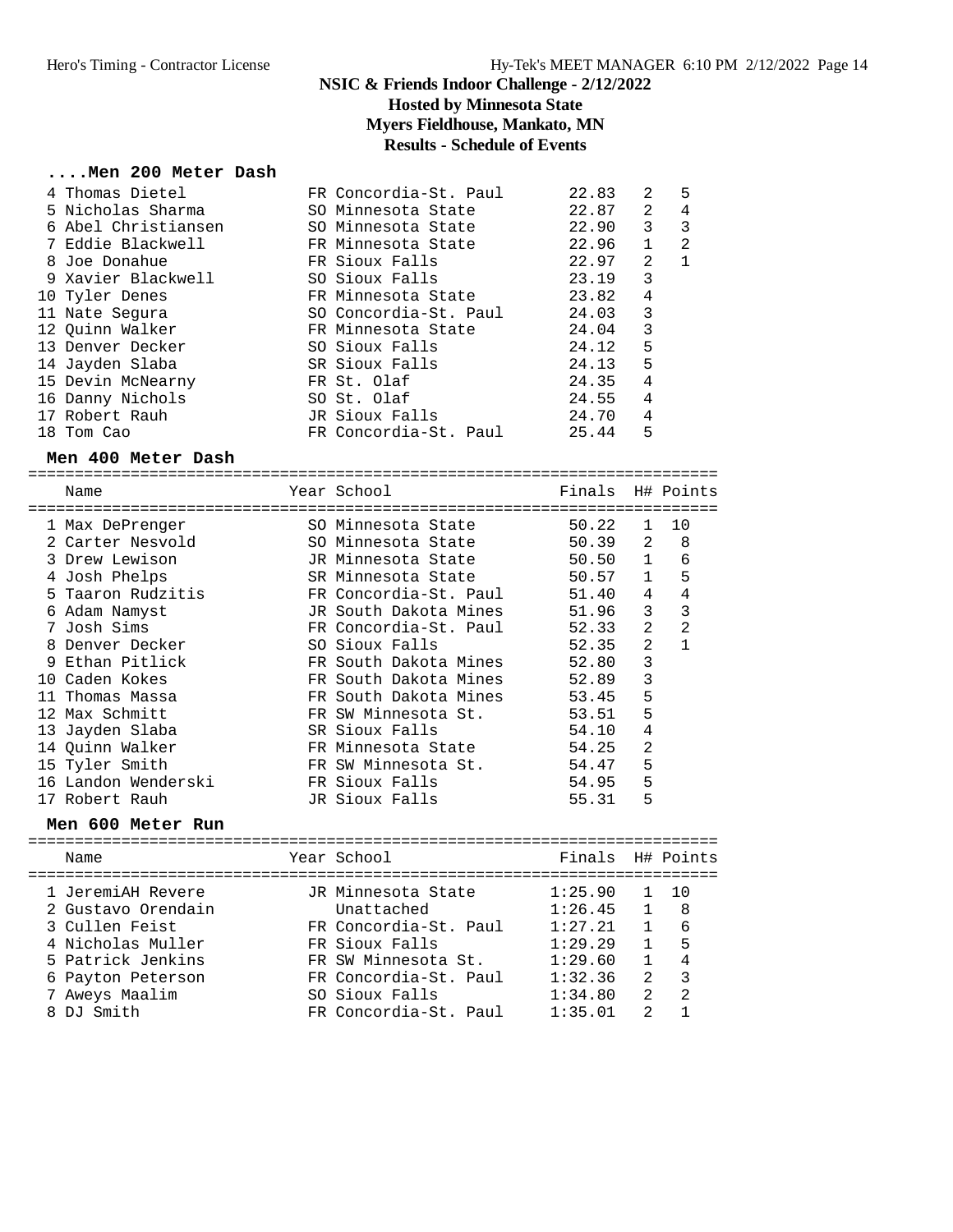### **NSIC & Friends Indoor Challenge - 2/12/2022 Hosted by Minnesota State Myers Fieldhouse, Mankato, MN Results - Schedule of Events**

#### **....Men 200 Meter Dash**

|  | 4 Thomas Dietel     | FR Concordia-St. Paul | 22.83 | 2            | 5 |
|--|---------------------|-----------------------|-------|--------------|---|
|  | 5 Nicholas Sharma   | SO Minnesota State    | 22.87 | 2            | 4 |
|  | 6 Abel Christiansen | SO Minnesota State    | 22.90 | 3            | 3 |
|  | 7 Eddie Blackwell   | FR Minnesota State    | 22.96 | $\mathbf{1}$ | 2 |
|  | 8 Joe Donahue       | FR Sioux Falls        | 22.97 | 2            |   |
|  | 9 Xavier Blackwell  | SO Sioux Falls        | 23.19 | 3            |   |
|  | 10 Tyler Denes      | FR Minnesota State    | 23.82 | 4            |   |
|  | 11 Nate Segura      | SO Concordia-St. Paul | 24.03 | 3            |   |
|  | 12 Ouinn Walker     | FR Minnesota State    | 24.04 | 3            |   |
|  | 13 Denver Decker    | SO Sioux Falls        | 24.12 | 5            |   |
|  | 14 Jayden Slaba     | SR Sioux Falls        | 24.13 | 5            |   |
|  | 15 Devin McNearny   | FR St. Olaf           | 24.35 | 4            |   |
|  | 16 Danny Nichols    | SO St. Olaf           | 24.55 | 4            |   |
|  | 17 Robert Rauh      | JR Sioux Falls        | 24.70 | 4            |   |
|  | 18 Tom Cao          | FR Concordia-St. Paul | 25.44 | 5            |   |
|  |                     |                       |       |              |   |

#### **Men 400 Meter Dash**

========================================================================== Name The Year School The Finals H# Points ========================================================================== 1 Max DePrenger SO Minnesota State 50.22 1 10 2 Carter Nesvold SO Minnesota State 50.39 2 8 3 Drew Lewison JR Minnesota State 50.50 1 6 4 Josh Phelps SR Minnesota State 50.57 1 5 5 Taaron Rudzitis FR Concordia-St. Paul 51.40 4 4 6 Adam Namyst JR South Dakota Mines 51.96 3 3 7 Josh Sims FR Concordia-St. Paul 52.33 2 2 8 Denver Decker SO Sioux Falls 52.35 2 1 9 Ethan Pitlick FR South Dakota Mines 52.80 3 10 Caden Kokes FR South Dakota Mines 52.89 3 11 Thomas Massa FR South Dakota Mines 53.45 5 12 Max Schmitt **FR** SW Minnesota St. 53.51 5 13 Jayden Slaba SR Sioux Falls 54.10 4 14 Quinn Walker FR Minnesota State 54.25 2 15 Tyler Smith FR SW Minnesota St. 54.47 5 16 Landon Wenderski FR Sioux Falls 54.95 5 17 Robert Rauh JR Sioux Falls 55.31 5

#### **Men 600 Meter Run**

| Name                                                                                                                                                     | Year School                                                                                                                                                            | Finals H# Points                                                                     |                                                                                                                            |                                                                                          |
|----------------------------------------------------------------------------------------------------------------------------------------------------------|------------------------------------------------------------------------------------------------------------------------------------------------------------------------|--------------------------------------------------------------------------------------|----------------------------------------------------------------------------------------------------------------------------|------------------------------------------------------------------------------------------|
| 1 JeremiAH Revere<br>2 Gustavo Orendain<br>3 Cullen Feist<br>4 Nicholas Muller<br>5 Patrick Jenkins<br>6 Payton Peterson<br>7 Aweys Maalim<br>8 DJ Smith | JR Minnesota State<br>Unattached<br>FR Concordia-St. Paul<br>FR Sioux Falls<br>FR SW Minnesota St.<br>FR Concordia-St. Paul<br>SO Sioux Falls<br>FR Concordia-St. Paul | 1:25.90<br>1:26.45<br>1:27.21<br>1:29.29<br>1:29.60<br>1:32.36<br>1:34.80<br>1:35.01 | $\mathbf{1}$<br>$\mathbf{1}$<br>$\overline{1}$<br>$\mathbf{1}$<br>$\mathbf{1}$<br>$2^{\circ}$<br>$2^{1}$<br>$\mathfrak{D}$ | $\overline{10}$<br>- 8<br>- 6<br>- 5<br>$\overline{4}$<br>$\mathbf{3}$<br>$\overline{2}$ |
|                                                                                                                                                          |                                                                                                                                                                        |                                                                                      |                                                                                                                            |                                                                                          |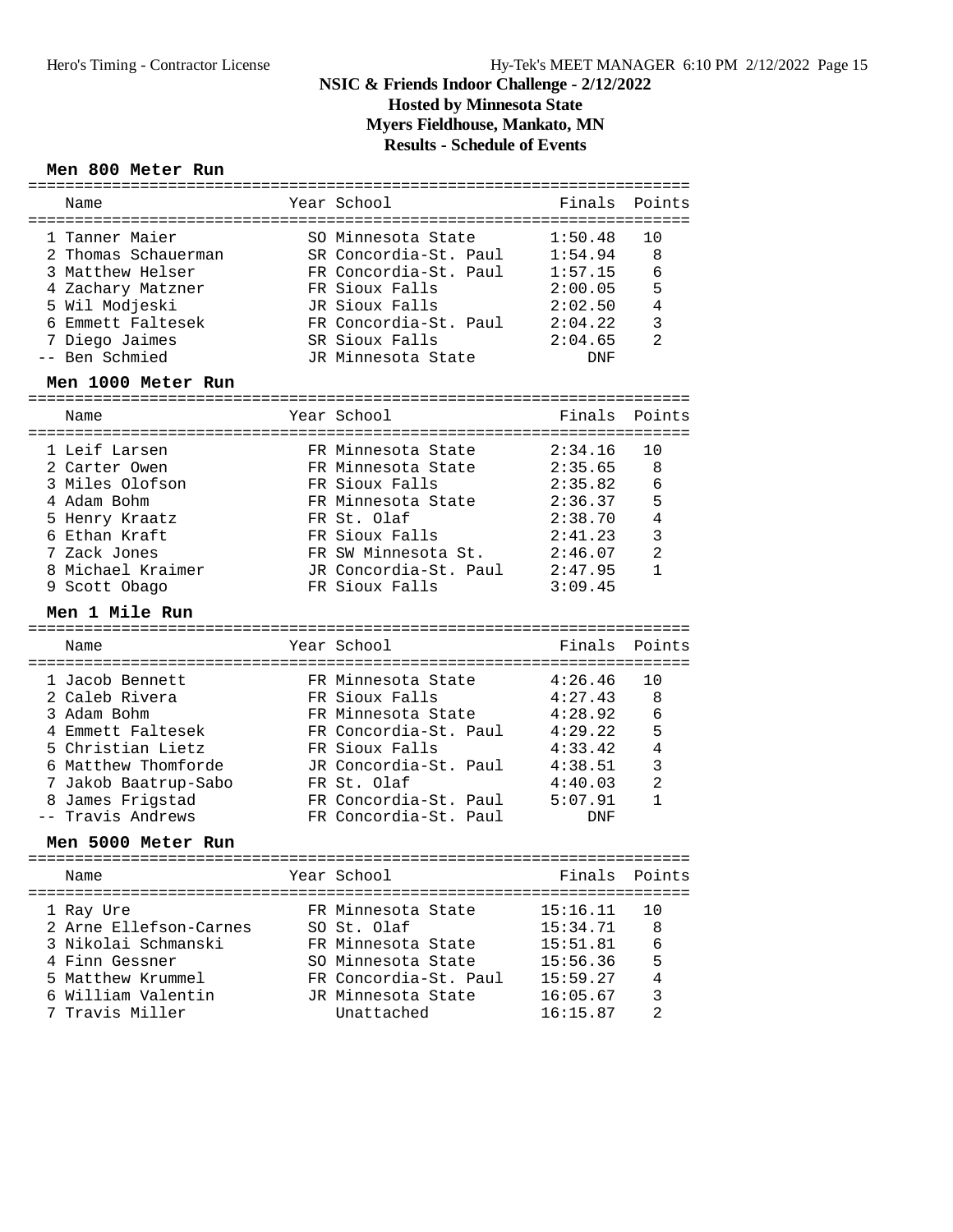## **NSIC & Friends Indoor Challenge - 2/12/2022 Hosted by Minnesota State**

**Myers Fieldhouse, Mankato, MN**

**Results - Schedule of Events**

### **Men 800 Meter Run**

| Name<br>=================                | Year School                             | Finals<br>=====    | Points         |
|------------------------------------------|-----------------------------------------|--------------------|----------------|
| 1 Tanner Maier                           | SO Minnesota State                      | 1:50.48            | 10             |
| 2 Thomas Schauerman                      | SR Concordia-St. Paul                   | 1:54.94            | 8              |
| 3 Matthew Helser                         | FR Concordia-St. Paul                   | 1:57.15            | 6              |
| 4 Zachary Matzner                        | FR Sioux Falls                          | 2:00.05            | 5              |
| 5 Wil Modjeski                           | JR Sioux Falls                          | 2:02.50            | 4              |
| 6 Emmett Faltesek                        | FR Concordia-St. Paul                   | 2:04.22            | 3              |
| 7 Diego Jaimes                           | SR Sioux Falls                          | 2:04.65            | $\overline{a}$ |
| -- Ben Schmied                           | JR Minnesota State                      | <b>DNF</b>         |                |
| Men 1000 Meter Run                       |                                         |                    |                |
| Name                                     | Year School                             | Finals             | Points         |
| 1 Leif Larsen                            | FR Minnesota State                      | 2:34.16            | 10             |
| 2 Carter Owen                            | FR Minnesota State                      | 2:35.65            | 8              |
| 3 Miles Olofson                          | FR Sioux Falls                          | 2:35.82            | 6              |
| 4 Adam Bohm                              | FR Minnesota State                      | 2:36.37            | 5              |
| 5 Henry Kraatz                           | FR St. Olaf                             | 2:38.70            | $\overline{4}$ |
| 6 Ethan Kraft                            | FR Sioux Falls                          | 2:41.23            | 3              |
| 7 Zack Jones                             | FR SW Minnesota St.                     | 2:46.07            | $\overline{a}$ |
| 8 Michael Kraimer                        | JR Concordia-St. Paul                   | 2:47.95            | $\mathbf{1}$   |
| 9 Scott Obago                            | FR Sioux Falls                          | 3:09.45            |                |
| Men 1 Mile Run                           |                                         |                    |                |
|                                          |                                         |                    |                |
| Name                                     | Year School                             | Finals             | Points         |
|                                          |                                         |                    |                |
| 1 Jacob Bennett                          | FR Minnesota State                      | 4:26.46            | 10             |
| 2 Caleb Rivera                           | FR Sioux Falls                          | 4:27.43            | 8              |
| 3 Adam Bohm                              | FR Minnesota State                      | 4:28.92            | 6              |
| 4 Emmett Faltesek<br>5 Christian Lietz   | FR Concordia-St. Paul                   | 4:29.22            | 5<br>4         |
| 6 Matthew Thomforde                      | FR Sioux Falls<br>JR Concordia-St. Paul | 4:33.42<br>4:38.51 | 3              |
|                                          | FR St. Olaf                             | 4:40.03            | $\overline{a}$ |
| 7 Jakob Baatrup-Sabo<br>8 James Frigstad | FR Concordia-St. Paul                   | 5:07.91            | 1              |
| -- Travis Andrews                        | FR Concordia-St. Paul                   | <b>DNF</b>         |                |
| Men 5000 Meter Run                       |                                         |                    |                |
|                                          |                                         |                    |                |
| Name                                     | Year School                             | Finals             | Points         |
| 1 Ray Ure                                | FR Minnesota State                      | 15:16.11           | 10             |
| 2 Arne Ellefson-Carnes                   | SO St. Olaf                             | 15:34.71           | 8              |
| 3 Nikolai Schmanski                      | FR Minnesota State                      | 15:51.81           | 6              |
| 4 Finn Gessner                           | SO Minnesota State                      | 15:56.36           | 5              |
| 5 Matthew Krummel                        | FR Concordia-St. Paul                   | 15:59.27           | 4              |
| 6 William Valentin                       | JR Minnesota State                      | 16:05.67           | 3              |
| 7 Travis Miller                          | Unattached                              | 16:15.87           | $\overline{a}$ |
|                                          |                                         |                    |                |

=======================================================================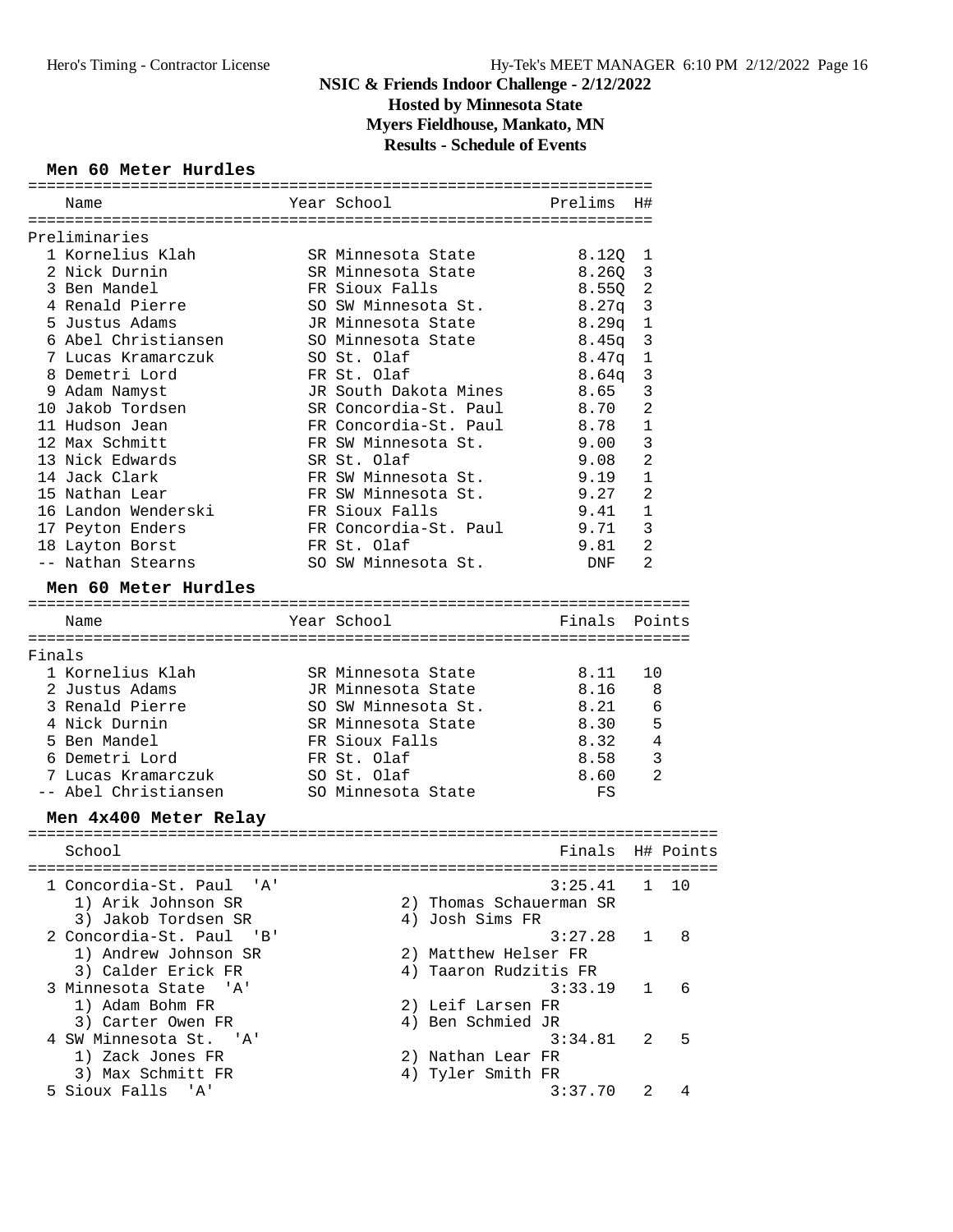### **NSIC & Friends Indoor Challenge - 2/12/2022 Hosted by Minnesota State Myers Fieldhouse, Mankato, MN**

**Results - Schedule of Events**

### **Men 60 Meter Hurdles**

|        | Name                              | Year School                | Prelims           | H#             |        |
|--------|-----------------------------------|----------------------------|-------------------|----------------|--------|
|        |                                   |                            |                   |                |        |
|        | Preliminaries<br>1 Kornelius Klah | SR Minnesota State         |                   | 1              |        |
|        | 2 Nick Durnin                     | SR Minnesota State         | 8.12Q<br>8.26Q    | $\mathbf{3}$   |        |
|        | 3 Ben Mandel                      | FR Sioux Falls             | 8.55Q             | 2              |        |
|        | 4 Renald Pierre                   | SO SW Minnesota St.        | $8.27q$ 3         |                |        |
|        | 5 Justus Adams                    | JR Minnesota State         | 8.29q             | $\mathbf{1}$   |        |
|        | 6 Abel Christiansen               | SO Minnesota State         | 8.45q             | 3              |        |
|        | 7 Lucas Kramarczuk                | SO St. Olaf                | $8.47$ q          | $\mathbf 1$    |        |
|        | 8 Demetri Lord                    | FR St. Olaf                | 8.64 <sub>q</sub> | 3              |        |
|        | 9 Adam Namyst                     | JR South Dakota Mines      | 8.65              | 3              |        |
|        | 10 Jakob Tordsen                  | SR Concordia-St. Paul      | 8.70              | 2              |        |
|        | 11 Hudson Jean                    | FR Concordia-St. Paul      | 8.78              | $\mathbf 1$    |        |
|        | 12 Max Schmitt                    | FR SW Minnesota St.        | 9.00              | 3              |        |
|        | 13 Nick Edwards                   | SR St. Olaf                | 9.08              | $\overline{2}$ |        |
|        | 14 Jack Clark                     | FR SW Minnesota St.        | 9.19              | $\mathbf{1}$   |        |
|        | 15 Nathan Lear                    | FR SW Minnesota St.        | 9.27              | $\overline{2}$ |        |
|        | 16 Landon Wenderski               | FR Sioux Falls             | 9.41              | 1              |        |
|        | 17 Peyton Enders                  | FR Concordia-St. Paul 9.71 |                   | 3              |        |
|        | 18 Layton Borst                   | FR St. Olaf                | 9.81              | $\overline{2}$ |        |
|        | -- Nathan Stearns                 | SO SW Minnesota St.        | DNF               | $\overline{2}$ |        |
|        |                                   |                            |                   |                |        |
|        | Men 60 Meter Hurdles              |                            |                   |                |        |
|        | Name                              | Year School                | Finals            |                | Points |
|        |                                   |                            |                   |                |        |
| Finals |                                   |                            |                   |                |        |
|        | 1 Kornelius Klah                  | SR Minnesota State         | 8.11              | 10             |        |
|        | 2 Justus Adams                    | JR Minnesota State         | 8.16              | 8              |        |
|        | 3 Renald Pierre                   | SO SW Minnesota St.        | 8.21              | 6              |        |
|        | 4 Nick Durnin                     | SR Minnesota State         | 8.30              | 5              |        |
|        | 5 Ben Mandel                      | FR Sioux Falls             | 8.32              | 4              |        |
|        | 6 Demetri Lord                    | FR St. Olaf                | 8.58              | $\mathsf 3$    |        |
|        | 7 Lucas Kramarczuk                | SO St. Olaf                | 8.60              | $\overline{2}$ |        |
|        | -- Abel Christiansen              | SO Minnesota State         | FS                |                |        |
|        | Men 4x400 Meter Relay             |                            |                   |                |        |
|        |                                   |                            |                   |                |        |
|        | School                            |                            | Finals H# Points  |                |        |
|        |                                   |                            |                   |                |        |
|        | 1 Concordia-St. Paul 'A'          |                            | 3:25.41           | 1              | 10     |
|        | 1) Arik Johnson SR                | 2) Thomas Schauerman SR    |                   |                |        |
|        | 3) Jakob Tordsen SR               | 4) Josh Sims FR            |                   |                |        |
|        | 2 Concordia-St. Paul 'B'          |                            | 3:27.28           | ı              | 8      |
|        | 1) Andrew Johnson SR              | 2) Matthew Helser FR       |                   |                |        |
|        | 3) Calder Erick FR                | 4) Taaron Rudzitis FR      |                   |                |        |
|        | 3 Minnesota State 'A'             |                            | 3:33.19           | 1              | 6      |
|        | 1) Adam Bohm FR                   | 2) Leif Larsen FR          |                   |                |        |
|        | 3) Carter Owen FR                 | 4) Ben Schmied JR          |                   |                |        |
|        | 4 SW Minnesota St. 'A'            |                            | 3:34.81           | 2              | 5      |
|        | 1) Zack Jones FR                  | 2) Nathan Lear FR          |                   |                |        |
|        | 3) Max Schmitt FR                 | 4) Tyler Smith FR          |                   |                |        |
|        | 5 Sioux Falls<br>' A '            |                            | 3:37.70           | 2              | 4      |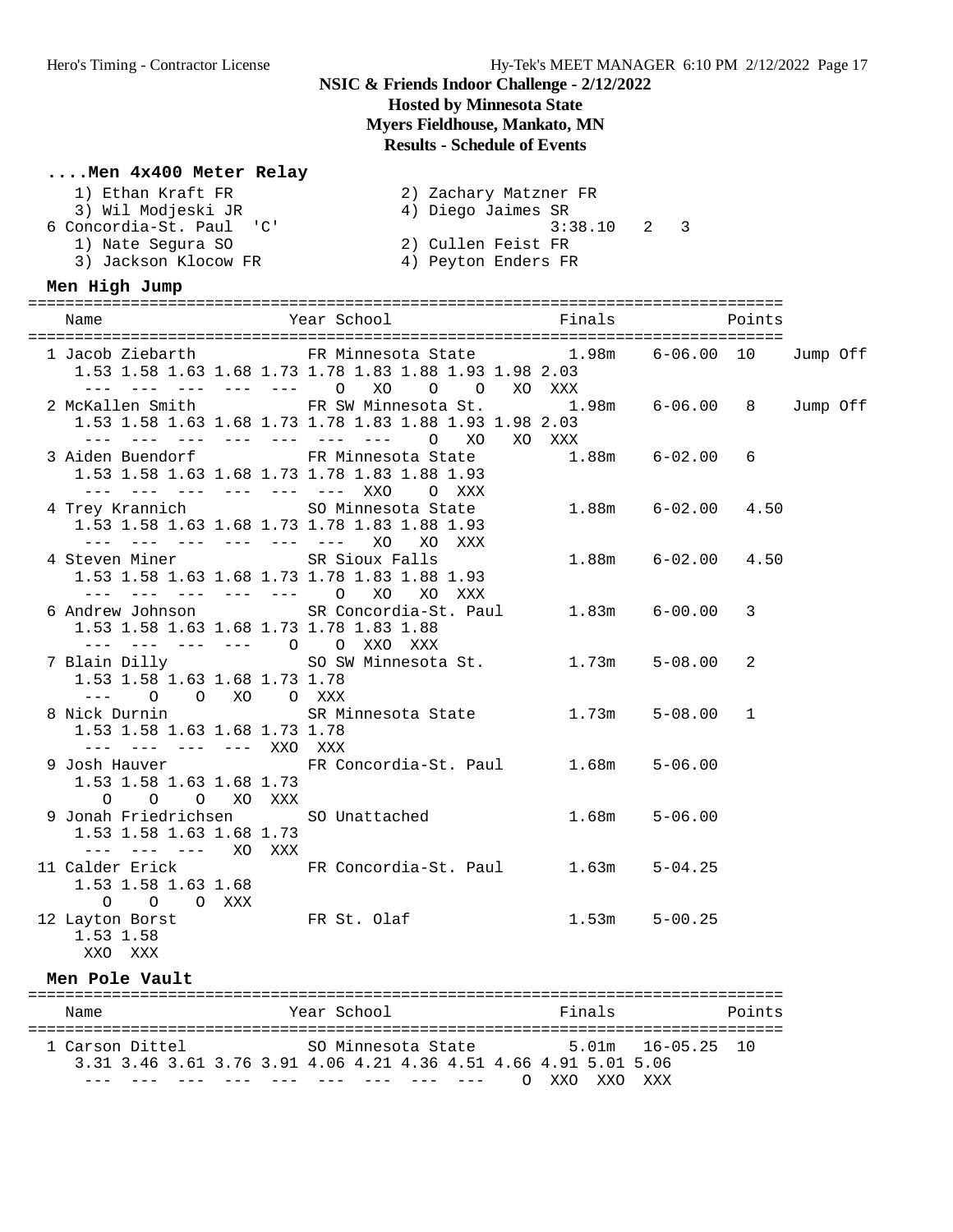## **NSIC & Friends Indoor Challenge - 2/12/2022 Hosted by Minnesota State**

# **Myers Fieldhouse, Mankato, MN**

# **Results - Schedule of Events**

### **....Men 4x400 Meter Relay**

| 1) Ethan Kraft FR        | 2) Zachary Matzner FR |
|--------------------------|-----------------------|
| 3) Wil Modjeski JR       | 4) Diego Jaimes SR    |
| 6 Concordia-St. Paul 'C' | $3:38.10$ 2 3         |
| 1) Nate Segura SO        | 2) Cullen Feist FR    |
| 3) Jackson Klocow FR     | 4) Peyton Enders FR   |

### **Men High Jump**

| Name                                                                   | Year School Finals                                                                                                                                             |        | Points                   |        |          |  |
|------------------------------------------------------------------------|----------------------------------------------------------------------------------------------------------------------------------------------------------------|--------|--------------------------|--------|----------|--|
|                                                                        | 1 Jacob Ziebarth FR Minnesota State 1.98m 6-06.00 10 Jump Off<br>1.53 1.58 1.63 1.68 1.73 1.78 1.83 1.88 1.93 1.98 2.03<br>--- --- --- --- --- 0 X0 0 0 X0 XXX |        |                          |        |          |  |
|                                                                        | 2 McKallen Smith FR SW Minnesota St. 1.98m 6-06.00 8<br>1.53 1.58 1.63 1.68 1.73 1.78 1.83 1.88 1.93 1.98 2.03<br>--- --- --- --- --- --- --- 0 XO XO XXX      |        |                          |        | Jump Off |  |
|                                                                        | 3 Aiden Buendorf FR Minnesota State 1.88m 6-02.00 6<br>1.53 1.58 1.63 1.68 1.73 1.78 1.83 1.88 1.93<br>--- --- --- --- --- --- XXO O XXX                       |        |                          |        |          |  |
| --- --- --- --- --- --- XO                                             | 4 Trey Krannich<br>1.53 1.58 1.63 1.68 1.73 1.78 1.83 1.88 1.93<br>1.88 1.93<br>XO XXX                                                                         |        |                          |        |          |  |
| 4 Steven Miner SR Sioux Falls                                          | 1.53 1.58 1.63 1.68 1.73 1.78 1.83 1.88 1.93<br>--- --- --- --- --- 0 XO XO XXX                                                                                |        | $1.88m$ $6-02.00$ $4.50$ |        |          |  |
| 1.53 1.58 1.63 1.68 1.73 1.78 1.83 1.88<br>--- --- --- --- 0 0 XXO XXX | 6 Andrew Johnson SR Concordia-St. Paul 1.83m 6-00.00                                                                                                           |        |                          | 3      |          |  |
| 1.53 1.58 1.63 1.68 1.73 1.78<br>$---$ 0 0 XO 0 XXX                    | 7 Blain Dilly SO SW Minnesota St. 1.73m 5-08.00                                                                                                                |        |                          | 2      |          |  |
| 1.53 1.58 1.63 1.68 1.73 1.78<br>--- --- --- --- XXO XXX               | 8 Nick Durnin             SR Minnesota State         1.73m     5-08.00   1                                                                                     |        |                          |        |          |  |
| 1.53 1.58 1.63 1.68 1.73<br>O O O XO XXX                               | 9 Josh Hauver <b>FR</b> Concordia-St. Paul 1.68m                                                                                                               |        | $5 - 06.00$              |        |          |  |
| 1.53 1.58 1.63 1.68 1.73<br>--- --- --- XO XXX                         | 9 Jonah Friedrichsen SO Unattached                                                                                                                             |        | $1.68m$ $5-06.00$        |        |          |  |
| 1.53 1.58 1.63 1.68<br>O O O XXX                                       | 11 Calder Erick FR Concordia-St. Paul 1.63m 5-04.25                                                                                                            |        |                          |        |          |  |
| 1.53 1.58<br>XXO XXX                                                   | 12 Layton Borst FR St. Olaf 1.53m                                                                                                                              |        | $5 - 00.25$              |        |          |  |
| Men Pole Vault                                                         |                                                                                                                                                                |        |                          |        |          |  |
| Name                                                                   | Year School                                                                                                                                                    | Finals |                          | Points |          |  |

| Name                                                             |  |  | Year School        |  |             |           |     | Finals |                   | Points |
|------------------------------------------------------------------|--|--|--------------------|--|-------------|-----------|-----|--------|-------------------|--------|
| 1 Carson Dittel                                                  |  |  | SO Minnesota State |  |             |           |     |        | 5.01m 16-05.25 10 |        |
| 3.31 3.46 3.61 3.76 3.91 4.06 4.21 4.36 4.51 4.66 4.91 5.01 5.06 |  |  |                    |  |             |           |     |        |                   |        |
|                                                                  |  |  |                    |  | --- --- --- | $\bigcap$ | XXO |        | XXO XXX           |        |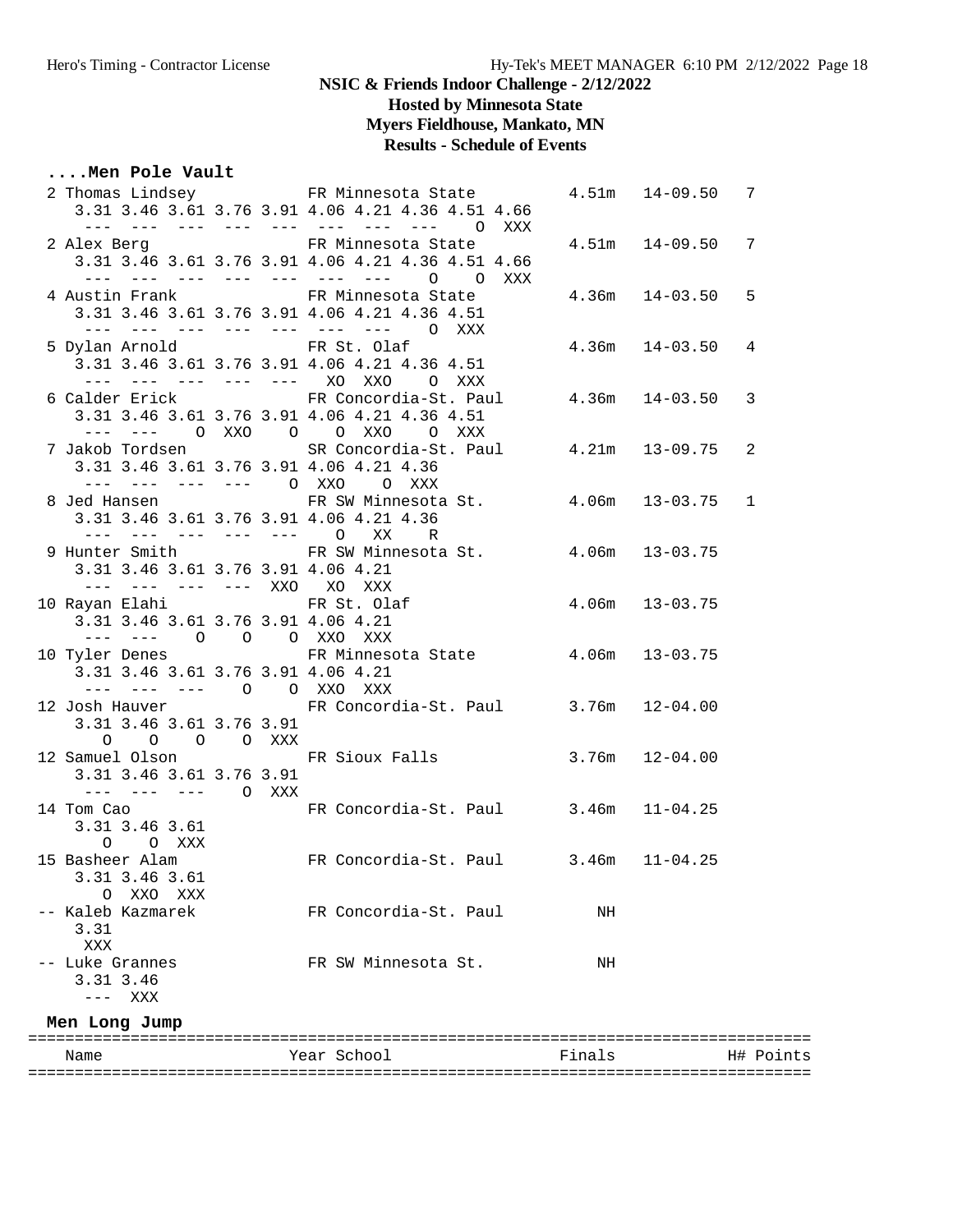# **Hosted by Minnesota State**

# **Myers Fieldhouse, Mankato, MN**

### **Results - Schedule of Events**

### **....Men Pole Vault**

| Name                                                                                |  | Year School                                                                                                                      | Finals |                      | H# Points |
|-------------------------------------------------------------------------------------|--|----------------------------------------------------------------------------------------------------------------------------------|--------|----------------------|-----------|
| Men Long Jump                                                                       |  |                                                                                                                                  |        |                      |           |
| 3.31 3.46<br>--- XXX                                                                |  |                                                                                                                                  |        |                      |           |
| 3.31<br>XXX<br>-- Luke Grannes                                                      |  | FR SW Minnesota St.                                                                                                              | ΝH     |                      |           |
| XXO XXX<br>O<br>-- Kaleb Kazmarek                                                   |  | FR Concordia-St. Paul                                                                                                            | NH     |                      |           |
| 3.31 3.46 3.61                                                                      |  | 15 Basheer Alam Man FR Concordia-St. Paul 3.46m 11-04.25                                                                         |        |                      |           |
| 3.31 3.46 3.61<br>O O XXX                                                           |  |                                                                                                                                  |        |                      |           |
| 3.31 3.46 3.61 3.76 3.91<br>$--- - - - - - - - 0$ XXX<br>14 Tom Cao                 |  | FR Concordia-St. Paul 3.46m 11-04.25                                                                                             |        |                      |           |
| 0 0 0 0 XXX                                                                         |  | 12 Samuel Olson FR Sioux Falls 3.76m 12-04.00                                                                                    |        |                      |           |
| 3.31 3.46 3.61 3.76 3.91                                                            |  | 12 Josh Hauver FR Concordia-St. Paul 3.76m 12-04.00                                                                              |        |                      |           |
| 3.31 3.46 3.61 3.76 3.91 4.06 4.21<br>--- --- --- 0 0 XXO XXX                       |  |                                                                                                                                  |        |                      |           |
| 3.31 3.46 3.61 3.76 3.91 4.06 4.21<br>--- --- 0 0 0 XXO XXX                         |  | 10 Tyler Denes FR Minnesota State 4.06m 13-03.75                                                                                 |        |                      |           |
| --- --- --- --- XXO XO XXX<br>10 Rayan Elahi Karatasan Santa Tanada Karatasan Sulaf |  | $4.06m$ $13-03.75$                                                                                                               |        |                      |           |
| 3.31 3.46 3.61 3.76 3.91 4.06 4.21                                                  |  | 9 Hunter Smith FR SW Minnesota St. 4.06m 13-03.75                                                                                |        |                      |           |
| $--- ---- ---- ---- - 0$                                                            |  | 3.31 3.46 3.61 3.76 3.91 4.06 4.21 4.36<br>XX<br>R                                                                               |        |                      |           |
|                                                                                     |  | 3.31 3.46 3.61 3.76 3.91 4.06 4.21 4.36<br>--- --- --- --- 0 XXO 0 XXX<br>8 Jed Hansen TR SW Minnesota St. 4.06m 13-03.75 1      |        |                      |           |
|                                                                                     |  | --- --- OXXO O OXXO OXXX<br>7 Jakob Tordsen               SR Concordia-St. Paul         4.21m   13-09.75                         |        |                      | 2         |
|                                                                                     |  | 6 Calder Erick FR Concordia-St. Paul 4.36m 14-03.50 3<br>3.31 3.46 3.61 3.76 3.91 4.06 4.21 4.36 4.51                            |        |                      |           |
| 5 Dylan Arnold FR St. Olaf                                                          |  | 3.31 3.46 3.61 3.76 3.91 4.06 4.21 4.36 4.51<br>--- --- --- --- --- XO XXO O XXX                                                 |        | $4.36m$ $14-03.50$   | 4         |
|                                                                                     |  | 4 Austin Frank TR Minnesota State<br>3.31 3.46 3.61 3.76 3.91 4.06 4.21 4.36 4.51<br>--- --- --- --- --- --- --- 0 XXX           |        | $4.36m$ $14-03.50$   | 5         |
|                                                                                     |  | 3.31 3.46 3.61 3.76 3.91 4.06 4.21 4.36 4.51 4.66<br>--- --- --- --- --- --- --- 0 0 XXX                                         |        |                      |           |
|                                                                                     |  | 3.31 3.46 3.61 3.76 3.91 4.06 4.21 4.36 4.51 4.66<br>--- --- --- --- --- --- --- --- 0 XXX<br>2 Alex Berg 6 6 FR Minnesota State |        | $4.51m$ $14-09.50$ 7 |           |
|                                                                                     |  | 2 Thomas Lindsey TR Minnesota State                                                                                              |        | $4.51m$ $14-09.50$   | 7         |

====================================================================================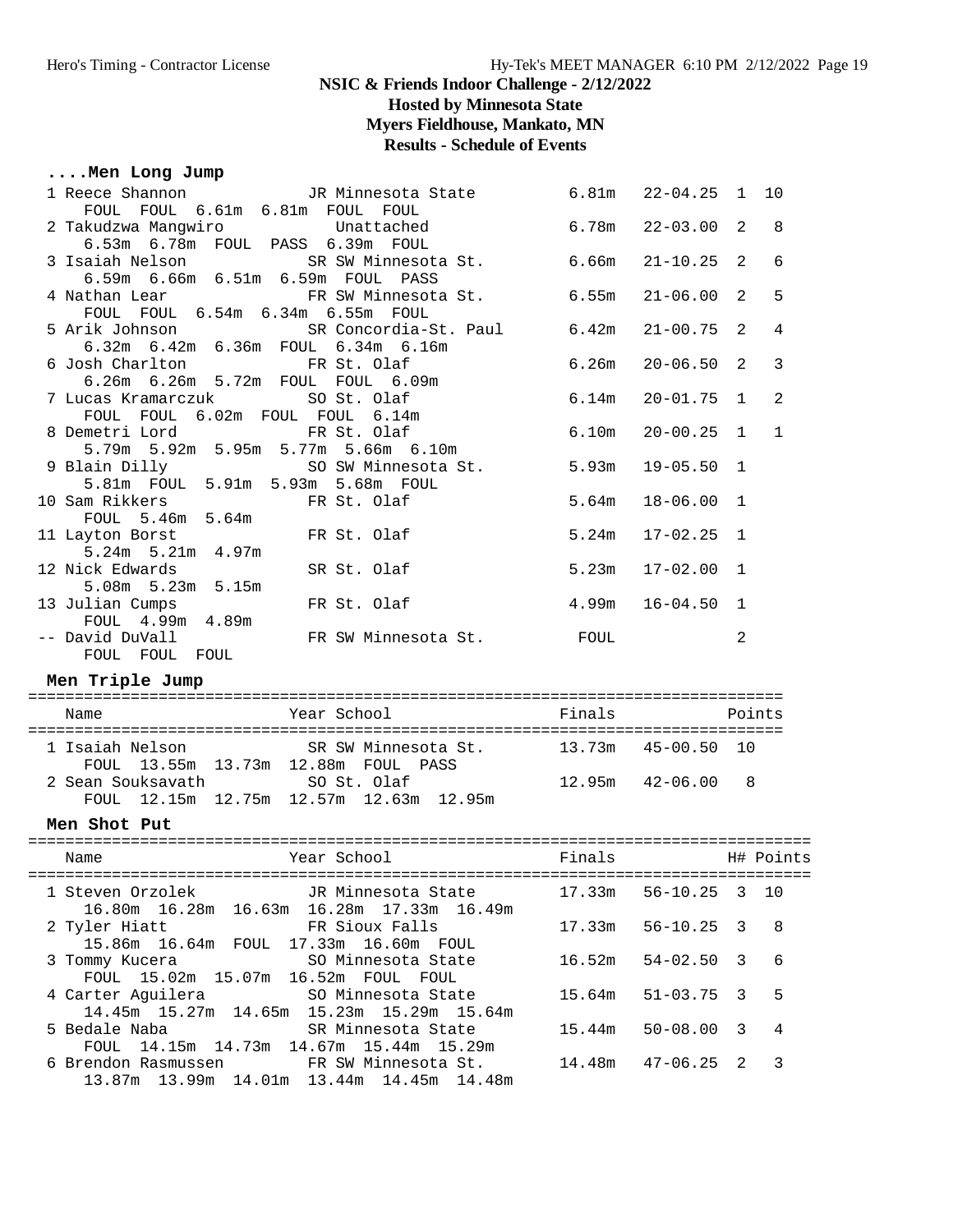**Hosted by Minnesota State**

**Myers Fieldhouse, Mankato, MN**

# **Results - Schedule of Events**

# **....Men Long Jump**

| 1 Reece Shannon TR Minnesota State 6.81m 22-04.25 1<br>FOUL FOUL 6.61m 6.81m FOUL FOUL                                      |        |                      |              | 10           |
|-----------------------------------------------------------------------------------------------------------------------------|--------|----------------------|--------------|--------------|
| Unattached<br>2 Takudzwa Mangwiro<br>6.53m  6.78m  FOUL  PASS  6.39m  FOUL                                                  |        | $6.78m$ $22-03.00$ 2 |              | 8            |
| 3 Isaiah Nelson SR SW Minnesota St. 6.66m 21-10.25 2<br>6.59m 6.66m 6.51m 6.59m FOUL PASS                                   |        |                      |              | 6            |
| 4 Nathan Lear TR SW Minnesota St.<br>FOUL FOUL 6.54m 6.34m 6.55m FOUL                                                       | 6.55m  | $21 - 06.00$         | 2            | 5            |
| 5 Arik Johnson SR Concordia-St. Paul                                                                                        | 6.42m  | $21 - 00.75$         | 2            | 4            |
| 6.32m 6.42m 6.36m FOUL 6.34m 6.16m<br>6 Josh Charlton FR St. Olaf<br>6.26m  6.26m  5.72m  FOUL  FOUL  6.09m                 | 6.26m  | 20-06.50             | 2            | 3            |
| 7 Lucas Kramarczuk<br>SO St. Olaf<br>FOUL FOUL 6.02m FOUL FOUL 6.14m                                                        | 6.14m  | $20 - 01.75$         | $\mathbf{1}$ | 2            |
| FR St. Olaf<br>8 Demetri Lord<br>5.79m 5.92m 5.95m 5.77m 5.66m 6.10m                                                        | 6.10m  | $20 - 00.25$         | $\mathbf{1}$ | $\mathbf{1}$ |
| 9 Blain Dilly                     SO SW Minnesota St.<br>5.81m FOUL 5.91m 5.93m 5.68m FOUL                                  | 5.93m  | $19 - 05.50$ 1       |              |              |
| 10 Sam Rikkers<br>FR St. Olaf<br>FOUL 5.46m 5.64m                                                                           | 5.64m  | $18 - 06.00$         | 1            |              |
| 11 Layton Borst FR St. Olaf<br>$5.24m$ $5.21m$ $4.97m$                                                                      | 5.24m  | $17 - 02.25$         | 1            |              |
| $\frac{1}{2}$<br>5.08m 5.23m 5.15m<br>1ian Cumpe<br>12 Nick Edwards                                                         |        | $5.23m$ $17-02.00$   | $\mathbf{1}$ |              |
| 13 Julian Cumps                                                                                                             |        | $4.99m$ $16-04.50$   | 1            |              |
| -- David DuVall                                                                                                             |        |                      | 2            |              |
| Men Triple Jump                                                                                                             |        |                      |              |              |
| Year School<br>Name                                                                                                         | Finals |                      | Points       |              |
| 1 Isaiah Nelson<br>SR SW Minnesota St. 13.73m 45-00.50 10<br>FOUL 13.55m 13.73m 12.88m FOUL PASS                            |        |                      |              |              |
| FOUL 13.55m 13.73m 12.88m FOUL PASS<br>2 Sean Souksavath SO St. Olaf 12.95m 42-06.00 8                                      |        |                      |              |              |
|                                                                                                                             |        |                      |              |              |
| FOUL 12.15m 12.75m 12.57m 12.63m 12.95m<br>Men Shot Put                                                                     |        |                      |              |              |
| Finals <b>H#</b> Points<br>Year School<br>Name                                                                              |        |                      |              |              |
| 1 Steven Orzolek JR Minnesota State                                                                                         | 17.33m | $56 - 10.25$         | 3            | 10           |
| 16.80m  16.28m  16.63m  16.28m  17.33m  16.49m<br>FR Sioux Falls<br>2 Tyler Hiatt                                           | 17.33m | $56 - 10.25$         | 3            | 8            |
| 15.86m  16.64m  FOUL  17.33m  16.60m  FOUL<br>3 Tommy Kucera<br>SO Minnesota State                                          | 16.52m | $54 - 02.50$         | 3            | 6            |
| FOUL 15.02m 15.07m 16.52m FOUL FOUL<br>4 Carter Aguilera<br>SO Minnesota State                                              | 15.64m | $51 - 03.75$         | 3            | 5            |
| 14.45m 15.27m 14.65m 15.23m 15.29m 15.64m<br>5 Bedale Naba<br>SR Minnesota State<br>FOUL 14.15m 14.73m 14.67m 15.44m 15.29m | 15.44m | $50 - 08.00$         | 3            | 4            |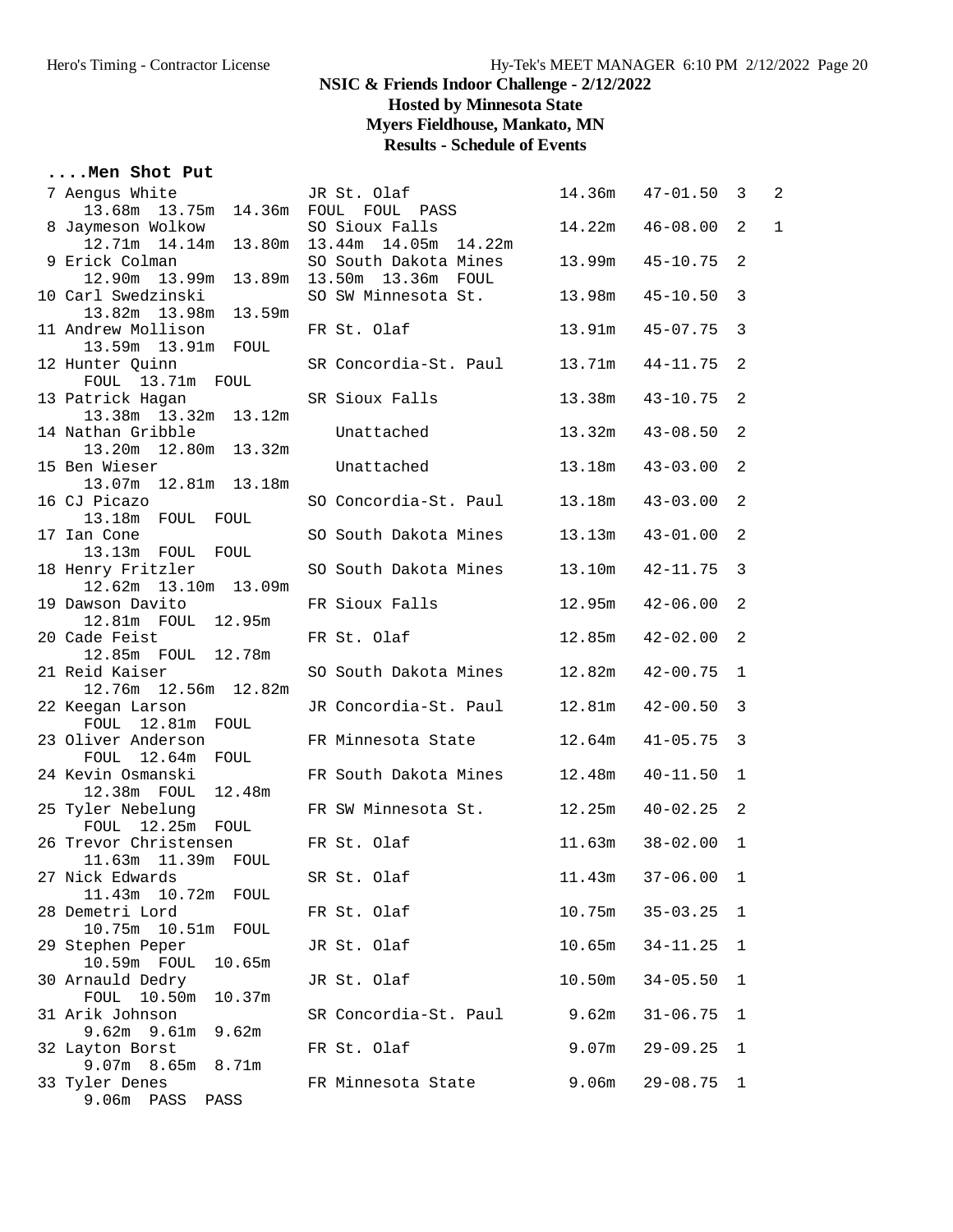**Hosted by Minnesota State**

**Myers Fieldhouse, Mankato, MN**

# **Results - Schedule of Events**

### **....Men Shot Put**

| 7 Aengus White                           | JR St. Olaf                                    | 14.36m            | $47 - 01.50$ 3 |                | 2            |
|------------------------------------------|------------------------------------------------|-------------------|----------------|----------------|--------------|
| 13.68m  13.75m  14.36m  FOUL  FOUL  PASS |                                                |                   |                |                |              |
| 8 Jaymeson Wolkow                        | SO Sioux Falls                                 | 14.22m            | $46 - 08.00$   | 2              | $\mathbf{1}$ |
|                                          | 12.71m  14.14m  13.80m  13.44m  14.05m  14.22m |                   |                |                |              |
| 9 Erick Colman                           | SO South Dakota Mines 13.99m                   |                   | $45 - 10.75$ 2 |                |              |
|                                          |                                                |                   |                |                |              |
| 10 Carl Swedzinski                       | SO SW Minnesota St. 13.98m                     |                   | $45 - 10.50$ 3 |                |              |
| 13.82m  13.98m  13.59m                   |                                                |                   |                |                |              |
| 11 Andrew Mollison                       | FR St. Olaf                                    | 13.91m            | $45 - 07.75$ 3 |                |              |
| 13.59m  13.91m  FOUL                     |                                                |                   |                |                |              |
| 12 Hunter Quinn                          | SR Concordia-St. Paul 13.71m                   |                   | $44 - 11.75$ 2 |                |              |
| FOUL 13.71m FOUL                         |                                                |                   |                |                |              |
| 13 Patrick Hagan                         | SR Sioux Falls                                 | 13.38m            | $43 - 10.75$ 2 |                |              |
| 13.38m  13.32m  13.12m                   |                                                |                   |                |                |              |
| 14 Nathan Gribble                        | Unattached                                     | 13.32m            | $43 - 08.50$ 2 |                |              |
| 13.20m  12.80m  13.32m                   |                                                |                   |                |                |              |
| 15 Ben Wieser                            | Unattached                                     | 13.18m            | $43 - 03.00$   | $\overline{2}$ |              |
| 13.07m  12.81m  13.18m                   |                                                |                   |                |                |              |
| 16 CJ Picazo                             | SO Concordia-St. Paul 13.18m                   |                   | $43 - 03.00$   | $\overline{2}$ |              |
| 13.18m FOUL FOUL                         |                                                |                   |                |                |              |
| 17 Ian Cone                              | SO South Dakota Mines                          | 13.13m            | $43 - 01.00$ 2 |                |              |
| 13.13m FOUL FOUL                         |                                                |                   |                |                |              |
| 18 Henry Fritzler                        | SO South Dakota Mines 13.10m                   |                   | $42 - 11.75$ 3 |                |              |
| 12.62m  13.10m  13.09m                   |                                                |                   |                |                |              |
| 19 Dawson Davito                         | FR Sioux Falls                                 | 12.95m            | 42-06.00       | $\overline{2}$ |              |
| 12.81m  FOUL  12.95m<br>20 Cade Feist    |                                                |                   |                |                |              |
| 12.85m FOUL 12.78m                       | FR St. Olaf                                    | 12.85m            | $42 - 02.00$ 2 |                |              |
| 21 Reid Kaiser                           | SO South Dakota Mines 12.82m                   |                   | $42 - 00.75$   | $\mathbf{1}$   |              |
| 12.76m  12.56m  12.82m                   |                                                |                   |                |                |              |
| 22 Keegan Larson                         | JR Concordia-St. Paul                          | 12.81m            | $42 - 00.50$ 3 |                |              |
| FOUL 12.81m FOUL                         |                                                |                   |                |                |              |
| 23 Oliver Anderson                       | FR Minnesota State 12.64m                      |                   | $41 - 05.75$ 3 |                |              |
| FOUL 12.64m FOUL                         |                                                |                   |                |                |              |
| 24 Kevin Osmanski                        | FR South Dakota Mines 12.48m                   |                   | $40 - 11.50$   | $\mathbf{1}$   |              |
| 12.38m FOUL<br>12.48m                    |                                                |                   |                |                |              |
| 25 Tyler Nebelung                        | FR SW Minnesota St. 12.25m                     |                   | $40 - 02.25$ 2 |                |              |
| FOUL 12.25m FOUL                         |                                                |                   |                |                |              |
| 26 Trevor Christensen                    | FR St. Olaf                                    | 11.63m            | $38 - 02.00$   | 1              |              |
| 11.63m  11.39m  FOUL                     |                                                |                   |                |                |              |
| 27 Nick Edwards                          | SR St. Olaf                                    | 11.43m            | $37 - 06.00$   | 1              |              |
| 11.43m 10.72m<br>FOUL                    |                                                |                   |                |                |              |
| 28 Demetri Lord                          | FR St. Olaf                                    | 10.75m            | $35 - 03.25$   | $\mathbf{1}$   |              |
| 10.51m<br>10.75m<br>FOUL                 |                                                |                   |                |                |              |
| 29 Stephen Peper                         | JR St. Olaf                                    | 10.65m            | $34 - 11.25$   | 1              |              |
| 10.59m FOUL<br>10.65m                    |                                                |                   |                |                |              |
| 30 Arnauld Dedry                         | JR St. Olaf                                    | 10.50m            | $34 - 05.50$   | 1              |              |
| FOUL 10.50m<br>10.37m                    |                                                |                   |                |                |              |
| 31 Arik Johnson                          | SR Concordia-St. Paul                          | 9.62m             | $31 - 06.75$   | 1              |              |
| $9.62m$ $9.61m$<br>9.62m                 |                                                |                   |                |                |              |
| 32 Layton Borst                          | FR St. Olaf                                    | 9.07 <sub>m</sub> | $29 - 09.25$   | 1              |              |
| 9.07m 8.65m<br>8.71m                     |                                                |                   |                |                |              |
| 33 Tyler Denes                           | FR Minnesota State                             | 9.06m             | $29 - 08.75$   | - 1            |              |
| 9.06m PASS<br>PASS                       |                                                |                   |                |                |              |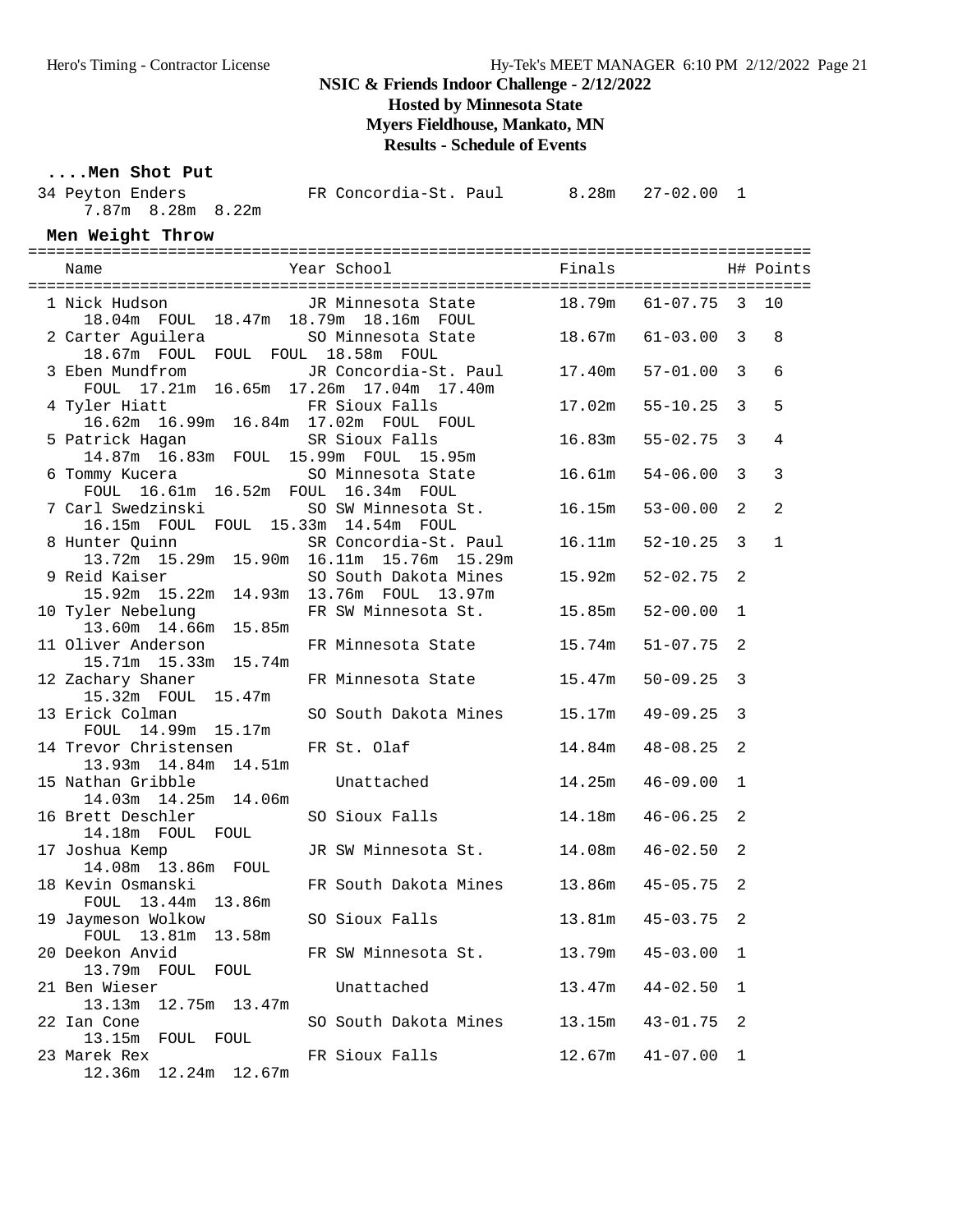**Hosted by Minnesota State**

**Myers Fieldhouse, Mankato, MN**

**Results - Schedule of Events**

### **....Men Shot Put**

| 34 Peyton Enders                        | FR Concordia-St. Paul |  |
|-----------------------------------------|-----------------------|--|
| 7.87m 8.28m 8.22m                       |                       |  |
| $M \cap R$ $M \cap R + \cap R + \cap R$ |                       |  |

#### **Men Weight Throw**

| 1 Nick Hudson       JR Minnesota State       18.79m   61-07.75   3   10                                                                                      |                                      |                        |              |              |
|--------------------------------------------------------------------------------------------------------------------------------------------------------------|--------------------------------------|------------------------|--------------|--------------|
| 18.04m FOUL 18.47m 18.79m 18.16m FOUL<br>2 Carter Aguilera 50 Minnesota State 18.67m 61-03.00 3                                                              |                                      |                        |              | 8            |
| 18.67m FOUL FOUL FOUL 18.58m FOUL<br>3 Eben Mundfrom JR Concordia-St. Paul 17.40m 57-01.00 3<br>FOUL 17.21m 16.65m 17.26m 17.04m 17.40m<br>17.02m 55-10.25 3 |                                      |                        |              | 6            |
| 4 Tyler Hiatt FR Sioux Falls<br>16.62m 16.99m 16.84m 17.02m FOUL FOUL                                                                                        |                                      |                        |              | 5            |
| 5 Patrick Hagan<br>14.87m  16.83m  FOUL  15.99m  FOUL  15.95m                                                                                                | SR Sioux Falls 16.83m 55-02.75 3     |                        |              | 4            |
| 6 Tommy Kucera     SO Minnesota State     16.61m   54-06.00   3<br>FOUL 16.61m 16.52m FOUL 16.34m FOUL                                                       |                                      |                        |              | 3            |
| 7 Carl Swedzinski SO SW Minnesota St. 16.15m 53-00.00 2<br>16.15m FOUL FOUL 15.33m 14.54m FOUL                                                               |                                      |                        |              | 2            |
|                                                                                                                                                              |                                      |                        |              | $\mathbf{1}$ |
|                                                                                                                                                              |                                      |                        |              |              |
| 11 Oliver Anderson                                                                                                                                           | FR Minnesota State 15.74m 51-07.75 2 |                        |              |              |
| 15.71m  15.33m  15.74m<br>12 Zachary Shaner FR Minnesota State 15.47m                                                                                        |                                      | $50 - 09.25$ 3         |              |              |
| 15.32m  FOUL  15.47m<br>13 Erick Colman                                                                                                                      | SO South Dakota Mines 15.17m         | $49 - 09.25$ 3         |              |              |
| FOUL 14.99m 15.17m<br>14 Trevor Christensen FR St. Olaf 14.84m                                                                                               |                                      | $48 - 08.25$ 2         |              |              |
| 13.93m  14.84m  14.51m<br>15 National Cribble Unattached 14.25m                                                                                              |                                      | $46 - 09.00$           | $\mathbf{1}$ |              |
| 14.03m  14.25m  14.06m<br>16 Brett Deschler                                                                                                                  | SO Sioux Falls 14.18m 46-06.25       |                        | 2            |              |
| 14.18m FOUL FOUL<br>17 Joshua Kemp                                                                                                                           | JR SW Minnesota St. 14.08m 46-02.50  |                        | 2            |              |
| 18 Kevin Osmanski                                                                                                                                            |                                      |                        | 2            |              |
| 19 Jaymeson Wolkow 50 Sioux Falls 13.81m 45-03.75 2                                                                                                          |                                      |                        |              |              |
| FOUL 13.81m 13.58m<br>20 Deekon Anvid<br>13.79m FOUL FOUL                                                                                                    | FR SW Minnesota St.                  | 13.79m<br>$45 - 03.00$ | 1            |              |
| 21 Ben Wieser<br>12.75m  13.47m<br>13.13m                                                                                                                    | Unattached                           | 13.47m<br>$44 - 02.50$ | 1            |              |
| 22 Ian Cone<br>13.15m<br>FOUL FOUL                                                                                                                           | SO South Dakota Mines                | 13.15m<br>$43 - 01.75$ | 2            |              |
| 23 Marek Rex<br>12.36m<br>12.24m 12.67m                                                                                                                      | FR Sioux Falls                       | 12.67m<br>$41 - 07.00$ | 1            |              |